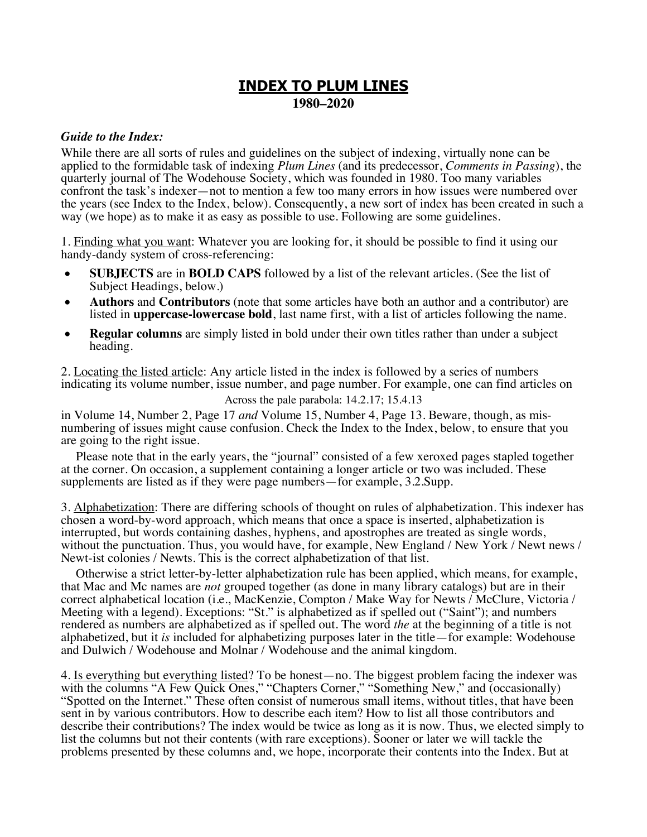# **INDEX TO PLUM LINES 1980–2020**

# *Guide to the Index:*

While there are all sorts of rules and guidelines on the subject of indexing, virtually none can be applied to the formidable task of indexing *Plum Lines* (and its predecessor, *Comments in Passing*), the quarterly journal of The Wodehouse Society, which was founded in 1980. Too many variables confront the task's indexer—not to mention a few too many errors in how issues were numbered over the years (see Index to the Index, below). Consequently, a new sort of index has been created in such a way (we hope) as to make it as easy as possible to use. Following are some guidelines.

1. Finding what you want: Whatever you are looking for, it should be possible to find it using our handy-dandy system of cross-referencing:

- **SUBJECTS** are in **BOLD CAPS** followed by a list of the relevant articles. (See the list of Subject Headings, below.)
- **Authors** and **Contributors** (note that some articles have both an author and a contributor) are listed in **uppercase-lowercase bold**, last name first, with a list of articles following the name.
- **Regular columns** are simply listed in bold under their own titles rather than under a subject heading.

2. Locating the listed article: Any article listed in the index is followed by a series of numbers indicating its volume number, issue number, and page number. For example, one can find articles on

Across the pale parabola: 14.2.17; 15.4.13

in Volume 14, Number 2, Page 17 *and* Volume 15, Number 4, Page 13. Beware, though, as mis- numbering of issues might cause confusion. Check the Index to the Index, below, to ensure that you are going to the right issue.

Please note that in the early years, the "journal" consisted of a few xeroxed pages stapled together at the corner. On occasion, a supplement containing a longer article or two was included. These supplements are listed as if they were page numbers—for example, 3.2.Supp.

3. Alphabetization: There are differing schools of thought on rules of alphabetization. This indexer has chosen a word-by-word approach, which means that once a space is inserted, alphabetization is interrupted, but words containing dashes, hyphens, and apostrophes are treated as single words, without the punctuation. Thus, you would have, for example, New England / New York / Newt news / Newt-ist colonies / Newts. This is the correct alphabetization of that list.

Otherwise a strict letter-by-letter alphabetization rule has been applied, which means, for example, that Mac and Mc names are *not* grouped together (as done in many library catalogs) but are in their correct alphabetical location (i.e., MacKenzie, Compton / Make Way for Newts / McClure, Victoria / Meeting with a legend). Exceptions: "St." is alphabetized as if spelled out ("Saint"); and numbers rendered as numbers are alphabetized as if spelled out. The word *the* at the beginning of a title is not alphabetized, but it *is* included for alphabetizing purposes later in the title—for example: Wodehouse and Dulwich / Wodehouse and Molnar / Wodehouse and the animal kingdom.

4. Is everything but everything listed? To be honest—no. The biggest problem facing the indexer was with the columns "A Few Quick Ones," "Chapters Corner," "Something New," and (occasionally) "Spotted on the Internet." These often consist of numerous small items, without titles, that have been sent in by various contributors. How to describe each item? How to list all those contributors and describe their contributions? The index would be twice as long as it is now. Thus, we elected simply to list the columns but not their contents (with rare exceptions). Sooner or later we will tackle the problems presented by these columns and, we hope, incorporate their contents into the Index. But at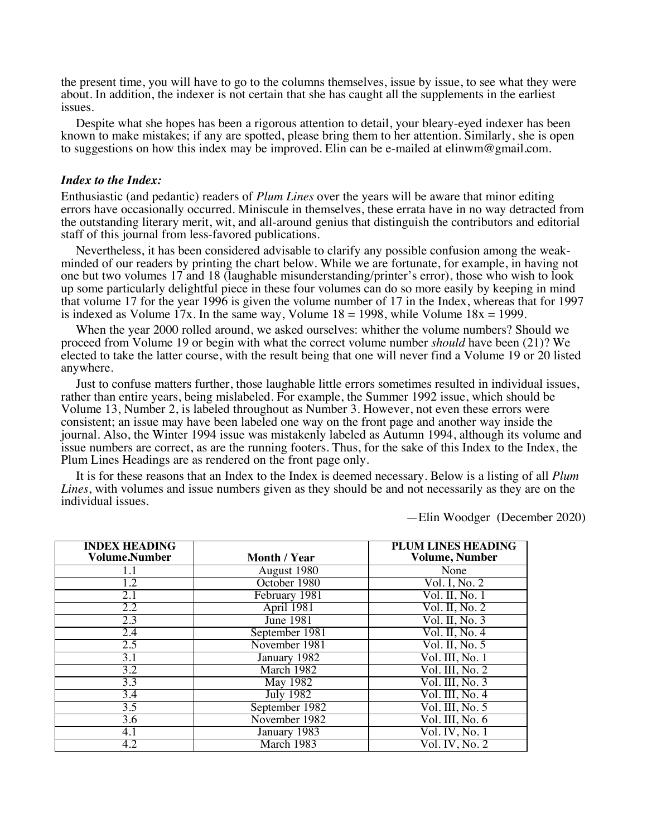the present time, you will have to go to the columns themselves, issue by issue, to see what they were about. In addition, the indexer is not certain that she has caught all the supplements in the earliest issues.

Despite what she hopes has been a rigorous attention to detail, your bleary-eyed indexer has been known to make mistakes; if any are spotted, please bring them to her attention. Similarly, she is open to suggestions on how this index may be improved. Elin can be e-mailed at elinwm@gmail.com.

### *Index to the Index:*

Enthusiastic (and pedantic) readers of *Plum Lines* over the years will be aware that minor editing errors have occasionally occurred. Miniscule in themselves, these errata have in no way detracted from the outstanding literary merit, wit, and all-around genius that distinguish the contributors and editorial staff of this journal from less-favored publications.

Nevertheless, it has been considered advisable to clarify any possible confusion among the weakminded of our readers by printing the chart below. While we are fortunate, for example, in having not one but two volumes 17 and 18 (laughable misunderstanding/printer's error), those who wish to look up some particularly delightful piece in these four volumes can do so more easily by keeping in mind that volume 17 for the year 1996 is given the volume number of 17 in the Index, whereas that for 1997 is indexed as Volume  $17x$ . In the same way, Volume  $18 = 1998$ , while Volume  $18x = 1999$ .

When the year 2000 rolled around, we asked ourselves: whither the volume numbers? Should we proceed from Volume 19 or begin with what the correct volume number *should* have been (21)? We elected to take the latter course, with the result being that one will never find a Volume 19 or 20 listed anywhere.

Just to confuse matters further, those laughable little errors sometimes resulted in individual issues, rather than entire years, being mislabeled. For example, the Summer 1992 issue, which should be Volume 13, Number 2, is labeled throughout as Number 3. However, not even these errors were consistent; an issue may have been labeled one way on the front page and another way inside the journal. Also, the Winter 1994 issue was mistakenly labeled as Autumn 1994, although its volume and issue numbers are correct, as are the running footers. Thus, for the sake of this Index to the Index, the Plum Lines Headings are as rendered on the front page only.

It is for these reasons that an Index to the Index is deemed necessary. Below is a listing of all *Plum Lines*, with volumes and issue numbers given as they should be and not necessarily as they are on the individual issues.

—Elin Woodger (December 2020)

| <b>INDEX HEADING</b><br><b>Volume.Number</b> | Month / Year          | <b>PLUM LINES HEADING</b><br><b>Volume, Number</b> |
|----------------------------------------------|-----------------------|----------------------------------------------------|
|                                              | August 1980           | None                                               |
| 1.2                                          | October 1980          | Vol. I, No. 2                                      |
| $\overline{2.1}$                             | February 1981         | Vol. II, No. 1                                     |
| 2.2                                          | April 1981            | Vol. II, No. 2                                     |
| 2.3                                          | <b>June 1981</b>      | Vol. II, No. 3                                     |
| $\overline{2.4}$                             | September 1981        | Vol. II, No. $4$                                   |
| 2.5                                          | November 1981         | Vol. II, No. 5                                     |
| $\overline{3.1}$                             | January 1982          | Vol. III, No. 1                                    |
| 3.2                                          | March 1982            | Vol. III, No. 2                                    |
| 3.3                                          | $M\overline{ay}$ 1982 | Vol. III, No. 3                                    |
| $\overline{3.4}$                             | July $1982$           | $\overline{Vol}$ . III, No. 4                      |
| 3.5                                          | September 1982        | Vol. III, No. 5                                    |
| 3.6                                          | November 1982         | Vol. III, No. 6                                    |
| 4.1                                          | January 1983          | Vol. IV, No. 1                                     |
| 4.2                                          | March 1983            | Vol. IV, No. 2                                     |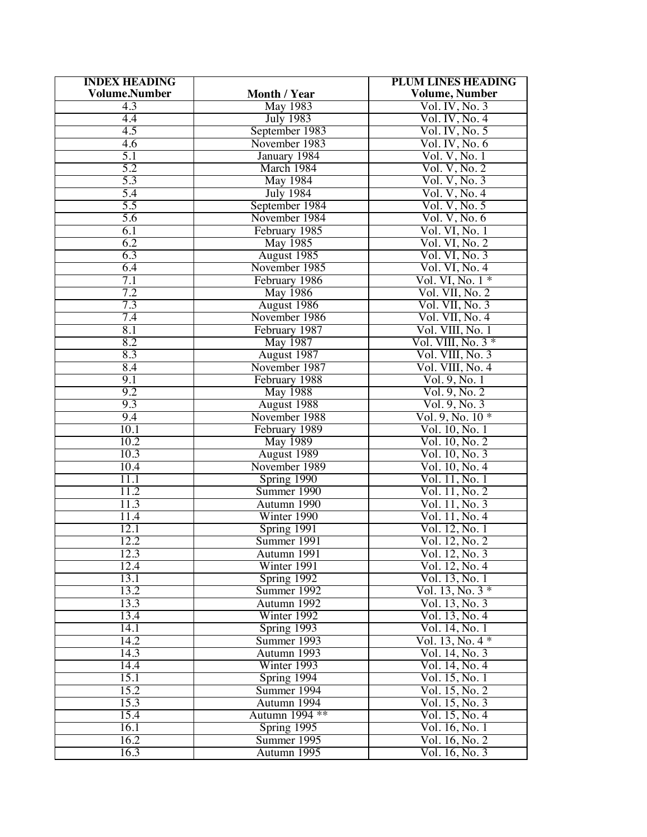| <b>INDEX HEADING</b> |                  | <b>PLUM LINES HEADING</b> |
|----------------------|------------------|---------------------------|
| <b>Volume.Number</b> | Month / Year     | <b>Volume, Number</b>     |
| 4.3                  | May 1983         | Vol. IV, No. 3            |
| 4.4                  | <b>July 1983</b> | Vol. IV, No. 4            |
| 4.5                  | September 1983   | Vol. IV, No. 5            |
| 4.6                  | November 1983    | Vol. IV, No. 6            |
| 5.1                  |                  |                           |
|                      | January 1984     | Vol. V, No. 1             |
| 5.2                  | March 1984       | Vol. V, No. 2             |
| 5.3                  | <b>May 1984</b>  | Vol. V, No. 3             |
| 5.4                  | <b>July 1984</b> | Vol. V, No. 4             |
| 5.5                  | September 1984   | Vol. V, No. 5             |
| 5.6                  | November 1984    | Vol. V, No. 6             |
| 6.1                  | February 1985    | Vol. VI, No. 1            |
| 6.2                  | May 1985         | Vol. VI, No. 2            |
| 6.3                  | August 1985      | Vol. VI, No. 3            |
| 6.4                  | November 1985    | Vol. VI, No. 4            |
| $\overline{7.1}$     | February 1986    | Vol. VI, No. $1*$         |
|                      |                  |                           |
| 7.2                  | <b>May 1986</b>  | Vol. VII, No. 2           |
| 7.3                  | August 1986      | Vol. VII, No. 3           |
| 7.4                  | November 1986    | Vol. VII, No. 4           |
| 8.1                  | February 1987    | Vol. VIII, No. 1          |
| 8.2                  | <b>May 1987</b>  | Vol. VIII, No. $3*$       |
| 8.3                  | August 1987      | Vol. VIII, No. 3          |
| 8.4                  | November 1987    | Vol. VIII, No. 4          |
| 9.1                  | February 1988    | Vol. 9, No. 1             |
| 9.2                  | May 1988         | Vol. 9, No. 2             |
| 9.3                  | August 1988      | Vol. 9, No. 3             |
| 9.4                  | November 1988    | $Vol. 9, No. 10*$         |
| 10.1                 | February 1989    | Vol. 10, No. 1            |
| 10.2                 |                  |                           |
|                      | <b>May 1989</b>  | Vol. 10, No. 2            |
| 10.3                 | August 1989      | Vol. 10, No. 3            |
| 10.4                 | November 1989    | Vol. 10, No. 4            |
| 11.1                 | Spring 1990      | Vol. 11, No. 1            |
| 11.2                 | Summer 1990      | Vol. 11, No. 2            |
| 11.3                 | Autumn 1990      | Vol. 11, No. 3            |
| 11.4                 | Winter 1990      | Vol. 11, No. 4            |
| 12.1                 | Spring 1991      | Vol. 12, No. 1            |
| 12.2                 | Summer 1991      | Vol. 12, No. 2            |
| 12.3                 | Autumn 1991      | Vol. 12, No. 3            |
| 12.4                 | Winter 1991      | Vol. 12, No. 4            |
| 13.1                 | Spring 1992      | Vol. 13, No. 1            |
| 13.2                 | Summer 1992      | Vol. 13, No. $3*$         |
| 13.3                 |                  |                           |
|                      | Autumn 1992      | Vol. 13, No. 3            |
| 13.4                 | Winter 1992      | Vol. 13, No. 4            |
| 14.1                 | Spring 1993      | Vol. 14, No. 1            |
| 14.2                 | Summer 1993      | Vol. 13, No. $4 *$        |
| 14.3                 | Autumn 1993      | Vol. 14, No. 3            |
| 14.4                 | Winter 1993      | Vol. 14, No. 4            |
| 15.1                 | $Spring$ 1994    | Vol. 15, No. 1            |
| 15.2                 | Summer 1994      | Vol. 15, No. 2            |
| 15.3                 | Autumn 1994      | Vol. 15, No. 3            |
| 15.4                 | Autumn 1994 **   | Vol. 15, No. 4            |
| 16.1                 | Spring 1995      | Vol. 16, No. 1            |
|                      |                  |                           |
| 16.2                 | Summer 1995      | Vol. 16, No. 2            |
| 16.3                 | Autumn 1995      | Vol. 16, No. 3            |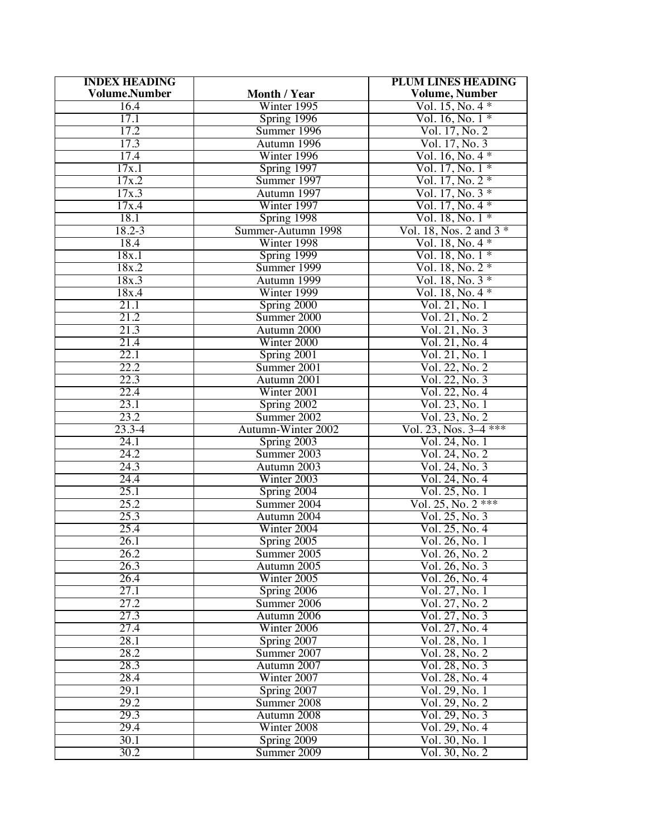| <b>INDEX HEADING</b> |                         | <b>PLUM LINES HEADING</b> |
|----------------------|-------------------------|---------------------------|
| <b>Volume.Number</b> | Month / Year            | <b>Volume, Number</b>     |
| 16.4                 | Winter 1995             | Vol. $15$ , No. $4 *$     |
| 17.1                 | Spring 1996             | $Vol. 16, No. 1*$         |
| 17.2                 | Summer 1996             | Vol. 17, No. 2            |
| 17.3                 | Autumn 1996             | Vol. 17, No. 3            |
| 17.4                 | Winter 1996             | Vol. 16, No. 4 *          |
| 17x.1                | Spring 1997             | $Vol. 17, No. 1*$         |
| 17x.2                | Summer 1997             | Vol. $17$ , No. $2 *$     |
| 17x.3                | Autumn 1997             | Vol. 17, No. $3 *$        |
| 17x.4                | Winter 1997             | Vol. 17, No. $4 *$        |
| 18.1                 |                         | Vol. 18, No. $1*$         |
| 18.2-3               | Spring 1998             |                           |
|                      | Summer-Autumn 1998      | Vol. 18, Nos. 2 and $3*$  |
| 18.4                 | Winter 1998             | Vol. 18, No. $4 *$        |
| 18x.1                | Spring 1999             | Vol. 18, No. $1*$         |
| 18x.2                | Summer 1999             | $Vol. 18, No. 2*$         |
| 18x.3                | Autumn 1999             | Vol. 18, No. $3 *$        |
| 18x.4                | Winter 1999             | Vol. $18,$ No. $4 *$      |
| 21.1                 | Spring 2000             | Vol. 21, No. 1            |
| 21.2                 | Summer 2000             | Vol. 21, No. 2            |
| 21.3                 | Autumn 2000             | Vol. 21, No. 3            |
| 21.4                 | Winter 2000             | Vol. 21, No. 4            |
| 22.1                 | Spring 2001             | Vol. 21, No. 1            |
| 22.2                 | Summer 2001             | Vol. 22, No. 2            |
| 22.3                 | Autumn 2001             | Vol. 22, No. 3            |
| 22.4                 | Winter 2001             | Vol. 22, No. 4            |
| 23.1                 | Spring 2002             | Vol. 23, No. 1            |
| 23.2                 | Summer 2002             | $V$ ol. 23, No. 2         |
| $23.3 - 4$           | Autumn-Winter 2002      | Vol. 23, Nos. $3-4$ ***   |
| 24.1                 | Spring 2003             | Vol. 24, No. 1            |
| 24.2                 | Summer 2003             | Vol. 24, No. 2            |
| 24.3                 | Autumn 2003             | Vol. 24, No. 3            |
| 24.4                 | Winter 2003             | Vol. 24, No. 4            |
| 25.1                 | Spring 2004             | Vol. 25, No. 1            |
| 25.2                 | Summer 2004             | Vol. 25, No. 2 ***        |
| 25.3                 | Autumn 2004             | Vol. 25, No. 3            |
| 25.4                 | Winter 2004             | Vol. 25, No. 4            |
| 26.1                 | S <sub>pring</sub> 2005 | Vol. 26, No. 1            |
| 26.2                 | Summer 2005             | Vol. 26, No. 2            |
| 26.3                 | Autumn 2005             | Vol. 26, No. 3            |
| 26.4                 | Winter 2005             | Vol. 26, No. 4            |
| 27.1                 | Spring 2006             | Vol. 27, No. 1            |
| 27.2                 | Summer 2006             | Vol. 27, No. 2            |
| 27.3                 | Autumn 2006             | Vol. 27, No. 3            |
| 27.4                 | Winter 2006             | Vol. 27, No. 4            |
| 28.1                 | Spring 2007             | Vol. 28, No. 1            |
| 28.2                 | Summer 2007             | Vol. 28, No. 2            |
| 28.3                 | Autumn 2007             | Vol. 28, No. 3            |
| 28.4                 | Winter 2007             | Vol. 28, No. 4            |
| 29.1                 | Spring 2007             | Vol. 29, No. 1            |
| 29.2                 | Summer 2008             | Vol. 29, No. 2            |
| 29.3                 | Autumn 2008             | Vol. 29, No. 3            |
| 29.4                 | Winter 2008             | Vol. 29, No. 4            |
| 30.1                 | Spring 2009             | Vol. 30, No. 1            |
| 30.2                 | Summer 2009             | Vol. 30, No. 2            |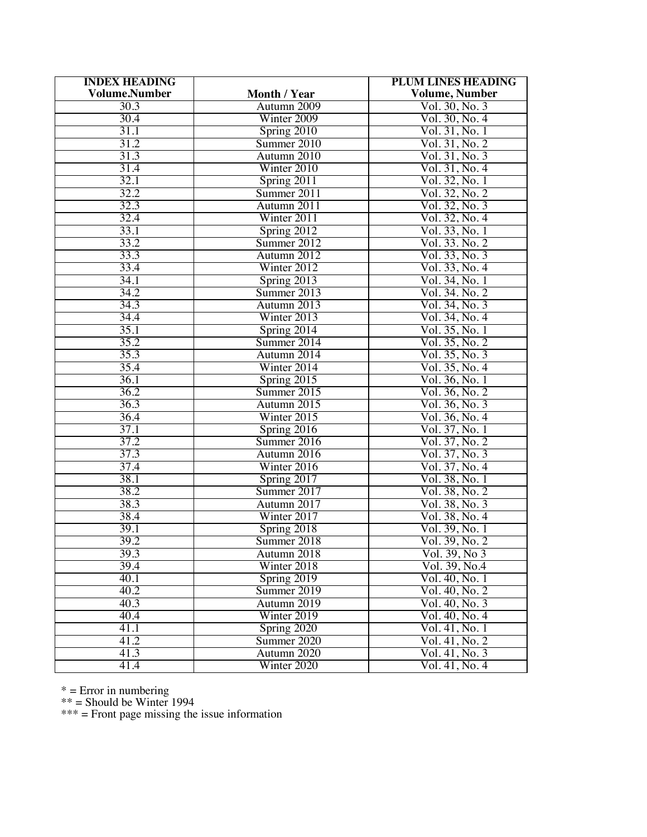| <b>INDEX HEADING</b> |               | <b>PLUM LINES HEADING</b> |
|----------------------|---------------|---------------------------|
| <b>Volume.Number</b> | Month / Year  | <b>Volume, Number</b>     |
| 30.3                 | Autumn 2009   | Vol. 30, No. 3            |
| 30.4                 | Winter 2009   | Vol. 30, No. 4            |
| 31.1                 | Spring 2010   | Vol. 31, No. 1            |
| 31.2                 | Summer 2010   | Vol. 31, No. 2            |
| 31.3                 | Autumn 2010   | Vol. 31, No. 3            |
| 31.4                 | Winter 2010   | Vol. 31, No. 4            |
| 32.1                 | Spring 2011   | Vol. 32, No. 1            |
| 32.2                 | Summer 2011   | Vol. 32, No. 2            |
| 32.3                 | Autumn 2011   | Vol. 32, No. 3            |
| 32.4                 | Winter 2011   | Vol. 32, No. 4            |
| 33.1                 | Spring 2012   | Vol. 33, No. 1            |
| 33.2                 | Summer 2012   | Vol. 33. No. 2            |
| 33.3                 | Autumn 2012   | Vol. 33, No. 3            |
| 33.4                 | Winter 2012   | Vol. 33, No. 4            |
| 34.1                 | Spring 2013   | Vol. 34, No. 1            |
| 34.2                 | Summer 2013   | Vol. 34. No. 2            |
| 34.3                 | Autumn 2013   | Vol. 34, No. 3            |
| 34.4                 | Winter 2013   | Vol. 34, No. 4            |
| 35.1                 | Spring 2014   | Vol. 35, No. 1            |
| 35.2                 | Summer 2014   | Vol. 35, No. 2            |
| 35.3                 | Autumn 2014   | Vol. 35, No. 3            |
| 35.4                 | Winter 2014   | Vol. 35, No. 4            |
| 36.1                 | Spring 2015   | Vol. 36, No. 1            |
| 36.2                 | Summer 2015   | Vol. 36, No. 2            |
| 36.3                 | Autumn 2015   | Vol. 36, No. 3            |
| 36.4                 | Winter 2015   | Vol. 36, No. 4            |
| 37.1                 | Spring 2016   | Vol. 37, No. 1            |
| 37.2                 | Summer 2016   | Vol. 37, No. 2            |
| 37.3                 | Autumn 2016   | Vol. 37, No. 3            |
| 37.4                 | Winter 2016   | Vol. 37, No. 4            |
| 38.1                 | Spring 2017   | Vol. 38, No. 1            |
| 38.2                 | Summer 2017   | Vol. 38, No. 2            |
| 38.3                 | Autumn 2017   | Vol. 38, No. 3            |
| 38.4                 | Winter 2017   | Vol. 38, No. 4            |
| 39.1                 | Spring 2018   | Vol. 39, No. 1            |
| 39.2                 | Summer 2018   | Vol. 39, No. 2            |
| 39.3                 | Autumn 2018   | Vol. 39, No 3             |
| 39.4                 | Winter $2018$ | Vol. 39, No.4             |
| 40.1                 | Spring 2019   | Vol. 40, No. 1            |
| 40.2                 | Summer 2019   | Vol. 40, No. 2            |
| 40.3                 | Autumn 2019   | Vol. 40, No. 3            |
| 40.4                 | Winter 2019   | Vol. 40, No. 4            |
| 41.1                 | Spring 2020   | Vol. 41, No. 1            |
| 41.2                 | Summer 2020   | Vol. 41, No. 2            |
| 41.3                 | Autumn 2020   | Vol. 41, No. 3            |
| 41.4                 | Winter 2020   | Vol. 41, No. 4            |

\* = Error in numbering

\*\* = Should be Winter 1994

\*\*\* = Front page missing the issue information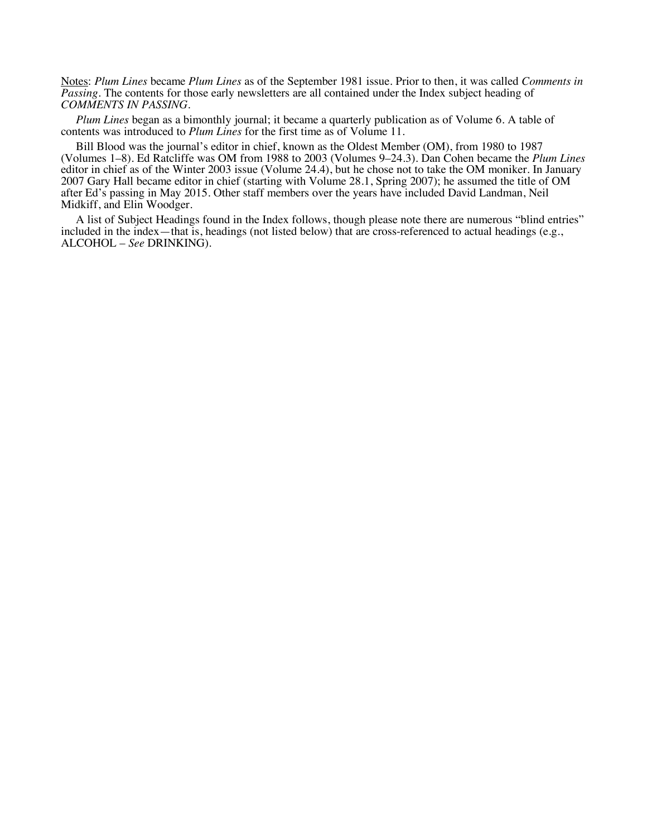Notes: *Plum Lines* became *Plum Lines* as of the September 1981 issue. Prior to then, it was called *Comments in Passing*. The contents for those early newsletters are all contained under the Index subject heading of *COMMENTS IN PASSING*.

*Plum Lines* began as a bimonthly journal; it became a quarterly publication as of Volume 6. A table of contents was introduced to *Plum Lines* for the first time as of Volume 11.

Bill Blood was the journal's editor in chief, known as the Oldest Member (OM), from 1980 to 1987 (Volumes 1–8). Ed Ratcliffe was OM from 1988 to 2003 (Volumes 9–24.3). Dan Cohen became the *Plum Lines* editor in chief as of the Winter 2003 issue (Volume 24.4), but he chose not to take the OM moniker. In January 2007 Gary Hall became editor in chief (starting with Volume 28.1, Spring 2007); he assumed the title of OM after Ed's passing in May 2015. Other staff members over the years have included David Landman, Neil Midkiff, and Elin Woodger.

A list of Subject Headings found in the Index follows, though please note there are numerous "blind entries" included in the index—that is, headings (not listed below) that are cross-referenced to actual headings (e.g., ALCOHOL – *See* DRINKING).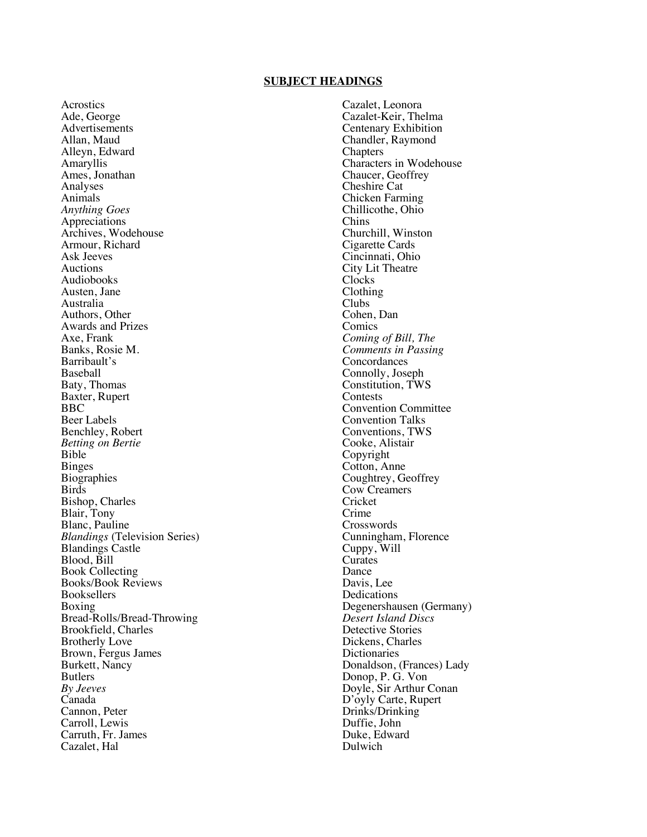### **SUBJECT HEADINGS**

Acrostics Ade, George Advertisements Allan, Maud Alleyn, Edward Amaryllis Ames, Jonathan Analyses Animals *Anything Goes*  Appreciations Archives, Wodehouse Armour, Richard Ask Jeeves Auctions Audiobooks Austen, Jane Australia Authors, Other Awards and Prizes Axe, Frank Banks, Rosie M. Barribault's Baseball Baty, Thomas Baxter, Rupert BBC Beer Labels Benchley, Robert *Betting on Bertie* Bible Binges **Biographies** Birds Bishop, Charles Blair, Tony Blanc, Pauline *Blandings* (Television Series) Blandings Castle Blood, Bill Book Collecting Books/Book Reviews Booksellers Boxing Bread-Rolls/Bread-Throwing Brookfield, Charles Brotherly Love Brown, Fergus James Burkett, Nancy Butlers *By Jeeves* Canada Cannon, Peter Carroll, Lewis Carruth, Fr. James Cazalet, Hal

Cazalet, Leonora Cazalet-Keir, Thelma Centenary Exhibition Chandler, Raymond **Chapters** Characters in Wodehouse Chaucer, Geoffrey Cheshire Cat Chicken Farming Chillicothe, Ohio Chins Churchill, Winston Cigarette Cards Cincinnati, Ohio City Lit Theatre Clocks Clothing Clubs Cohen, Dan Comics *Coming of Bill, The Comments in Passing* Concordances Connolly, Joseph Constitution, TWS Contests Convention Committee Convention Talks Conventions, TWS Cooke, Alistair Copyright Cotton, Anne Coughtrey, Geoffrey Cow Creamers **Cricket** Crime Crosswords Cunningham, Florence Cuppy, Will Curates Dance Davis, Lee Dedications Degenershausen (Germany) *Desert Island Discs* Detective Stories Dickens, Charles **Dictionaries** Donaldson, (Frances) Lady Donop, P. G. Von Doyle, Sir Arthur Conan D'oyly Carte, Rupert Drinks/Drinking Duffie, John Duke, Edward Dulwich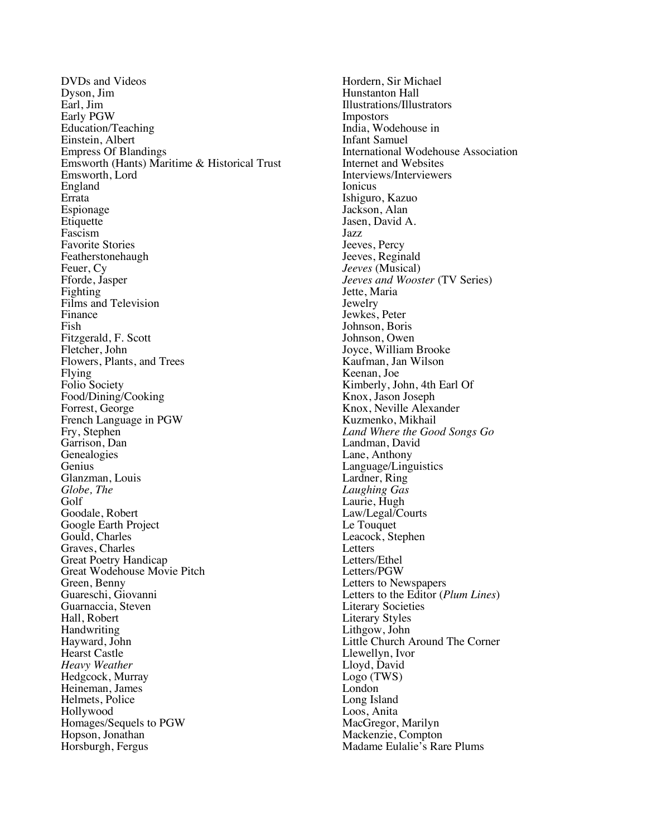DVDs and Videos Dyson, Jim Earl, Jim Early PGW Education/Teaching Einstein, Albert Empress Of Blandings Emsworth (Hants) Maritime & Historical Trust Emsworth, Lord England Errata Espionage **Etiquette** Fascism Favorite Stories Featherstonehaugh Feuer, Cy Fforde, Jasper Fighting Films and Television Finance Fish Fitzgerald, F. Scott Fletcher, John Flowers, Plants, and Trees Flying Folio Society Food/Dining/Cooking Forrest, George French Language in PGW Fry, Stephen Garrison, Dan Genealogies Genius Glanzman, Louis *Globe, The* Golf Goodale, Robert Google Earth Project Gould, Charles Graves, Charles Great Poetry Handicap Great Wodehouse Movie Pitch Green, Benny Guareschi, Giovanni Guarnaccia, Steven Hall, Robert Handwriting Hayward, John Hearst Castle *Heavy Weather* Hedgcock, Murray Heineman, James Helmets, Police Hollywood Homages/Sequels to PGW Hopson, Jonathan Horsburgh, Fergus

Hordern, Sir Michael Hunstanton Hall Illustrations/Illustrators Impostors India, Wodehouse in Infant Samuel International Wodehouse Association Internet and Websites Interviews/Interviewers Ionicus Ishiguro, Kazuo Jackson, Alan Jasen, David A. Jazz Jeeves, Percy Jeeves, Reginald *Jeeves* (Musical) *Jeeves and Wooster* (TV Series) Jette, Maria Jewelry Jewkes, Peter Johnson, Boris Johnson, Owen Joyce, William Brooke Kaufman, Jan Wilson Keenan, Joe Kimberly, John, 4th Earl Of Knox, Jason Joseph Knox, Neville Alexander Kuzmenko, Mikhail *Land Where the Good Songs Go* Landman, David Lane, Anthony Language/Linguistics Lardner, Ring *Laughing Gas* Laurie, Hugh Law/Legal/Courts Le Touquet Leacock, Stephen **Letters** Letters/Ethel Letters/PGW Letters to Newspapers Letters to the Editor (*Plum Lines*) Literary Societies Literary Styles Lithgow, John Little Church Around The Corner Llewellyn, Ivor Lloyd, David Logo (TWS) London Long Island Loos, Anita MacGregor, Marilyn Mackenzie, Compton Madame Eulalie's Rare Plums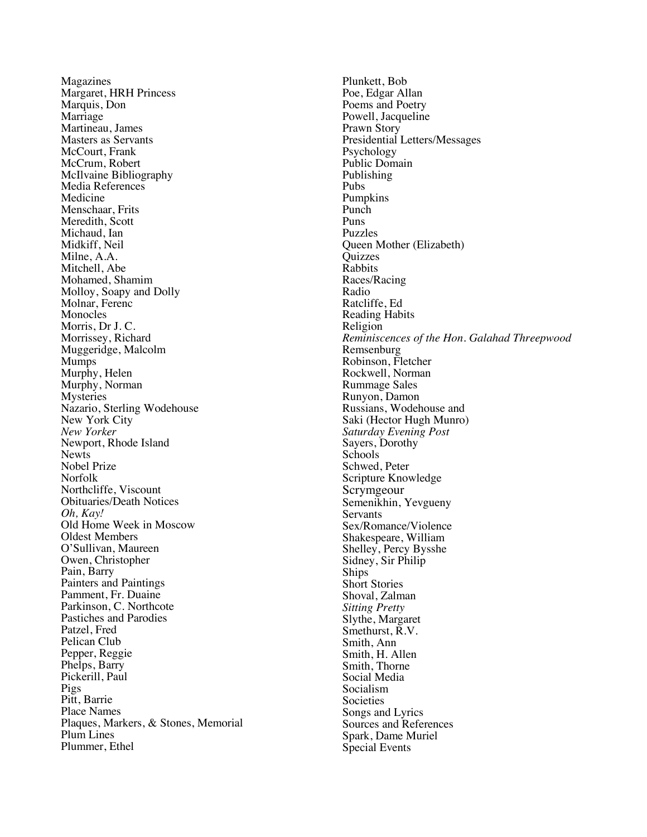Magazines Margaret, HRH Princess Marquis, Don Marriage Martineau, James Masters as Servants McCourt, Frank McCrum, Robert McIlvaine Bibliography Media References Medicine Menschaar, Frits Meredith, Scott Michaud, Ian Midkiff, Neil Milne, A.A. Mitchell, Abe Mohamed, Shamim Molloy, Soapy and Dolly Molnar, Ferenc Monocles Morris, Dr J. C. Morrissey, Richard Muggeridge, Malcolm Mumps Murphy, Helen Murphy, Norman Mysteries Nazario, Sterling Wodehouse New York City *New Yorker* Newport, Rhode Island **Newts** Nobel Prize Norfolk Northcliffe, Viscount Obituaries/Death Notices *Oh, Kay!* Old Home Week in Moscow Oldest Members O'Sullivan, Maureen Owen, Christopher Pain, Barry Painters and Paintings Pamment, Fr. Duaine Parkinson, C. Northcote Pastiches and Parodies Patzel, Fred Pelican Club Pepper, Reggie Phelps, Barry Pickerill, Paul Pigs Pitt, Barrie Place Names Plaques, Markers, & Stones, Memorial Plum Lines Plummer, Ethel

Plunkett, Bob Poe, Edgar Allan Poems and Poetry Powell, Jacqueline Prawn Story Presidential Letters/Messages Psychology Public Domain Publishing Pubs Pumpkins Punch Puns Puzzles Queen Mother (Elizabeth) **Ouizzes** Rabbits Races/Racing Radio Ratcliffe, Ed Reading Habits Religion *Reminiscences of the Hon. Galahad Threepwood* Remsenburg Robinson, Fletcher Rockwell, Norman Rummage Sales Runyon, Damon Russians, Wodehouse and Saki (Hector Hugh Munro) *Saturday Evening Post* Sayers, Dorothy Schools Schwed, Peter Scripture Knowledge Scrymgeour Semenikhin, Yevgueny **Servants** Sex/Romance/Violence Shakespeare, William Shelley, Percy Bysshe Sidney, Sir Philip Ships Short Stories Shoval, Zalman *Sitting Pretty* Slythe, Margaret Smethurst, R.V. Smith, Ann Smith, H. Allen Smith, Thorne Social Media Socialism **Societies** Songs and Lyrics Sources and References Spark, Dame Muriel Special Events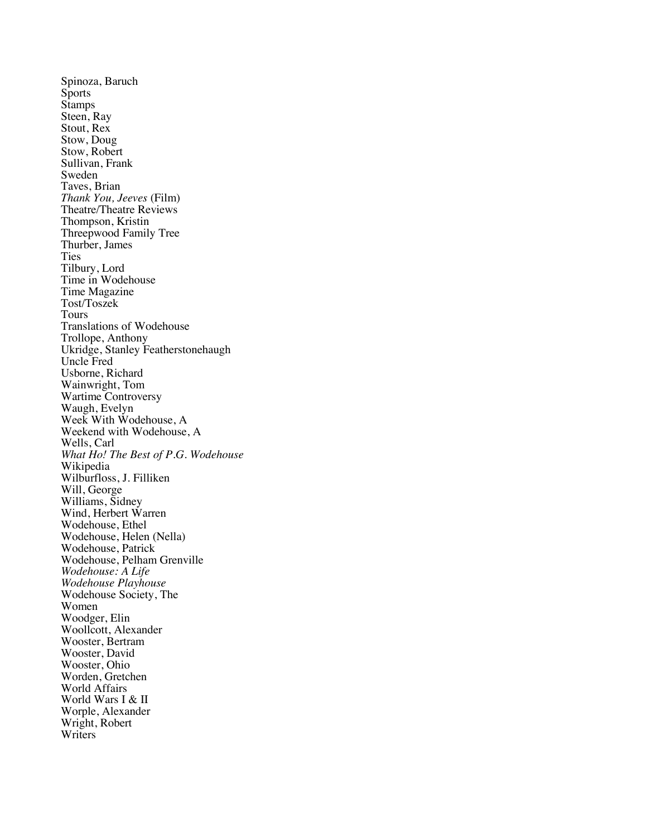Spinoza, Baruch **Sports Stamps** Steen, Ray Stout, Rex Stow, Doug Stow, Robert Sullivan, Frank Sweden Taves, Brian *Thank You, Jeeves* (Film) Theatre/Theatre Reviews Thompson, Kristin Threepwood Family Tree Thurber, James Ties Tilbury, Lord Time in Wodehouse Time Magazine Tost/Toszek Tours Translations of Wodehouse Trollope, Anthony Ukridge, Stanley Featherstonehaugh Uncle Fred Usborne, Richard Wainwright, Tom Wartime Controversy Waugh, Evelyn Week With Wodehouse, A Weekend with Wodehouse, A Wells, Carl *What Ho! The Best of P.G. Wodehouse* Wikipedia Wilburfloss, J. Filliken Will, George Williams, Sidney Wind, Herbert Warren Wodehouse, Ethel Wodehouse, Helen (Nella) Wodehouse, Patrick Wodehouse, Pelham Grenville *Wodehouse: A Life Wodehouse Playhouse* Wodehouse Society, The Women Woodger, Elin Woollcott, Alexander Wooster, Bertram Wooster, David Wooster, Ohio Worden, Gretchen World Affairs World Wars I & II Worple, Alexander Wright, Robert **Writers**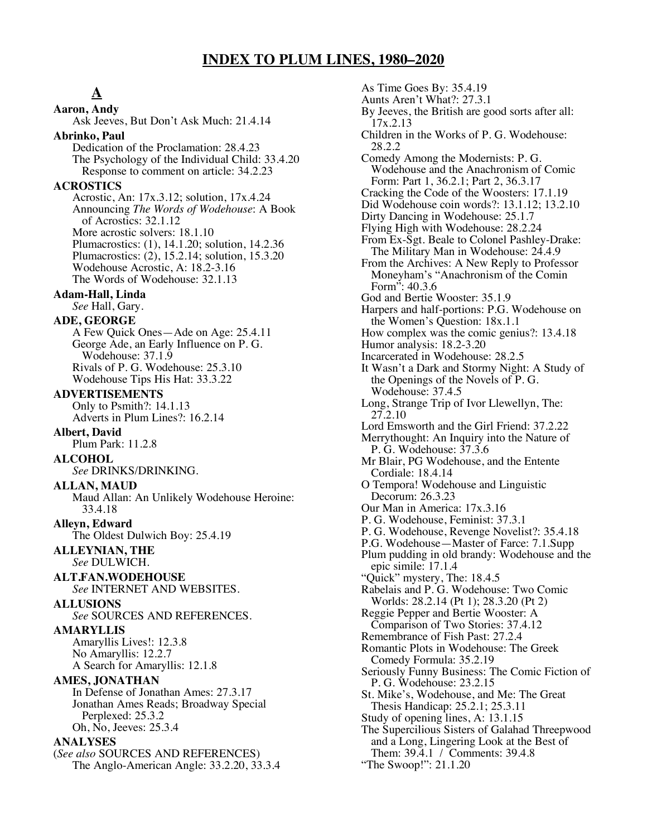# **INDEX TO PLUM LINES, 1980–2020**

**A Aaron, Andy** Ask Jeeves, But Don't Ask Much: 21.4.14 **Abrinko, Paul** Dedication of the Proclamation: 28.4.23 The Psychology of the Individual Child: 33.4.20 Response to comment on article: 34.2.23 **ACROSTICS** Acrostic, An: 17x.3.12; solution, 17x.4.24 Announcing *The Words of Wodehouse*: A Book of Acrostics: 32.1.12 More acrostic solvers: 18.1.10 Plumacrostics: (1), 14.1.20; solution, 14.2.36 Plumacrostics: (2), 15.2.14; solution, 15.3.20 Wodehouse Acrostic, A: 18.2-3.16 The Words of Wodehouse: 32.1.13 **Adam-Hall, Linda** *See* Hall, Gary. **ADE, GEORGE** A Few Quick Ones—Ade on Age: 25.4.11 George Ade, an Early Influence on P. G. Wodehouse: 37.1.9 Rivals of P. G. Wodehouse: 25.3.10 Wodehouse Tips His Hat: 33.3.22 **ADVERTISEMENTS** Only to Psmith?: 14.1.13 Adverts in Plum Lines?: 16.2.14 **Albert, David** Plum Park: 11.2.8 **ALCOHOL** *See* DRINKS/DRINKING. **ALLAN, MAUD** Maud Allan: An Unlikely Wodehouse Heroine: 33.4.18 **Alleyn, Edward** The Oldest Dulwich Boy: 25.4.19 **ALLEYNIAN, THE** *See* DULWICH. **ALT.FAN.WODEHOUSE** *See* INTERNET AND WEBSITES. **ALLUSIONS** *See* SOURCES AND REFERENCES. **AMARYLLIS** Amaryllis Lives!: 12.3.8 No Amaryllis: 12.2.7 A Search for Amaryllis: 12.1.8

# **AMES, JONATHAN**

In Defense of Jonathan Ames: 27.3.17 Jonathan Ames Reads; Broadway Special Perplexed: 25.3.2 Oh, No, Jeeves: 25.3.4

#### **ANALYSES**

(*See also* SOURCES AND REFERENCES) The Anglo-American Angle: 33.2.20, 33.3.4

As Time Goes By: 35.4.19 Aunts Aren't What?: 27.3.1 By Jeeves, the British are good sorts after all: 17x.2.13 Children in the Works of P. G. Wodehouse: 28.2.2 Comedy Among the Modernists: P. G. Wodehouse and the Anachronism of Comic Form: Part 1, 36.2.1; Part 2, 36.3.17 Cracking the Code of the Woosters: 17.1.19 Did Wodehouse coin words?: 13.1.12; 13.2.10 Dirty Dancing in Wodehouse: 25.1.7 Flying High with Wodehouse: 28.2.24 From Ex-Sgt. Beale to Colonel Pashley-Drake: The Military Man in Wodehouse: 24.4.9 From the Archives: A New Reply to Professor Moneyham's "Anachronism of the Comin Form": 40.3.6 God and Bertie Wooster: 35.1.9 Harpers and half-portions: P.G. Wodehouse on the Women's Question: 18x.1.1 How complex was the comic genius?: 13.4.18 Humor analysis: 18.2-3.20 Incarcerated in Wodehouse: 28.2.5 It Wasn't a Dark and Stormy Night: A Study of the Openings of the Novels of P. G. Wodehouse: 37.4.5 Long, Strange Trip of Ivor Llewellyn, The: 27.2.10 Lord Emsworth and the Girl Friend: 37.2.22 Merrythought: An Inquiry into the Nature of P. G. Wodehouse: 37.3.6 Mr Blair, PG Wodehouse, and the Entente Cordiale: 18.4.14 O Tempora! Wodehouse and Linguistic Decorum: 26.3.23 Our Man in America: 17x.3.16 P. G. Wodehouse, Feminist: 37.3.1 P. G. Wodehouse, Revenge Novelist?: 35.4.18 P.G. Wodehouse—Master of Farce: 7.1.Supp Plum pudding in old brandy: Wodehouse and the epic simile: 17.1.4 "Quick" mystery, The: 18.4.5 Rabelais and P. G. Wodehouse: Two Comic Worlds: 28.2.14 (Pt 1); 28.3.20 (Pt 2) Reggie Pepper and Bertie Wooster: A Comparison of Two Stories: 37.4.12 Remembrance of Fish Past: 27.2.4 Romantic Plots in Wodehouse: The Greek Comedy Formula: 35.2.19 Seriously Funny Business: The Comic Fiction of P. G. Wodehouse: 23.2.15 St. Mike's, Wodehouse, and Me: The Great Thesis Handicap: 25.2.1; 25.3.11 Study of opening lines, A: 13.1.15 The Supercilious Sisters of Galahad Threepwood and a Long, Lingering Look at the Best of Them: 39.4.1 / Comments: 39.4.8 "The Swoop!": 21.1.20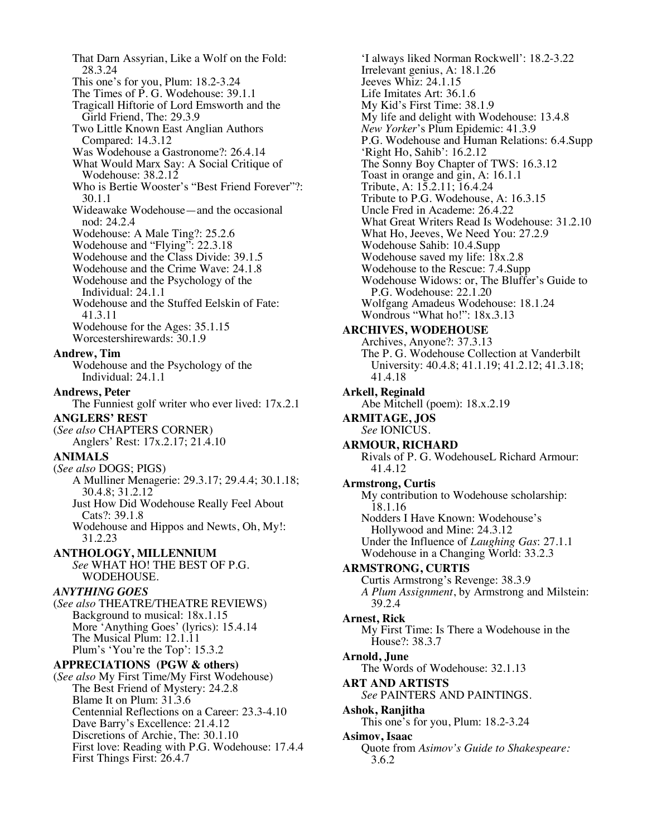That Darn Assyrian, Like a Wolf on the Fold: 28.3.24 This one's for you, Plum: 18.2-3.24 The Times of P. G. Wodehouse: 39.1.1 Tragicall Hiftorie of Lord Emsworth and the Girld Friend, The: 29.3.9 Two Little Known East Anglian Authors Compared: 14.3.12 Was Wodehouse a Gastronome?: 26.4.14 What Would Marx Say: A Social Critique of Wodehouse: 38.2.12 Who is Bertie Wooster's "Best Friend Forever"?: 30.1.1 Wideawake Wodehouse—and the occasional nod: 24.2.4 Wodehouse: A Male Ting?: 25.2.6 Wodehouse and "Flying": 22.3.18 Wodehouse and the Class Divide: 39.1.5 Wodehouse and the Crime Wave: 24.1.8 Wodehouse and the Psychology of the Individual: 24.1.1 Wodehouse and the Stuffed Eelskin of Fate: 41.3.11 Wodehouse for the Ages: 35.1.15 Worcestershirewards: 30.1.9 **Andrew, Tim** Wodehouse and the Psychology of the Individual: 24.1.1 **Andrews, Peter** The Funniest golf writer who ever lived: 17x.2.1 **ANGLERS' REST** (*See also* CHAPTERS CORNER) Anglers' Rest: 17x.2.17; 21.4.10 **ANIMALS**  (*See also* DOGS; PIGS) A Mulliner Menagerie: 29.3.17; 29.4.4; 30.1.18; 30.4.8; 31.2.12 Just How Did Wodehouse Really Feel About Cats?: 39.1.8 Wodehouse and Hippos and Newts, Oh, My!: 31.2.23 **ANTHOLOGY, MILLENNIUM** *See* WHAT HO! THE BEST OF P.G. WODEHOUSE. *ANYTHING GOES* (*See also* THEATRE/THEATRE REVIEWS) Background to musical: 18x.1.15 More 'Anything Goes' (lyrics): 15.4.14 The Musical Plum: 12.1.11 Plum's 'You're the Top': 15.3.2 **APPRECIATIONS (PGW & others)** (*See also* My First Time/My First Wodehouse) The Best Friend of Mystery: 24.2.8 Blame It on Plum: 31.3.6 Centennial Reflections on a Career: 23.3-4.10 Dave Barry's Excellence: 21.4.12 Discretions of Archie, The: 30.1.10 First love: Reading with P.G. Wodehouse: 17.4.4 First Things First: 26.4.7

'I always liked Norman Rockwell': 18.2-3.22 Irrelevant genius, A: 18.1.26 Jeeves Whiz: 24.1.15 Life Imitates Art: 36.1.6 My Kid's First Time: 38.1.9 My life and delight with Wodehouse: 13.4.8 *New Yorker*'s Plum Epidemic: 41.3.9 P.G. Wodehouse and Human Relations: 6.4.Supp 'Right Ho, Sahib': 16.2.12 The Sonny Boy Chapter of TWS: 16.3.12 Toast in orange and gin, A: 16.1.1 Tribute, A: 15.2.11; 16.4.24 Tribute to P.G. Wodehouse, A: 16.3.15 Uncle Fred in Academe: 26.4.22 What Great Writers Read Is Wodehouse: 31.2.10 What Ho, Jeeves, We Need You: 27.2.9 Wodehouse Sahib: 10.4.Supp Wodehouse saved my life:  $18x.2.8$ Wodehouse to the Rescue: 7.4.Supp Wodehouse Widows: or, The Bluffer's Guide to P.G. Wodehouse: 22.1.20 Wolfgang Amadeus Wodehouse: 18.1.24 Wondrous "What ho!": 18x.3.13 **ARCHIVES, WODEHOUSE** Archives, Anyone?: 37.3.13 The P. G. Wodehouse Collection at Vanderbilt University: 40.4.8; 41.1.19; 41.2.12; 41.3.18; 41.4.18 **Arkell, Reginald** Abe Mitchell (poem): 18.x.2.19 **ARMITAGE, JOS** *See* IONICUS. **ARMOUR, RICHARD** Rivals of P. G. WodehouseL Richard Armour: 41.4.12 **Armstrong, Curtis** My contribution to Wodehouse scholarship: 18.1.16 Nodders I Have Known: Wodehouse's Hollywood and Mine: 24.3.12 Under the Influence of *Laughing Gas*: 27.1.1 Wodehouse in a Changing World: 33.2.3 **ARMSTRONG, CURTIS** Curtis Armstrong's Revenge: 38.3.9 *A Plum Assignment*, by Armstrong and Milstein: 39.2.4 **Arnest, Rick** My First Time: Is There a Wodehouse in the House?: 38.3.7 **Arnold, June** The Words of Wodehouse: 32.1.13 **ART AND ARTISTS** *See* PAINTERS AND PAINTINGS. **Ashok, Ranjitha** This one's for you, Plum: 18.2-3.24 **Asimov, Isaac** Quote from *Asimov's Guide to Shakespeare:* 3.6.2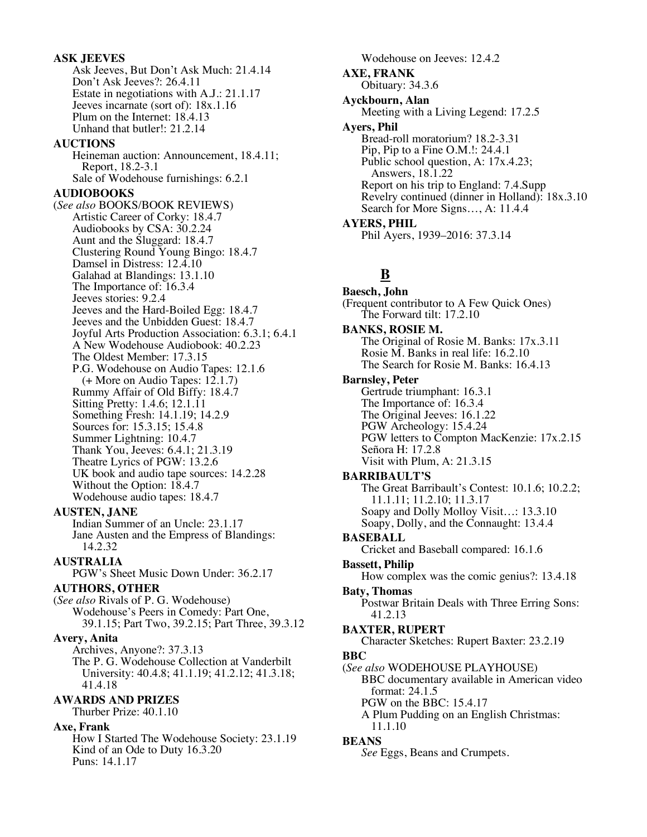# **ASK JEEVES**

Ask Jeeves, But Don't Ask Much: 21.4.14 Don't Ask Jeeves?: 26.4.11 Estate in negotiations with A.J.: 21.1.17 Jeeves incarnate (sort of): 18x.1.16 Plum on the Internet: 18.4.13 Unhand that butler!: 21.2.14 **AUCTIONS** Heineman auction: Announcement, 18.4.11; Report, 18.2-3.1 Sale of Wodehouse furnishings: 6.2.1 **AUDIOBOOKS** (*See also* BOOKS/BOOK REVIEWS) Artistic Career of Corky: 18.4.7 Audiobooks by CSA: 30.2.24 Aunt and the Sluggard: 18.4.7 Clustering Round Young Bingo: 18.4.7 Damsel in Distress: 12.4.10 Galahad at Blandings: 13.1.10 The Importance of: 16.3.4 Jeeves stories: 9.2.4 Jeeves and the Hard-Boiled Egg: 18.4.7 Jeeves and the Unbidden Guest: 18.4.7 Joyful Arts Production Association: 6.3.1; 6.4.1 A New Wodehouse Audiobook: 40.2.23 The Oldest Member: 17.3.15 P.G. Wodehouse on Audio Tapes: 12.1.6  $(+$  More on Audio Tapes: 12.1.7) Rummy Affair of Old Biffy: 18.4.7 Sitting Pretty: 1.4.6; 12.1.11 Something Fresh: 14.1.19; 14.2.9 Sources for: 15.3.15; 15.4.8 Summer Lightning: 10.4.7 Thank You, Jeeves: 6.4.1; 21.3.19 Theatre Lyrics of PGW: 13.2.6 UK book and audio tape sources: 14.2.28 Without the Option: 18.4.7 Wodehouse audio tapes: 18.4.7 **AUSTEN, JANE** Indian Summer of an Uncle: 23.1.17

Jane Austen and the Empress of Blandings: 14.2.32

**AUSTRALIA**

PGW's Sheet Music Down Under: 36.2.17

**AUTHORS, OTHER**

(*See also* Rivals of P. G. Wodehouse) Wodehouse's Peers in Comedy: Part One, 39.1.15; Part Two, 39.2.15; Part Three, 39.3.12

**Avery, Anita**

Archives, Anyone?: 37.3.13 The P. G. Wodehouse Collection at Vanderbilt University: 40.4.8; 41.1.19; 41.2.12; 41.3.18; 41.4.18

**AWARDS AND PRIZES**

Thurber Prize: 40.1.10

**Axe, Frank**

How I Started The Wodehouse Society: 23.1.19 Kind of an Ode to Duty 16.3.20 Puns: 14.1.17

Wodehouse on Jeeves: 12.4.2 **AXE, FRANK** Obituary: 34.3.6 **Ayckbourn, Alan** Meeting with a Living Legend: 17.2.5 **Ayers, Phil** Bread-roll moratorium? 18.2-3.31 Pip, Pip to a Fine O.M.!: 24.4.1 Public school question, A: 17x.4.23; Answers, 18.1.22 Report on his trip to England: 7.4.Supp Revelry continued (dinner in Holland): 18x.3.10 Search for More Signs…, A: 11.4.4 **AYERS, PHIL** Phil Ayers, 1939–2016: 37.3.14

# **B**

**Baesch, John** (Frequent contributor to A Few Quick Ones) The Forward tilt: 17.2.10 **BANKS, ROSIE M.** The Original of Rosie M. Banks: 17x.3.11 Rosie M. Banks in real life: 16.2.10 The Search for Rosie M. Banks: 16.4.13 **Barnsley, Peter** Gertrude triumphant: 16.3.1 The Importance of: 16.3.4 The Original Jeeves: 16.1.22 PGW Archeology: 15.4.24 PGW letters to Compton MacKenzie: 17x.2.15 Señora H: 17.2.8 Visit with Plum, A: 21.3.15 **BARRIBAULT'S** The Great Barribault's Contest: 10.1.6; 10.2.2; 11.1.11; 11.2.10; 11.3.17 Soapy and Dolly Molloy Visit…: 13.3.10 Soapy, Dolly, and the Connaught: 13.4.4 **BASEBALL** Cricket and Baseball compared: 16.1.6 **Bassett, Philip** How complex was the comic genius?: 13.4.18 **Baty, Thomas** Postwar Britain Deals with Three Erring Sons: 41.2.13 **BAXTER, RUPERT** Character Sketches: Rupert Baxter: 23.2.19 **BBC** (*See also* WODEHOUSE PLAYHOUSE) BBC documentary available in American video format: 24.1.5 PGW on the BBC: 15.4.17 A Plum Pudding on an English Christmas: 11.1.10 **BEANS** *See* Eggs, Beans and Crumpets.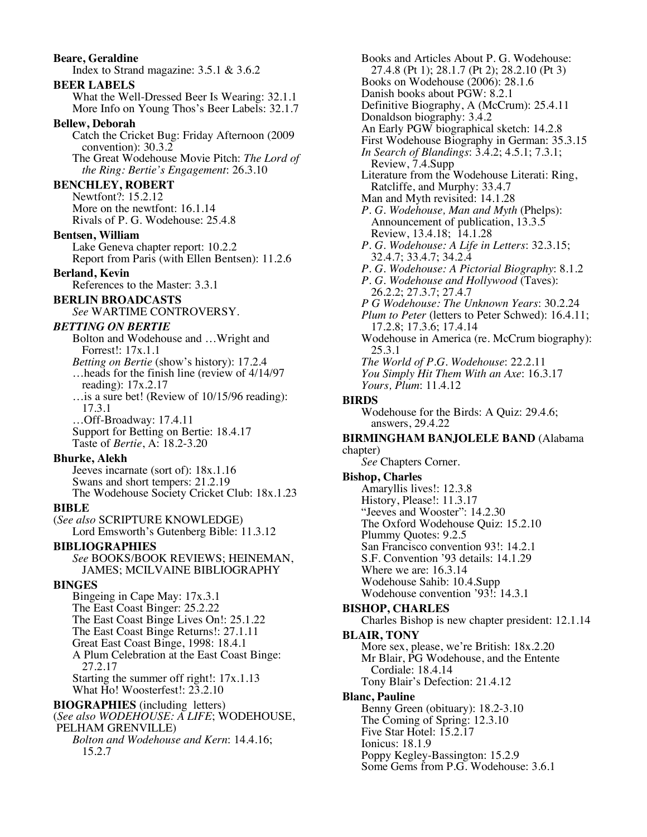# Index to Strand magazine: 3.5.1 & 3.6.2 **BEER LABELS** What the Well-Dressed Beer Is Wearing: 32.1.1 More Info on Young Thos's Beer Labels: 32.1.7 **Bellew, Deborah** Catch the Cricket Bug: Friday Afternoon (2009 convention): 30.3.2 The Great Wodehouse Movie Pitch: *The Lord of the Ring: Bertie's Engagement*: 26.3.10 **BENCHLEY, ROBERT** Newtfont?: 15.2.12 More on the newtfont: 16.1.14 Rivals of P. G. Wodehouse: 25.4.8 **Bentsen, William** Lake Geneva chapter report: 10.2.2 Report from Paris (with Ellen Bentsen): 11.2.6 **Berland, Kevin** References to the Master: 3.3.1 **BERLIN BROADCASTS** *See* WARTIME CONTROVERSY. *BETTING ON BERTIE* Bolton and Wodehouse and …Wright and Forrest!: 17x.1.1 *Betting on Bertie* (show's history): 17.2.4 …heads for the finish line (review of 4/14/97 reading): 17x.2.17 …is a sure bet! (Review of 10/15/96 reading): 17.3.1 …Off-Broadway: 17.4.11 Support for Betting on Bertie: 18.4.17 Taste of *Bertie*, A: 18.2-3.20 **Bhurke, Alekh** Jeeves incarnate (sort of): 18x.1.16 Swans and short tempers: 21.2.19 The Wodehouse Society Cricket Club: 18x.1.23 **BIBLE** (*See also* SCRIPTURE KNOWLEDGE) Lord Emsworth's Gutenberg Bible: 11.3.12 **BIBLIOGRAPHIES** *See* BOOKS/BOOK REVIEWS; HEINEMAN, JAMES; MCILVAINE BIBLIOGRAPHY **BINGES** Bingeing in Cape May: 17x.3.1 The East Coast Binger: 25.2.22 The East Coast Binge Lives On!: 25.1.22 The East Coast Binge Returns!: 27.1.11 Great East Coast Binge, 1998: 18.4.1 A Plum Celebration at the East Coast Binge: 27.2.17 Starting the summer off right!: 17x.1.13 What Ho! Woosterfest!: 23.2.10 **BIOGRAPHIES** (including letters) (*See also WODEHOUSE: A LIFE*; WODEHOUSE, PELHAM GRENVILLE) *Bolton and Wodehouse and Kern*: 14.4.16; 15.2.7

**Beare, Geraldine**

Books and Articles About P. G. Wodehouse: 27.4.8 (Pt 1); 28.1.7 (Pt 2); 28.2.10 (Pt 3) Books on Wodehouse (2006): 28.1.6 Danish books about PGW: 8.2.1 Definitive Biography, A (McCrum): 25.4.11 Donaldson biography: 3.4.2 An Early PGW biographical sketch: 14.2.8 First Wodehouse Biography in German: 35.3.15 *In Search of Blandings*: 3.4.2; 4.5.1; 7.3.1; Review, 7.4.Supp Literature from the Wodehouse Literati: Ring, Ratcliffe, and Murphy: 33.4.7 Man and Myth revisited: 14.1.28 *P. G. Wodehouse, Man and Myth* (Phelps): Announcement of publication, 13.3.5 Review, 13.4.18; 14.1.28 *P. G. Wodehouse: A Life in Letters*: 32.3.15; 32.4.7; 33.4.7; 34.2.4 *P. G. Wodehouse: A Pictorial Biography*: 8.1.2 *P. G. Wodehouse and Hollywood* (Taves): 26.2.2; 27.3.7; 27.4.7 *P G Wodehouse: The Unknown Years*: 30.2.24 *Plum to Peter* (letters to Peter Schwed): 16.4.11; 17.2.8; 17.3.6; 17.4.14 Wodehouse in America (re. McCrum biography): 25.3.1 *The World of P.G. Wodehouse*: 22.2.11 *You Simply Hit Them With an Axe*: 16.3.17 *Yours, Plum*: 11.4.12 **BIRDS** Wodehouse for the Birds: A Quiz: 29.4.6; answers, 29.4.22 **BIRMINGHAM BANJOLELE BAND** (Alabama chapter) *See* Chapters Corner. **Bishop, Charles** Amaryllis lives!: 12.3.8 History, Please!: 11.3.17 "Jeeves and Wooster": 14.2.30 The Oxford Wodehouse Quiz: 15.2.10 Plummy Quotes: 9.2.5 San Francisco convention 93!: 14.2.1 S.F. Convention '93 details: 14.1.29 Where we are: 16.3.14 Wodehouse Sahib: 10.4.Supp Wodehouse convention '93!: 14.3.1 **BISHOP, CHARLES** Charles Bishop is new chapter president: 12.1.14 **BLAIR, TONY** More sex, please, we're British: 18x.2.20 Mr Blair, PG Wodehouse, and the Entente Cordiale: 18.4.14 Tony Blair's Defection: 21.4.12 **Blanc, Pauline** Benny Green (obituary): 18.2-3.10 The Coming of Spring: 12.3.10 Five Star Hotel: 15.2.17 Ionicus: 18.1.9 Poppy Kegley-Bassington: 15.2.9 Some Gems from P.G. Wodehouse: 3.6.1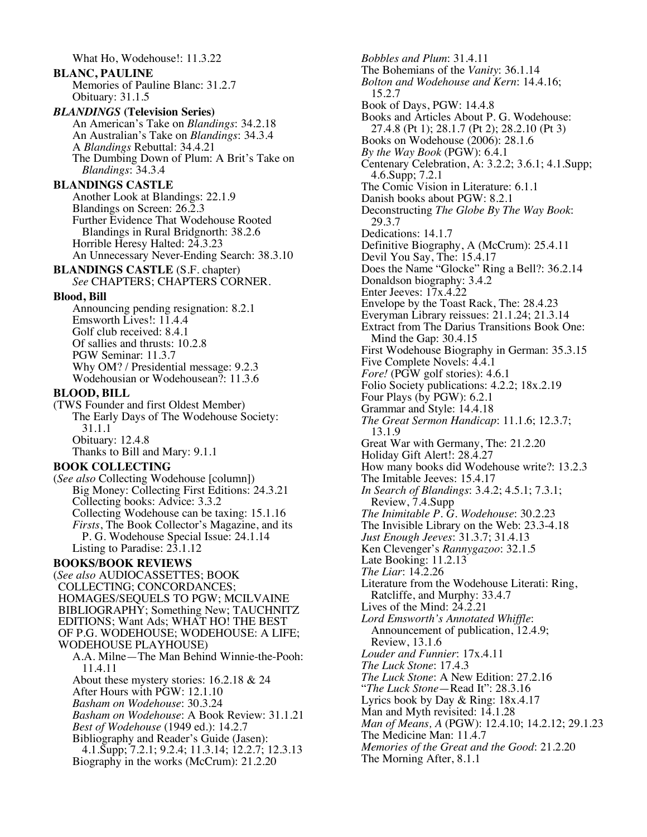What Ho, Wodehouse!: 11.3.22 **BLANC, PAULINE** Memories of Pauline Blanc: 31.2.7 Obituary: 31.1.5 *BLANDINGS* **(Television Series)** An American's Take on *Blandings*: 34.2.18 An Australian's Take on *Blandings*: 34.3.4 A *Blandings* Rebuttal: 34.4.21 The Dumbing Down of Plum: A Brit's Take on *Blandings*: 34.3.4 **BLANDINGS CASTLE** Another Look at Blandings: 22.1.9 Blandings on Screen: 26.2.3 Further Evidence That Wodehouse Rooted Blandings in Rural Bridgnorth: 38.2.6 Horrible Heresy Halted: 24.3.23 An Unnecessary Never-Ending Search: 38.3.10 **BLANDINGS CASTLE** (S.F. chapter) *See* CHAPTERS; CHAPTERS CORNER. **Blood, Bill** Announcing pending resignation: 8.2.1 Emsworth Lives!: 11.4.4 Golf club received: 8.4.1 Of sallies and thrusts: 10.2.8 PGW Seminar: 11.3.7 Why OM? / Presidential message: 9.2.3 Wodehousian or Wodehousean?: 11.3.6 **BLOOD, BILL** (TWS Founder and first Oldest Member) The Early Days of The Wodehouse Society: 31.1.1 Obituary: 12.4.8 Thanks to Bill and Mary: 9.1.1 **BOOK COLLECTING** (*See also* Collecting Wodehouse [column]) Big Money: Collecting First Editions: 24.3.21 Collecting books: Advice: 3.3.2 Collecting Wodehouse can be taxing: 15.1.16 *Firsts*, The Book Collector's Magazine, and its P. G. Wodehouse Special Issue: 24.1.14 Listing to Paradise: 23.1.12 **BOOKS/BOOK REVIEWS** (*See also* AUDIOCASSETTES; BOOK COLLECTING; CONCORDANCES; HOMAGES/SEQUELS TO PGW; MCILVAINE BIBLIOGRAPHY; Something New; TAUCHNITZ EDITIONS; Want Ads; WHAT HO! THE BEST OF P.G. WODEHOUSE; WODEHOUSE: A LIFE; WODEHOUSE PLAYHOUSE) A.A. Milne—The Man Behind Winnie-the-Pooh: 11.4.11 About these mystery stories: 16.2.18 & 24 After Hours with PGW: 12.1.10 *Basham on Wodehouse*: 30.3.24 *Basham on Wodehouse*: A Book Review: 31.1.21 *Best of Wodehouse* (1949 ed.): 14.2.7 Bibliography and Reader's Guide (Jasen): 4.1.Supp; 7.2.1; 9.2.4; 11.3.14; 12.2.7; 12.3.13 Biography in the works (McCrum): 21.2.20

*Bobbles and Plum*: 31.4.11 The Bohemians of the *Vanity*: 36.1.14 *Bolton and Wodehouse and Kern*: 14.4.16; 15.2.7 Book of Days, PGW: 14.4.8 Books and Articles About P. G. Wodehouse: 27.4.8 (Pt 1); 28.1.7 (Pt 2); 28.2.10 (Pt 3) Books on Wodehouse (2006): 28.1.6 *By the Way Book* (PGW): 6.4.1 Centenary Celebration, A: 3.2.2; 3.6.1; 4.1.Supp; 4.6.Supp; 7.2.1 The Comic Vision in Literature: 6.1.1 Danish books about PGW: 8.2.1 Deconstructing *The Globe By The Way Book*: 29.3.7 Dedications: 14.1.7 Definitive Biography, A (McCrum): 25.4.11 Devil You Say, The: 15.4.17 Does the Name "Glocke" Ring a Bell?: 36.2.14 Donaldson biography: 3.4.2 Enter Jeeves: 17x.4.22 Envelope by the Toast Rack, The: 28.4.23 Everyman Library reissues: 21.1.24; 21.3.14 Extract from The Darius Transitions Book One: Mind the Gap: 30.4.15 First Wodehouse Biography in German: 35.3.15 Five Complete Novels: 4.4.1 *Fore!* (PGW golf stories): 4.6.1 Folio Society publications: 4.2.2; 18x.2.19 Four Plays (by PGW): 6.2.1 Grammar and Style: 14.4.18 *The Great Sermon Handicap*: 11.1.6; 12.3.7; 13.1.9 Great War with Germany, The: 21.2.20 Holiday Gift Alert!: 28.4.27 How many books did Wodehouse write?: 13.2.3 The Imitable Jeeves: 15.4.17 *In Search of Blandings*: 3.4.2; 4.5.1; 7.3.1; Review, 7.4.Supp *The Inimitable P. G. Wodehouse*: 30.2.23 The Invisible Library on the Web: 23.3-4.18 *Just Enough Jeeves*: 31.3.7; 31.4.13 Ken Clevenger's *Rannygazoo*: 32.1.5 Late Booking: 11.2.13 *The Liar*: 14.2.26 Literature from the Wodehouse Literati: Ring, Ratcliffe, and Murphy: 33.4.7 Lives of the Mind: 24.2.21 *Lord Emsworth's Annotated Whiffle*: Announcement of publication, 12.4.9; Review, 13.1.6 *Louder and Funnier*: 17x.4.11 *The Luck Stone*: 17.4.3 *The Luck Stone*: A New Edition: 27.2.16 "*The Luck Stone*—Read It": 28.3.16 Lyrics book by Day & Ring: 18x.4.17 Man and Myth revisited: 14.1.28 *Man of Means, A* (PGW): 12.4.10; 14.2.12; 29.1.23 The Medicine Man: 11.4.7 *Memories of the Great and the Good*: 21.2.20 The Morning After, 8.1.1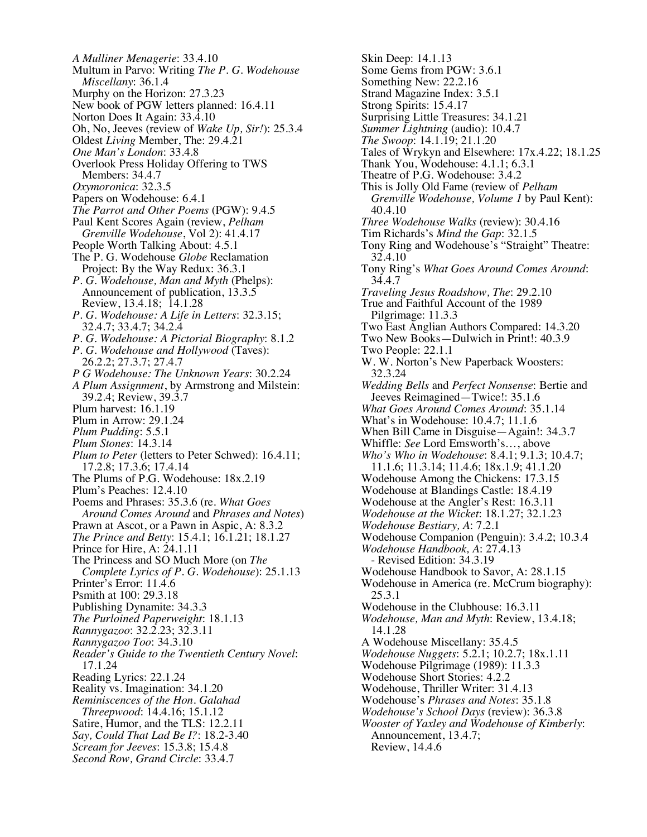*A Mulliner Menagerie*: 33.4.10 Multum in Parvo: Writing *The P. G. Wodehouse Miscellany*: 36.1.4 Murphy on the Horizon: 27.3.23 New book of PGW letters planned: 16.4.11 Norton Does It Again: 33.4.10 Oh, No, Jeeves (review of *Wake Up, Sir!*): 25.3.4 Oldest *Living* Member, The: 29.4.21 *One Man's London*: 33.4.8 Overlook Press Holiday Offering to TWS Members: 34.4.7 *Oxymoronica*: 32.3.5 Papers on Wodehouse: 6.4.1 *The Parrot and Other Poems* (PGW): 9.4.5 Paul Kent Scores Again (review, *Pelham Grenville Wodehouse*, Vol 2): 41.4.17 People Worth Talking About: 4.5.1 The P. G. Wodehouse *Globe* Reclamation Project: By the Way Redux: 36.3.1 *P. G. Wodehouse, Man and Myth* (Phelps): Announcement of publication, 13.3.5 Review, 13.4.18; 14.1.28 *P. G. Wodehouse: A Life in Letters*: 32.3.15; 32.4.7; 33.4.7; 34.2.4 *P. G. Wodehouse: A Pictorial Biography*: 8.1.2 *P. G. Wodehouse and Hollywood* (Taves): 26.2.2; 27.3.7; 27.4.7 *P G Wodehouse: The Unknown Years*: 30.2.24 *A Plum Assignment*, by Armstrong and Milstein: 39.2.4; Review, 39.3.7 Plum harvest: 16.1.19 Plum in Arrow: 29.1.24 *Plum Pudding*: 5.5.1 *Plum Stones*: 14.3.14 *Plum to Peter* (letters to Peter Schwed): 16.4.11; 17.2.8; 17.3.6; 17.4.14 The Plums of P.G. Wodehouse: 18x.2.19 Plum's Peaches: 12.4.10 Poems and Phrases: 35.3.6 (re. *What Goes Around Comes Around* and *Phrases and Notes*) Prawn at Ascot, or a Pawn in Aspic, A: 8.3.2 *The Prince and Betty*: 15.4.1; 16.1.21; 18.1.27 Prince for Hire, A: 24.1.11 The Princess and SO Much More (on *The Complete Lyrics of P. G. Wodehouse*): 25.1.13 Printer's Error: 11.4.6 Psmith at 100: 29.3.18 Publishing Dynamite: 34.3.3 *The Purloined Paperweight*: 18.1.13 *Rannygazoo*: 32.2.23; 32.3.11 *Rannygazoo Too*: 34.3.10 *Reader's Guide to the Twentieth Century Novel*: 17.1.24 Reading Lyrics: 22.1.24 Reality vs. Imagination: 34.1.20 *Reminiscences of the Hon. Galahad Threepwood*: 14.4.16; 15.1.12 Satire, Humor, and the TLS: 12.2.11 *Say, Could That Lad Be I?*: 18.2-3.40 *Scream for Jeeves*: 15.3.8; 15.4.8 *Second Row, Grand Circle*: 33.4.7

Skin Deep: 14.1.13 Some Gems from PGW: 3.6.1 Something New: 22.2.16 Strand Magazine Index: 3.5.1 Strong Spirits: 15.4.17 Surprising Little Treasures: 34.1.21 *Summer Lightning* (audio): 10.4.7 *The Swoop*: 14.1.19; 21.1.20 Tales of Wrykyn and Elsewhere: 17x.4.22; 18.1.25 Thank You, Wodehouse: 4.1.1; 6.3.1 Theatre of P.G. Wodehouse: 3.4.2 This is Jolly Old Fame (review of *Pelham Grenville Wodehouse, Volume 1* by Paul Kent): 40.4.10 *Three Wodehouse Walks* (review): 30.4.16 Tim Richards's *Mind the Gap*: 32.1.5 Tony Ring and Wodehouse's "Straight" Theatre: 32.4.10 Tony Ring's *What Goes Around Comes Around*: 34.4.7 *Traveling Jesus Roadshow, The*: 29.2.10 True and Faithful Account of the 1989 Pilgrimage: 11.3.3 Two East Anglian Authors Compared: 14.3.20 Two New Books—Dulwich in Print!: 40.3.9 Two People: 22.1.1 W. W. Norton's New Paperback Woosters: 32.3.24 *Wedding Bells* and *Perfect Nonsense*: Bertie and Jeeves Reimagined—Twice!: 35.1.6 *What Goes Around Comes Around*: 35.1.14 What's in Wodehouse: 10.4.7; 11.1.6 When Bill Came in Disguise—Again!: 34.3.7 Whiffle: *See* Lord Emsworth's…, above *Who's Who in Wodehouse*: 8.4.1; 9.1.3; 10.4.7; 11.1.6; 11.3.14; 11.4.6; 18x.1.9; 41.1.20 Wodehouse Among the Chickens: 17.3.15 Wodehouse at Blandings Castle: 18.4.19 Wodehouse at the Angler's Rest: 16.3.11 *Wodehouse at the Wicket*: 18.1.27; 32.1.23 *Wodehouse Bestiary, A*: 7.2.1 Wodehouse Companion (Penguin): 3.4.2; 10.3.4 *Wodehouse Handbook, A*: 27.4.13 - Revised Edition: 34.3.19 Wodehouse Handbook to Savor, A: 28.1.15 Wodehouse in America (re. McCrum biography): 25.3.1 Wodehouse in the Clubhouse: 16.3.11 *Wodehouse, Man and Myth*: Review, 13.4.18; 14.1.28 A Wodehouse Miscellany: 35.4.5 *Wodehouse Nuggets*: 5.2.1; 10.2.7; 18x.1.11 Wodehouse Pilgrimage (1989): 11.3.3 Wodehouse Short Stories: 4.2.2 Wodehouse, Thriller Writer: 31.4.13 Wodehouse's *Phrases and Notes*: 35.1.8 *Wodehouse's School Days* (review): 36.3.8 *Wooster of Yaxley and Wodehouse of Kimberly*: Announcement, 13.4.7; Review, 14.4.6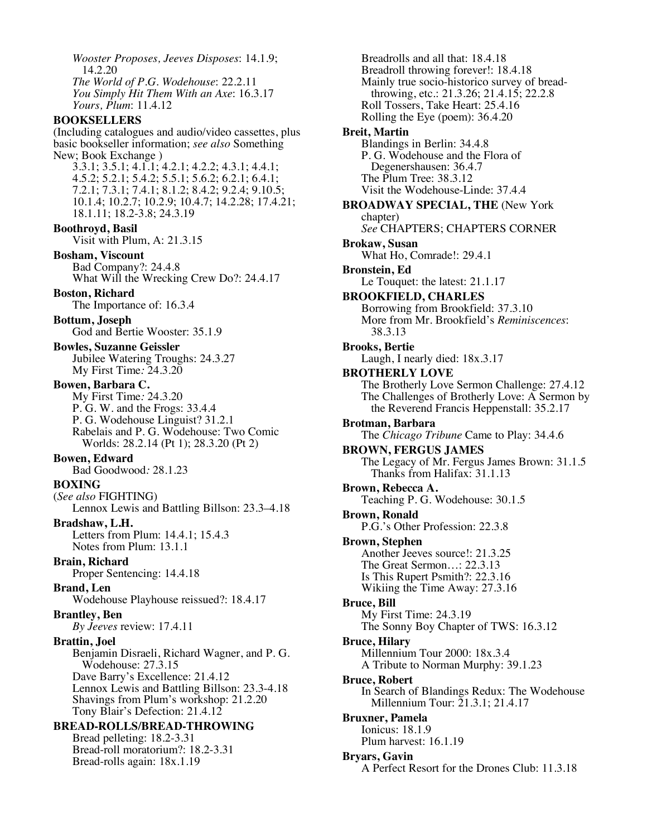*Wooster Proposes, Jeeves Disposes*: 14.1.9; 14.2.20 *The World of P.G. Wodehouse*: 22.2.11 *You Simply Hit Them With an Axe*: 16.3.17 *Yours, Plum*: 11.4.12 **BOOKSELLERS** (Including catalogues and audio/video cassettes, plus basic bookseller information; *see also* Something New; Book Exchange ) 3.3.1; 3.5.1; 4.1.1; 4.2.1; 4.2.2; 4.3.1; 4.4.1; 4.5.2; 5.2.1; 5.4.2; 5.5.1; 5.6.2; 6.2.1; 6.4.1; 7.2.1; 7.3.1; 7.4.1; 8.1.2; 8.4.2; 9.2.4; 9.10.5; 10.1.4; 10.2.7; 10.2.9; 10.4.7; 14.2.28; 17.4.21; 18.1.11; 18.2-3.8; 24.3.19 **Boothroyd, Basil** Visit with Plum, A: 21.3.15 **Bosham, Viscount** Bad Company?: 24.4.8 What Will the Wrecking Crew Do?: 24.4.17 **Boston, Richard** The Importance of: 16.3.4 **Bottum, Joseph** God and Bertie Wooster: 35.1.9 **Bowles, Suzanne Geissler** Jubilee Watering Troughs: 24.3.27 My First Time*:* 24.3.20 **Bowen, Barbara C.** My First Time*:* 24.3.20 P. G. W. and the Frogs: 33.4.4 P. G. Wodehouse Linguist? 31.2.1 Rabelais and P. G. Wodehouse: Two Comic Worlds: 28.2.14 (Pt 1); 28.3.20 (Pt 2) **Bowen, Edward** Bad Goodwood*:* 28.1.23 **BOXING** (*See also* FIGHTING) Lennox Lewis and Battling Billson: 23.3–4.18 **Bradshaw, L.H.** Letters from Plum: 14.4.1; 15.4.3 Notes from Plum: 13.1.1 **Brain, Richard** Proper Sentencing: 14.4.18 **Brand, Len** Wodehouse Playhouse reissued?: 18.4.17 **Brantley, Ben** *By Jeeves* review: 17.4.11 **Brattin, Joel** Benjamin Disraeli, Richard Wagner, and P. G. Wodehouse: 27.3.15 Dave Barry's Excellence: 21.4.12 Lennox Lewis and Battling Billson: 23.3-4.18 Shavings from Plum's workshop: 21.2.20 Tony Blair's Defection: 21.4.12 **BREAD-ROLLS/BREAD-THROWING** Bread pelleting: 18.2-3.31 Bread-roll moratorium?: 18.2-3.31 Bread-rolls again: 18x.1.19

Breadrolls and all that: 18.4.18 Breadroll throwing forever!: 18.4.18 Mainly true socio-historico survey of breadthrowing, etc.: 21.3.26; 21.4.15; 22.2.8 Roll Tossers, Take Heart: 25.4.16 Rolling the Eye (poem): 36.4.20 **Breit, Martin** Blandings in Berlin: 34.4.8 P. G. Wodehouse and the Flora of Degenershausen: 36.4.7 The Plum Tree: 38.3.12 Visit the Wodehouse-Linde: 37.4.4 **BROADWAY SPECIAL, THE** (New York chapter) *See* CHAPTERS; CHAPTERS CORNER **Brokaw, Susan** What Ho, Comrade!: 29.4.1 **Bronstein, Ed** Le Touquet: the latest: 21.1.17 **BROOKFIELD, CHARLES** Borrowing from Brookfield: 37.3.10 More from Mr. Brookfield's *Reminiscences*: 38.3.13 **Brooks, Bertie** Laugh, I nearly died: 18x.3.17 **BROTHERLY LOVE** The Brotherly Love Sermon Challenge: 27.4.12 The Challenges of Brotherly Love: A Sermon by the Reverend Francis Heppenstall: 35.2.17 **Brotman, Barbara** The *Chicago Tribune* Came to Play: 34.4.6 **BROWN, FERGUS JAMES** The Legacy of Mr. Fergus James Brown: 31.1.5 Thanks from Halifax: 31.1.13 **Brown, Rebecca A.** Teaching P. G. Wodehouse: 30.1.5 **Brown, Ronald** P.G.'s Other Profession: 22.3.8 **Brown, Stephen** Another Jeeves source!: 21.3.25 The Great Sermon…: 22.3.13 Is This Rupert Psmith?: 22.3.16 Wikiing the Time Away: 27.3.16 **Bruce, Bill** My First Time: 24.3.19 The Sonny Boy Chapter of TWS: 16.3.12 **Bruce, Hilary** Millennium Tour 2000: 18x.3.4 A Tribute to Norman Murphy: 39.1.23 **Bruce, Robert** In Search of Blandings Redux: The Wodehouse Millennium Tour: 21.3.1; 21.4.17 **Bruxner, Pamela** Ionicus: 18.1.9 Plum harvest: 16.1.19 **Bryars, Gavin** A Perfect Resort for the Drones Club: 11.3.18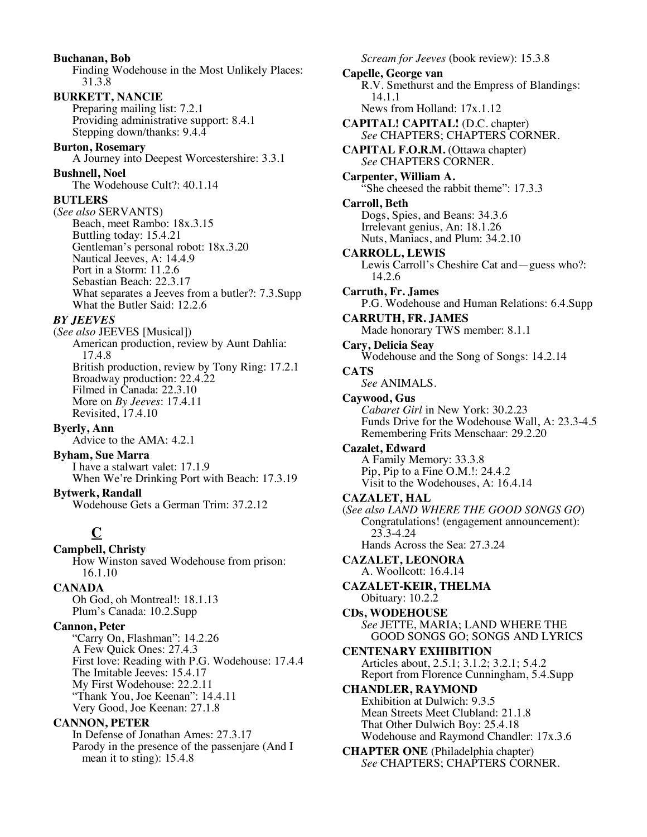**Buchanan, Bob** Finding Wodehouse in the Most Unlikely Places: 31.3.8 **BURKETT, NANCIE** Preparing mailing list: 7.2.1 Providing administrative support: 8.4.1 Stepping down/thanks: 9.4.4 **Burton, Rosemary** A Journey into Deepest Worcestershire: 3.3.1 **Bushnell, Noel** The Wodehouse Cult?: 40.1.14 **BUTLERS** (*See also* SERVANTS) Beach, meet Rambo: 18x.3.15 Buttling today: 15.4.21 Gentleman's personal robot: 18x.3.20 Nautical Jeeves, A: 14.4.9 Port in a Storm: 11.2.6 Sebastian Beach: 22.3.17 What separates a Jeeves from a butler?: 7.3.Supp What the Butler Said: 12.2.6 *BY JEEVES* (*See also* JEEVES [Musical]) American production, review by Aunt Dahlia: 17.4.8 British production, review by Tony Ring: 17.2.1 Broadway production: 22.4.22 Filmed in Canada: 22.3.10 More on *By Jeeves*: 17.4.11 Revisited, 17.4.10 **Byerly, Ann** Advice to the AMA: 4.2.1 **Byham, Sue Marra** I have a stalwart valet: 17.1.9 When We're Drinking Port with Beach: 17.3.19 **Bytwerk, Randall** Wodehouse Gets a German Trim: 37.2.12 **C Campbell, Christy** How Winston saved Wodehouse from prison: 16.1.10 **CANADA** Oh God, oh Montreal!: 18.1.13 Plum's Canada: 10.2.Supp **Cannon, Peter** "Carry On, Flashman": 14.2.26 A Few Quick Ones: 27.4.3 First love: Reading with P.G. Wodehouse: 17.4.4 The Imitable Jeeves: 15.4.17 My First Wodehouse: 22.2.11 "Thank You, Joe Keenan": 14.4.11 Very Good, Joe Keenan: 27.1.8 **CANNON, PETER** In Defense of Jonathan Ames: 27.3.17

Parody in the presence of the passenjare (And I

mean it to sting): 15.4.8

*Scream for Jeeves* (book review): 15.3.8 **Capelle, George van** R.V. Smethurst and the Empress of Blandings: 14.1.1 News from Holland: 17x.1.12 **CAPITAL! CAPITAL!** (D.C. chapter) *See* CHAPTERS; CHAPTERS CORNER. **CAPITAL F.O.R.M.** (Ottawa chapter) *See* CHAPTERS CORNER. **Carpenter, William A.** "She cheesed the rabbit theme": 17.3.3 **Carroll, Beth** Dogs, Spies, and Beans: 34.3.6 Irrelevant genius, An: 18.1.26 Nuts, Maniacs, and Plum: 34.2.10 **CARROLL, LEWIS** Lewis Carroll's Cheshire Cat and—guess who?: 14.2.6 **Carruth, Fr. James** P.G. Wodehouse and Human Relations: 6.4.Supp **CARRUTH, FR. JAMES** Made honorary TWS member: 8.1.1 **Cary, Delicia Seay** Wodehouse and the Song of Songs: 14.2.14 **CATS** *See* ANIMALS. **Caywood, Gus** *Cabaret Girl* in New York: 30.2.23 Funds Drive for the Wodehouse Wall, A: 23.3-4.5 Remembering Frits Menschaar: 29.2.20 **Cazalet, Edward** A Family Memory: 33.3.8 Pip, Pip to a Fine O.M.!: 24.4.2 Visit to the Wodehouses, A: 16.4.14 **CAZALET, HAL** (*See also LAND WHERE THE GOOD SONGS GO*) Congratulations! (engagement announcement): 23.3-4.24 Hands Across the Sea: 27.3.24 **CAZALET, LEONORA** A. Woollcott: 16.4.14 **CAZALET-KEIR, THELMA** Obituary: 10.2.2 **CDs, WODEHOUSE** *See* JETTE, MARIA; LAND WHERE THE GOOD SONGS GO; SONGS AND LYRICS **CENTENARY EXHIBITION** Articles about, 2.5.1; 3.1.2; 3.2.1; 5.4.2 Report from Florence Cunningham, 5.4.Supp **CHANDLER, RAYMOND** Exhibition at Dulwich: 9.3.5 Mean Streets Meet Clubland: 21.1.8 That Other Dulwich Boy: 25.4.18 Wodehouse and Raymond Chandler: 17x.3.6 **CHAPTER ONE** (Philadelphia chapter) *See* CHAPTERS; CHAPTERS CORNER.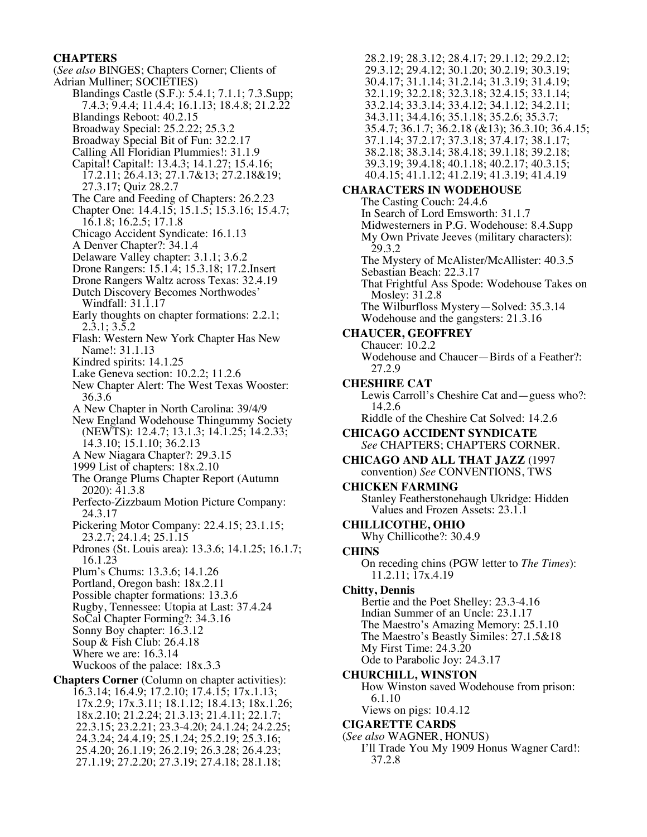### **CHAPTERS**

(*See also* BINGES; Chapters Corner; Clients of Adrian Mulliner; SOCIETIES) Blandings Castle (S.F.): 5.4.1; 7.1.1; 7.3.Supp; 7.4.3; 9.4.4; 11.4.4; 16.1.13; 18.4.8; 21.2.22 Blandings Reboot: 40.2.15 Broadway Special: 25.2.22; 25.3.2 Broadway Special Bit of Fun: 32.2.17 Calling All Floridian Plummies!: 31.1.9 Capital! Capital!: 13.4.3; 14.1.27; 15.4.16; 17.2.11; 26.4.13; 27.1.7&13; 27.2.18&19; 27.3.17; Quiz 28.2.7 The Care and Feeding of Chapters: 26.2.23 Chapter One: 14.4.15; 15.1.5; 15.3.16; 15.4.7; 16.1.8; 16.2.5; 17.1.8 Chicago Accident Syndicate: 16.1.13 A Denver Chapter?: 34.1.4 Delaware Valley chapter: 3.1.1; 3.6.2 Drone Rangers: 15.1.4; 15.3.18; 17.2.Insert Drone Rangers Waltz across Texas: 32.4.19 Dutch Discovery Becomes Northwodes' Windfall: 31.1.17 Early thoughts on chapter formations: 2.2.1; 2.3.1; 3.5.2 Flash: Western New York Chapter Has New Name!: 31.1.13 Kindred spirits: 14.1.25 Lake Geneva section: 10.2.2; 11.2.6 New Chapter Alert: The West Texas Wooster: 36.3.6 A New Chapter in North Carolina: 39/4/9 New England Wodehouse Thingummy Society (NEWTS): 12.4.7; 13.1.3; 14.1.25; 14.2.33; 14.3.10; 15.1.10; 36.2.13 A New Niagara Chapter?: 29.3.15 1999 List of chapters: 18x.2.10 The Orange Plums Chapter Report (Autumn 2020): 41.3.8 Perfecto-Zizzbaum Motion Picture Company: 24.3.17 Pickering Motor Company: 22.4.15; 23.1.15; 23.2.7; 24.1.4; 25.1.15 Pdrones (St. Louis area): 13.3.6; 14.1.25; 16.1.7; 16.1.23 Plum's Chums: 13.3.6; 14.1.26 Portland, Oregon bash: 18x.2.11 Possible chapter formations: 13.3.6 Rugby, Tennessee: Utopia at Last: 37.4.24 SoCal Chapter Forming?: 34.3.16 Sonny Boy chapter: 16.3.12 Soup & Fish Club: 26.4.18 Where we are: 16.3.14 Wuckoos of the palace: 18x.3.3 **Chapters Corner** (Column on chapter activities): 16.3.14; 16.4.9; 17.2.10; 17.4.15; 17x.1.13; 17x.2.9; 17x.3.11; 18.1.12; 18.4.13; 18x.1.26; 18x.2.10; 21.2.24; 21.3.13; 21.4.11; 22.1.7; 22.3.15; 23.2.21; 23.3-4.20; 24.1.24; 24.2.25; 24.3.24; 24.4.19; 25.1.24; 25.2.19; 25.3.16; 25.4.20; 26.1.19; 26.2.19; 26.3.28; 26.4.23; 27.1.19; 27.2.20; 27.3.19; 27.4.18; 28.1.18;

28.2.19; 28.3.12; 28.4.17; 29.1.12; 29.2.12; 29.3.12; 29.4.12; 30.1.20; 30.2.19; 30.3.19; 30.4.17; 31.1.14; 31.2.14; 31.3.19; 31.4.19; 32.1.19; 32.2.18; 32.3.18; 32.4.15; 33.1.14; 33.2.14; 33.3.14; 33.4.12; 34.1.12; 34.2.11; 34.3.11; 34.4.16; 35.1.18; 35.2.6; 35.3.7; 35.4.7; 36.1.7; 36.2.18 (&13); 36.3.10; 36.4.15; 37.1.14; 37.2.17; 37.3.18; 37.4.17; 38.1.17; 38.2.18; 38.3.14; 38.4.18; 39.1.18; 39.2.18; 39.3.19; 39.4.18; 40.1.18; 40.2.17; 40.3.15; 40.4.15; 41.1.12; 41.2.19; 41.3.19; 41.4.19 **CHARACTERS IN WODEHOUSE** The Casting Couch: 24.4.6 In Search of Lord Emsworth: 31.1.7 Midwesterners in P.G. Wodehouse: 8.4.Supp My Own Private Jeeves (military characters): 29.3.2 The Mystery of McAlister/McAllister: 40.3.5 Sebastian Beach: 22.3.17 That Frightful Ass Spode: Wodehouse Takes on Mosley: 31.2.8 The Wilburfloss Mystery—Solved: 35.3.14 Wodehouse and the gangsters: 21.3.16 **CHAUCER, GEOFFREY** Chaucer: 10.2.2 Wodehouse and Chaucer—Birds of a Feather?: 27.2.9 **CHESHIRE CAT** Lewis Carroll's Cheshire Cat and—guess who?: 14.2.6 Riddle of the Cheshire Cat Solved: 14.2.6 **CHICAGO ACCIDENT SYNDICATE** *See* CHAPTERS; CHAPTERS CORNER. **CHICAGO AND ALL THAT JAZZ** (1997 convention) *See* CONVENTIONS, TWS **CHICKEN FARMING** Stanley Featherstonehaugh Ukridge: Hidden Values and Frozen Assets: 23.1.1 **CHILLICOTHE, OHIO** Why Chillicothe?: 30.4.9 **CHINS** On receding chins (PGW letter to *The Times*): 11.2.11; 17x.4.19 **Chitty, Dennis** Bertie and the Poet Shelley: 23.3-4.16 Indian Summer of an Uncle: 23.1.17 The Maestro's Amazing Memory: 25.1.10 The Maestro's Beastly Similes: 27.1.5&18 My First Time: 24.3.20 Ode to Parabolic Joy: 24.3.17 **CHURCHILL, WINSTON** How Winston saved Wodehouse from prison: 6.1.10 Views on pigs: 10.4.12 **CIGARETTE CARDS** (*See also* WAGNER, HONUS) I'll Trade You My 1909 Honus Wagner Card!: 37.2.8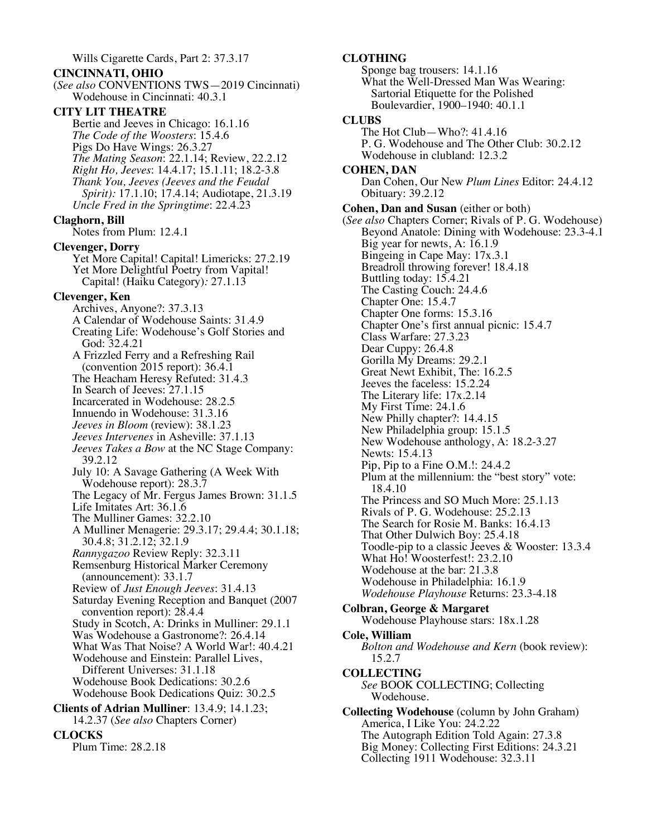**CINCINNATI, OHIO** (*See also* CONVENTIONS TWS—2019 Cincinnati) Wodehouse in Cincinnati: 40.3.1 **CITY LIT THEATRE** Bertie and Jeeves in Chicago: 16.1.16 *The Code of the Woosters*: 15.4.6 Pigs Do Have Wings: 26.3.27 *The Mating Season*: 22.1.14; Review, 22.2.12 *Right Ho, Jeeves*: 14.4.17; 15.1.11; 18.2-3.8 *Thank You, Jeeves (Jeeves and the Feudal Spirit):* 17.1.10; 17.4.14; Audiotape, 21.3.19 *Uncle Fred in the Springtime*: 22.4.23 **Claghorn, Bill** Notes from Plum: 12.4.1 **Clevenger, Dorry** Yet More Capital! Capital! Limericks: 27.2.19 Yet More Delightful Poetry from Vapital! Capital! (Haiku Category)*:* 27.1.13 **Clevenger, Ken** Archives, Anyone?: 37.3.13 A Calendar of Wodehouse Saints: 31.4.9 Creating Life: Wodehouse's Golf Stories and God: 32.4.21 A Frizzled Ferry and a Refreshing Rail (convention 2015 report): 36.4.1 The Heacham Heresy Refuted: 31.4.3 In Search of Jeeves: 27.1.15 Incarcerated in Wodehouse: 28.2.5 Innuendo in Wodehouse: 31.3.16 *Jeeves in Bloom* (review): 38.1.23 *Jeeves Intervenes* in Asheville: 37.1.13 *Jeeves Takes a Bow* at the NC Stage Company: 39.2.12 July 10: A Savage Gathering (A Week With Wodehouse report): 28.3.7 The Legacy of Mr. Fergus James Brown: 31.1.5 Life Imitates Art: 36.1.6 The Mulliner Games: 32.2.10 A Mulliner Menagerie: 29.3.17; 29.4.4; 30.1.18; 30.4.8; 31.2.12; 32.1.9 *Rannygazoo* Review Reply: 32.3.11 Remsenburg Historical Marker Ceremony (announcement): 33.1.7 Review of *Just Enough Jeeves*: 31.4.13 Saturday Evening Reception and Banquet (2007 convention report): 28.4.4 Study in Scotch, A: Drinks in Mulliner: 29.1.1 Was Wodehouse a Gastronome?: 26.4.14 What Was That Noise? A World War!: 40.4.21 Wodehouse and Einstein: Parallel Lives, Different Universes: 31.1.18 Wodehouse Book Dedications: 30.2.6 Wodehouse Book Dedications Quiz: 30.2.5 **Clients of Adrian Mulliner**: 13.4.9; 14.1.23;

Wills Cigarette Cards, Part 2: 37.3.17

14.2.37 (*See also* Chapters Corner)

#### **CLOCKS**

| Plum Time: 28.2.18 |
|--------------------|
|--------------------|

**CLOTHING**

Sponge bag trousers: 14.1.16 What the Well-Dressed Man Was Wearing: Sartorial Etiquette for the Polished Boulevardier, 1900–1940: 40.1.1 **CLUBS** The Hot Club—Who?: 41.4.16 P. G. Wodehouse and The Other Club: 30.2.12 Wodehouse in clubland: 12.3.2 **COHEN, DAN** Dan Cohen, Our New *Plum Lines* Editor: 24.4.12 Obituary: 39.2.12 **Cohen, Dan and Susan** (either or both) (*See also* Chapters Corner; Rivals of P. G. Wodehouse) Beyond Anatole: Dining with Wodehouse: 23.3-4.1 Big year for newts, A: 16.1.9 Bingeing in Cape May: 17x.3.1 Breadroll throwing forever! 18.4.18 Buttling today: 15.4.21 The Casting Couch: 24.4.6 Chapter One: 15.4.7 Chapter One forms: 15.3.16 Chapter One's first annual picnic: 15.4.7 Class Warfare: 27.3.23 Dear Cuppy: 26.4.8 Gorilla My Dreams: 29.2.1 Great Newt Exhibit, The: 16.2.5 Jeeves the faceless: 15.2.24 The Literary life: 17x.2.14 My First Time: 24.1.6 New Philly chapter?: 14.4.15 New Philadelphia group: 15.1.5 New Wodehouse anthology, A: 18.2-3.27 Newts: 15.4.13 Pip, Pip to a Fine O.M.!: 24.4.2 Plum at the millennium: the "best story" vote: 18.4.10 The Princess and SO Much More: 25.1.13 Rivals of P. G. Wodehouse: 25.2.13 The Search for Rosie M. Banks: 16.4.13 That Other Dulwich Boy: 25.4.18 Toodle-pip to a classic Jeeves & Wooster: 13.3.4 What Ho! Woosterfest!: 23.2.10 Wodehouse at the bar: 21.3.8 Wodehouse in Philadelphia: 16.1.9 *Wodehouse Playhouse* Returns: 23.3-4.18 **Colbran, George & Margaret** Wodehouse Playhouse stars: 18x.1.28 **Cole, William** *Bolton and Wodehouse and Kern* (book review): 15.2.7 **COLLECTING** *See* BOOK COLLECTING; Collecting Wodehouse. **Collecting Wodehouse** (column by John Graham) America, I Like You: 24.2.22 The Autograph Edition Told Again: 27.3.8 Big Money: Collecting First Editions: 24.3.21 Collecting 1911 Wodehouse: 32.3.11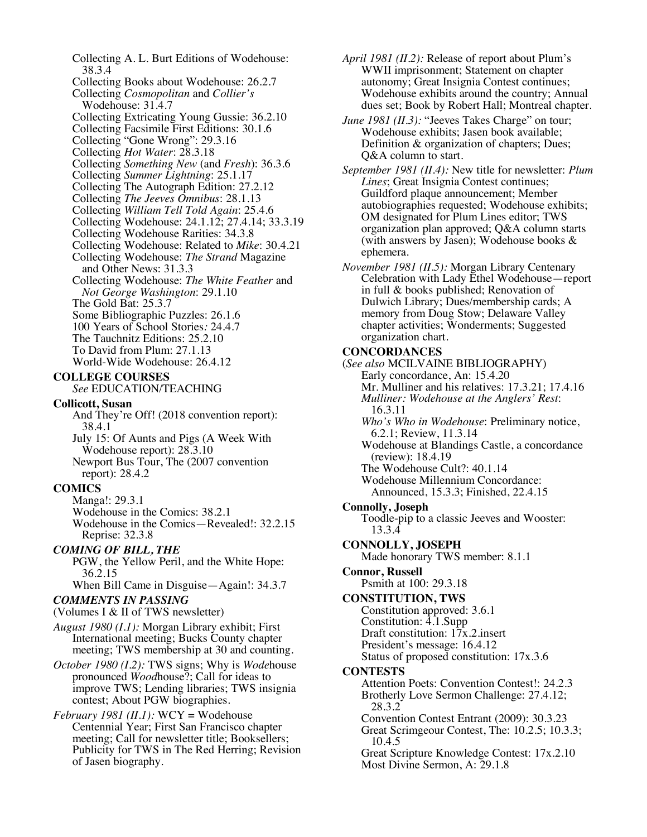Collecting A. L. Burt Editions of Wodehouse: 38.3.4 Collecting Books about Wodehouse: 26.2.7 Collecting *Cosmopolitan* and *Collier's* Wodehouse: 31.4.7 Collecting Extricating Young Gussie: 36.2.10 Collecting Facsimile First Editions: 30.1.6 Collecting "Gone Wrong": 29.3.16 Collecting *Hot Water*: 28.3.18 Collecting *Something New* (and *Fresh*): 36.3.6 Collecting *Summer Lightning*: 25.1.17 Collecting The Autograph Edition: 27.2.12 Collecting *The Jeeves Omnibus*: 28.1.13 Collecting *William Tell Told Again*: 25.4.6 Collecting Wodehouse: 24.1.12; 27.4.14; 33.3.19 Collecting Wodehouse Rarities: 34.3.8 Collecting Wodehouse: Related to *Mike*: 30.4.21 Collecting Wodehouse: *The Strand* Magazine and Other News: 31.3.3 Collecting Wodehouse: *The White Feather* and *Not George Washington*: 29.1.10 The Gold Bat: 25.3.7 Some Bibliographic Puzzles: 26.1.6 100 Years of School Stories*:* 24.4.7 The Tauchnitz Editions: 25.2.10 To David from Plum: 27.1.13 World-Wide Wodehouse: 26.4.12

### **COLLEGE COURSES**

*See* EDUCATION/TEACHING

#### **Collicott, Susan**

And They're Off! (2018 convention report): 38.4.1

July 15: Of Aunts and Pigs (A Week With Wodehouse report): 28.3.10 Newport Bus Tour, The (2007 convention report): 28.4.2

#### **COMICS**

Manga!: 29.3.1 Wodehouse in the Comics: 38.2.1 Wodehouse in the Comics—Revealed!: 32.2.15 Reprise: 32.3.8

#### *COMING OF BILL, THE*

PGW, the Yellow Peril, and the White Hope: 36.2.15

When Bill Came in Disguise—Again!: 34.3.7

#### *COMMENTS IN PASSING*

(Volumes I & II of TWS newsletter)

*August 1980 (I.1):* Morgan Library exhibit; First International meeting; Bucks County chapter meeting; TWS membership at 30 and counting.

*October 1980 (I.2):* TWS signs; Why is *Wode*house pronounced *Wood*house?; Call for ideas to improve TWS; Lending libraries; TWS insignia contest; About PGW biographies.

*February 1981 (II.1):* WCY = Wodehouse Centennial Year; First San Francisco chapter meeting; Call for newsletter title; Booksellers; Publicity for TWS in The Red Herring; Revision of Jasen biography.

*April 1981 (II.2):* Release of report about Plum's WWII imprisonment; Statement on chapter autonomy; Great Insignia Contest continues; Wodehouse exhibits around the country; Annual dues set; Book by Robert Hall; Montreal chapter.

*June 1981 (II.3):* "Jeeves Takes Charge" on tour; Wodehouse exhibits; Jasen book available; Definition & organization of chapters; Dues; Q&A column to start.

*September 1981 (II.4):* New title for newsletter: *Plum Lines*; Great Insignia Contest continues; Guildford plaque announcement; Member autobiographies requested; Wodehouse exhibits; OM designated for Plum Lines editor; TWS organization plan approved; Q&A column starts (with answers by Jasen); Wodehouse books & ephemera.

*November 1981 (II.5):* Morgan Library Centenary Celebration with Lady Ethel Wodehouse—report in full & books published; Renovation of Dulwich Library; Dues/membership cards; A memory from Doug Stow; Delaware Valley chapter activities; Wonderments; Suggested organization chart.

#### **CONCORDANCES**

(*See also* MCILVAINE BIBLIOGRAPHY) Early concordance, An: 15.4.20 Mr. Mulliner and his relatives: 17.3.21; 17.4.16 *Mulliner: Wodehouse at the Anglers' Rest*: 16.3.11 *Who's Who in Wodehouse*: Preliminary notice, 6.2.1; Review, 11.3.14 Wodehouse at Blandings Castle, a concordance (review): 18.4.19 The Wodehouse Cult?: 40.1.14 Wodehouse Millennium Concordance: Announced, 15.3.3; Finished, 22.4.15 **Connolly, Joseph** Toodle-pip to a classic Jeeves and Wooster: 13.3.4 **CONNOLLY, JOSEPH** Made honorary TWS member: 8.1.1 **Connor, Russell** Psmith at 100: 29.3.18 **CONSTITUTION, TWS** Constitution approved: 3.6.1 Constitution: 4.1.Supp Draft constitution:  $17x.2$  insert President's message: 16.4.12 Status of proposed constitution: 17x.3.6 **CONTESTS** Attention Poets: Convention Contest!: 24.2.3 Brotherly Love Sermon Challenge: 27.4.12; 28.3.2 Convention Contest Entrant (2009): 30.3.23 Great Scrimgeour Contest, The: 10.2.5; 10.3.3; 10.4.5 Great Scripture Knowledge Contest: 17x.2.10 Most Divine Sermon, A: 29.1.8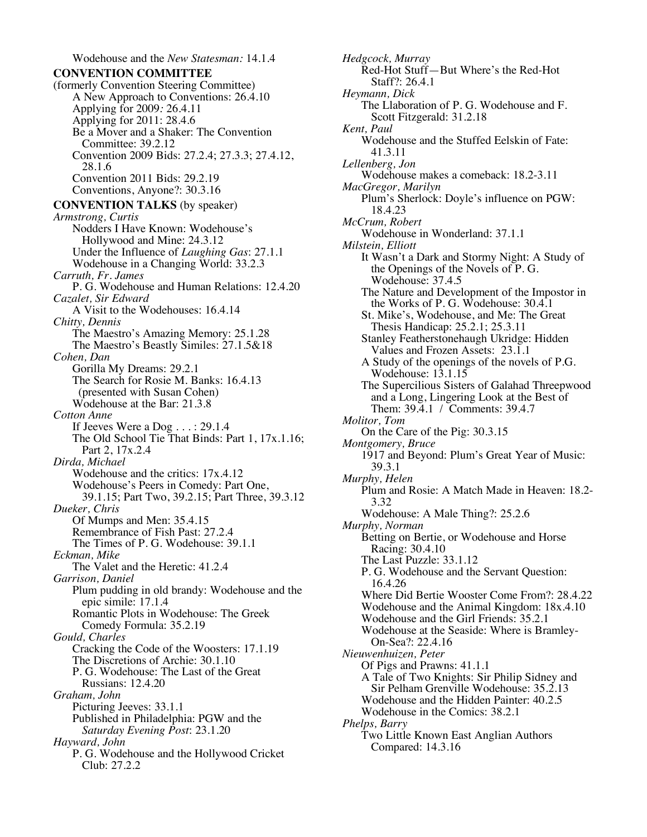Wodehouse and the *New Statesman:* 14.1.4 **CONVENTION COMMITTEE** (formerly Convention Steering Committee) A New Approach to Conventions: 26.4.10 Applying for 2009*:* 26.4.11 Applying for 2011: 28.4.6 Be a Mover and a Shaker: The Convention Committee: 39.2.12 Convention 2009 Bids: 27.2.4; 27.3.3; 27.4.12, 28.1.6 Convention 2011 Bids: 29.2.19 Conventions, Anyone?: 30.3.16 **CONVENTION TALKS** (by speaker) *Armstrong, Curtis* Nodders I Have Known: Wodehouse's Hollywood and Mine: 24.3.12 Under the Influence of *Laughing Gas*: 27.1.1 Wodehouse in a Changing World: 33.2.3 *Carruth, Fr. James* P. G. Wodehouse and Human Relations: 12.4.20 *Cazalet, Sir Edward* A Visit to the Wodehouses: 16.4.14 *Chitty, Dennis* The Maestro's Amazing Memory: 25.1.28 The Maestro's Beastly Similes: 27.1.5&18 *Cohen, Dan* Gorilla My Dreams: 29.2.1 The Search for Rosie M. Banks: 16.4.13 (presented with Susan Cohen) Wodehouse at the Bar: 21.3.8 *Cotton Anne* If Jeeves Were a Dog . . . : 29.1.4 The Old School Tie That Binds: Part 1, 17x.1.16; Part 2, 17x.2.4 *Dirda, Michael* Wodehouse and the critics: 17x.4.12 Wodehouse's Peers in Comedy: Part One, 39.1.15; Part Two, 39.2.15; Part Three, 39.3.12 *Dueker, Chris* Of Mumps and Men: 35.4.15 Remembrance of Fish Past: 27.2.4 The Times of P. G. Wodehouse: 39.1.1 *Eckman, Mike* The Valet and the Heretic: 41.2.4 *Garrison, Daniel* Plum pudding in old brandy: Wodehouse and the epic simile: 17.1.4 Romantic Plots in Wodehouse: The Greek Comedy Formula: 35.2.19 *Gould, Charles* Cracking the Code of the Woosters: 17.1.19 The Discretions of Archie: 30.1.10 P. G. Wodehouse: The Last of the Great Russians: 12.4.20 *Graham, John* Picturing Jeeves: 33.1.1 Published in Philadelphia: PGW and the *Saturday Evening Post*: 23.1.20 *Hayward, John* P. G. Wodehouse and the Hollywood Cricket Club: 27.2.2

*Hedgcock, Murray* Red-Hot Stuff—But Where's the Red-Hot Staff?: 26.4.1 *Heymann, Dick* The Llaboration of P. G. Wodehouse and F. Scott Fitzgerald: 31.2.18 *Kent, Paul* Wodehouse and the Stuffed Eelskin of Fate: 41.3.11 *Lellenberg, Jon* Wodehouse makes a comeback: 18.2-3.11 *MacGregor, Marilyn* Plum's Sherlock: Doyle's influence on PGW: 18.4.23 *McCrum, Robert* Wodehouse in Wonderland: 37.1.1 *Milstein, Elliott* It Wasn't a Dark and Stormy Night: A Study of the Openings of the Novels of P. G. Wodehouse: 37.4.5 The Nature and Development of the Impostor in the Works of P. G. Wodehouse: 30.4.1 St. Mike's, Wodehouse, and Me: The Great Thesis Handicap: 25.2.1; 25.3.11 Stanley Featherstonehaugh Ukridge: Hidden Values and Frozen Assets: 23.1.1 A Study of the openings of the novels of P.G. Wodehouse: 13.1.15 The Supercilious Sisters of Galahad Threepwood and a Long, Lingering Look at the Best of Them: 39.4.1 / Comments: 39.4.7 *Molitor, Tom* On the Care of the Pig: 30.3.15 *Montgomery, Bruce* 1917 and Beyond: Plum's Great Year of Music: 39.3.1 *Murphy, Helen* Plum and Rosie: A Match Made in Heaven: 18.2- 3.32 Wodehouse: A Male Thing?: 25.2.6 *Murphy, Norman* Betting on Bertie, or Wodehouse and Horse Racing: 30.4.10 The Last Puzzle: 33.1.12 P. G. Wodehouse and the Servant Question: 16.4.26 Where Did Bertie Wooster Come From?: 28.4.22 Wodehouse and the Animal Kingdom: 18x.4.10 Wodehouse and the Girl Friends: 35.2.1 Wodehouse at the Seaside: Where is Bramley- On-Sea?: 22.4.16 *Nieuwenhuizen, Peter* Of Pigs and Prawns: 41.1.1 A Tale of Two Knights: Sir Philip Sidney and Sir Pelham Grenville Wodehouse: 35.2.13 Wodehouse and the Hidden Painter: 40.2.5 Wodehouse in the Comics: 38.2.1 *Phelps, Barry* Two Little Known East Anglian Authors Compared: 14.3.16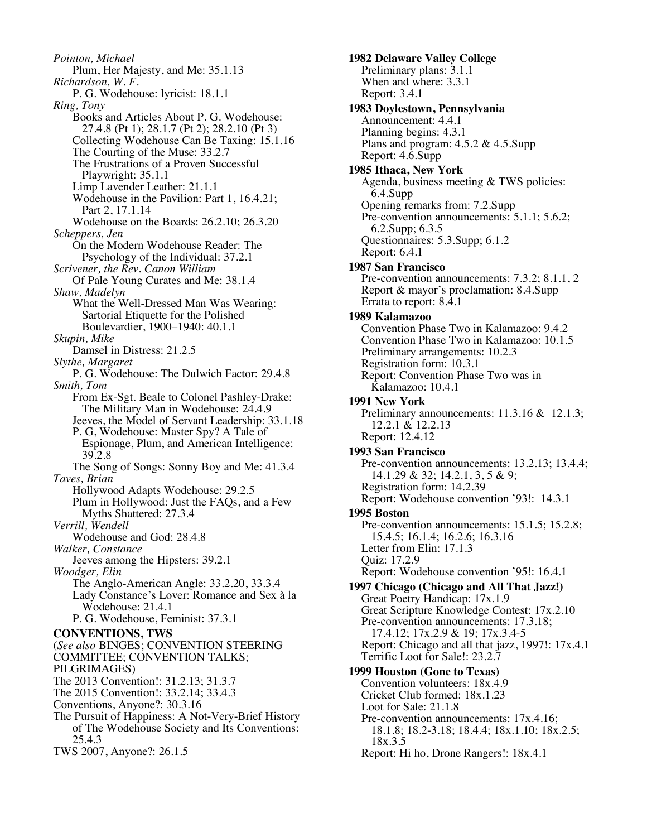*Pointon, Michael* Plum, Her Majesty, and Me: 35.1.13 *Richardson, W. F.* P. G. Wodehouse: lyricist: 18.1.1 *Ring, Tony* Books and Articles About P. G. Wodehouse: 27.4.8 (Pt 1); 28.1.7 (Pt 2); 28.2.10 (Pt 3) Collecting Wodehouse Can Be Taxing: 15.1.16 The Courting of the Muse: 33.2.7 The Frustrations of a Proven Successful Playwright: 35.1.1 Limp Lavender Leather: 21.1.1 Wodehouse in the Pavilion: Part 1, 16.4.21; Part 2, 17.1.14 Wodehouse on the Boards: 26.2.10; 26.3.20 *Scheppers, Jen* On the Modern Wodehouse Reader: The Psychology of the Individual: 37.2.1 *Scrivener, the Rev. Canon William* Of Pale Young Curates and Me: 38.1.4 *Shaw, Madelyn* What the Well-Dressed Man Was Wearing: Sartorial Etiquette for the Polished Boulevardier, 1900–1940: 40.1.1 *Skupin, Mike* Damsel in Distress: 21.2.5 *Slythe, Margaret* P. G. Wodehouse: The Dulwich Factor: 29.4.8 *Smith, Tom* From Ex-Sgt. Beale to Colonel Pashley-Drake: The Military Man in Wodehouse: 24.4.9 Jeeves, the Model of Servant Leadership: 33.1.18 P. G, Wodehouse: Master Spy? A Tale of Espionage, Plum, and American Intelligence: 39.2.8 The Song of Songs: Sonny Boy and Me: 41.3.4 *Taves, Brian* Hollywood Adapts Wodehouse: 29.2.5 Plum in Hollywood: Just the FAQs, and a Few Myths Shattered: 27.3.4 *Verrill, Wendell* Wodehouse and God: 28.4.8 *Walker, Constance* Jeeves among the Hipsters: 39.2.1 *Woodger, Elin* The Anglo-American Angle: 33.2.20, 33.3.4 Lady Constance's Lover: Romance and Sex à la Wodehouse: 21.4.1 P. G. Wodehouse, Feminist: 37.3.1 **CONVENTIONS, TWS** (*See also* BINGES; CONVENTION STEERING COMMITTEE; CONVENTION TALKS; PILGRIMAGES) The 2013 Convention!: 31.2.13; 31.3.7 The 2015 Convention!: 33.2.14; 33.4.3 Conventions, Anyone?: 30.3.16 The Pursuit of Happiness: A Not-Very-Brief History of The Wodehouse Society and Its Conventions: 25.4.3 TWS 2007, Anyone?: 26.1.5

 **1982 Delaware Valley College** Preliminary plans: 3.1.1 When and where: 3.3.1 Report: 3.4.1  **1983 Doylestown, Pennsylvania** Announcement: 4.4.1 Planning begins: 4.3.1 Plans and program: 4.5.2 & 4.5.Supp Report: 4.6.Supp  **1985 Ithaca, New York** Agenda, business meeting & TWS policies: 6.4.Supp Opening remarks from: 7.2.Supp Pre-convention announcements: 5.1.1; 5.6.2; 6.2.Supp; 6.3.5 Questionnaires: 5.3.Supp; 6.1.2 Report: 6.4.1  **1987 San Francisco** Pre-convention announcements: 7.3.2; 8.1.1, 2 Report & mayor's proclamation: 8.4.Supp Errata to report: 8.4.1  **1989 Kalamazoo** Convention Phase Two in Kalamazoo: 9.4.2 Convention Phase Two in Kalamazoo: 10.1.5 Preliminary arrangements: 10.2.3 Registration form: 10.3.1 Report: Convention Phase Two was in Kalamazoo: 10.4.1  **1991 New York** Preliminary announcements: 11.3.16 & 12.1.3; 12.2.1 & 12.2.13 Report: 12.4.12  **1993 San Francisco** Pre-convention announcements: 13.2.13; 13.4.4; 14.1.29 & 32; 14.2.1, 3, 5 & 9; Registration form: 14.2.39 Report: Wodehouse convention '93!: 14.3.1  **1995 Boston** Pre-convention announcements: 15.1.5; 15.2.8; 15.4.5; 16.1.4; 16.2.6; 16.3.16 Letter from Elin: 17.1.3 Quiz: 17.2.9 Report: Wodehouse convention '95!: 16.4.1  **1997 Chicago (Chicago and All That Jazz!)** Great Poetry Handicap: 17x.1.9 Great Scripture Knowledge Contest: 17x.2.10 Pre-convention announcements: 17.3.18; 17.4.12; 17x.2.9 & 19; 17x.3.4-5 Report: Chicago and all that jazz, 1997!: 17x.4.1 Terrific Loot for Sale!: 23.2.7  **1999 Houston (Gone to Texas)** Convention volunteers: 18x.4.9 Cricket Club formed: 18x.1.23 Loot for Sale: 21.1.8 Pre-convention announcements: 17x.4.16; 18.1.8; 18.2-3.18; 18.4.4; 18x.1.10; 18x.2.5; 18x.3.5 Report: Hi ho, Drone Rangers!: 18x.4.1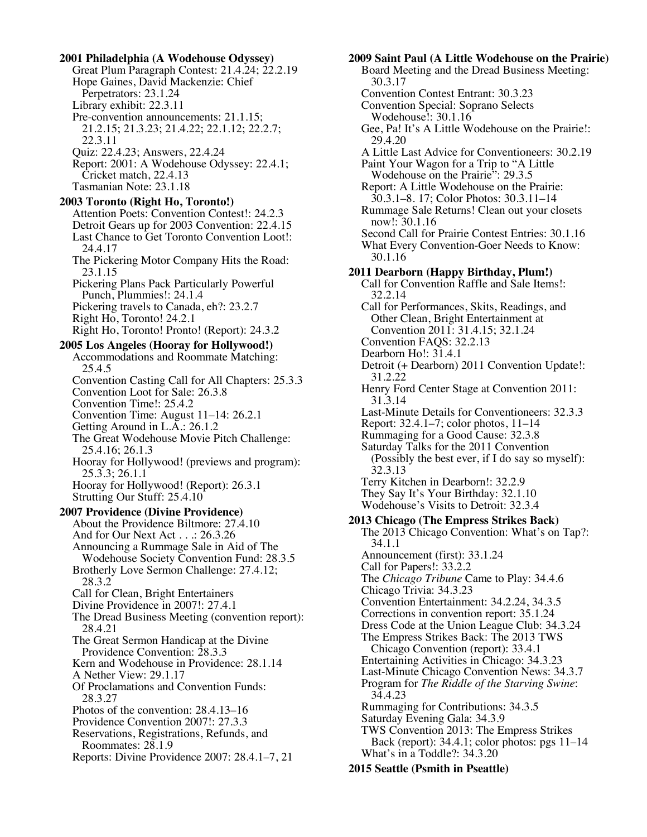**2001 Philadelphia (A Wodehouse Odyssey)** Great Plum Paragraph Contest: 21.4.24; 22.2.19 Hope Gaines, David Mackenzie: Chief Perpetrators: 23.1.24 Library exhibit: 22.3.11 Pre-convention announcements: 21.1.15; 21.2.15; 21.3.23; 21.4.22; 22.1.12; 22.2.7; 22.3.11 Quiz: 22.4.23; Answers, 22.4.24 Report: 2001: A Wodehouse Odyssey: 22.4.1; Cricket match, 22.4.13 Tasmanian Note: 23.1.18  **2003 Toronto (Right Ho, Toronto!)** Attention Poets: Convention Contest!: 24.2.3 Detroit Gears up for 2003 Convention: 22.4.15 Last Chance to Get Toronto Convention Loot!: 24.4.17 The Pickering Motor Company Hits the Road: 23.1.15 Pickering Plans Pack Particularly Powerful Punch, Plummies!: 24.1.4 Pickering travels to Canada, eh?: 23.2.7 Right Ho, Toronto! 24.2.1 Right Ho, Toronto! Pronto! (Report): 24.3.2  **2005 Los Angeles (Hooray for Hollywood!)** Accommodations and Roommate Matching: 25.4.5 Convention Casting Call for All Chapters: 25.3.3 Convention Loot for Sale: 26.3.8 Convention Time!: 25.4.2 Convention Time: August 11–14: 26.2.1 Getting Around in L.A.: 26.1.2 The Great Wodehouse Movie Pitch Challenge: 25.4.16; 26.1.3 Hooray for Hollywood! (previews and program): 25.3.3; 26.1.1 Hooray for Hollywood! (Report): 26.3.1 Strutting Our Stuff: 25.4.10  **2007 Providence (Divine Providence)** About the Providence Biltmore: 27.4.10 And for Our Next Act . . .: 26.3.26 Announcing a Rummage Sale in Aid of The Wodehouse Society Convention Fund: 28.3.5 Brotherly Love Sermon Challenge: 27.4.12; 28.3.2 Call for Clean, Bright Entertainers Divine Providence in 2007!: 27.4.1 The Dread Business Meeting (convention report): 28.4.21 The Great Sermon Handicap at the Divine Providence Convention: 28.3.3 Kern and Wodehouse in Providence: 28.1.14 A Nether View: 29.1.17 Of Proclamations and Convention Funds: 28.3.27 Photos of the convention: 28.4.13–16 Providence Convention 2007!: 27.3.3 Reservations, Registrations, Refunds, and Roommates: 28.1.9 Reports: Divine Providence 2007: 28.4.1–7, 21

 **2009 Saint Paul (A Little Wodehouse on the Prairie)** Board Meeting and the Dread Business Meeting: 30.3.17 Convention Contest Entrant: 30.3.23 Convention Special: Soprano Selects Wodehouse!: 30.1.16 Gee, Pa! It's A Little Wodehouse on the Prairie!: 29.4.20 A Little Last Advice for Conventioneers: 30.2.19 Paint Your Wagon for a Trip to "A Little Wodehouse on the Prairie": 29.3.5 Report: A Little Wodehouse on the Prairie: 30.3.1–8. 17; Color Photos: 30.3.11–14 Rummage Sale Returns! Clean out your closets now!: 30.1.16 Second Call for Prairie Contest Entries: 30.1.16 What Every Convention-Goer Needs to Know: 30.1.16 **2011 Dearborn (Happy Birthday, Plum!)** Call for Convention Raffle and Sale Items!: 32.2.14 Call for Performances, Skits, Readings, and Other Clean, Bright Entertainment at Convention 2011: 31.4.15; 32.1.24 Convention FAQS: 32.2.13 Dearborn Ho!: 31.4.1 Detroit (+ Dearborn) 2011 Convention Update!: 31.2.22 Henry Ford Center Stage at Convention 2011: 31.3.14 Last-Minute Details for Conventioneers: 32.3.3 Report: 32.4.1–7; color photos, 11–14 Rummaging for a Good Cause: 32.3.8 Saturday Talks for the 2011 Convention (Possibly the best ever, if I do say so myself): 32.3.13 Terry Kitchen in Dearborn!: 32.2.9 They Say It's Your Birthday: 32.1.10 Wodehouse's Visits to Detroit: 32.3.4  **2013 Chicago (The Empress Strikes Back)** The 2013 Chicago Convention: What's on Tap?: 34.1.1 Announcement (first): 33.1.24 Call for Papers!: 33.2.2 The *Chicago Tribune* Came to Play: 34.4.6 Chicago Trivia: 34.3.23 Convention Entertainment: 34.2.24, 34.3.5 Corrections in convention report: 35.1.24 Dress Code at the Union League Club: 34.3.24 The Empress Strikes Back: The 2013 TWS Chicago Convention (report): 33.4.1 Entertaining Activities in Chicago: 34.3.23 Last-Minute Chicago Convention News: 34.3.7 Program for *The Riddle of the Starving Swine*: 34.4.23 Rummaging for Contributions: 34.3.5 Saturday Evening Gala: 34.3.9 TWS Convention 2013: The Empress Strikes Back (report): 34.4.1; color photos: pgs 11–14 What's in a Toddle?: 34.3.20  **2015 Seattle (Psmith in Pseattle)**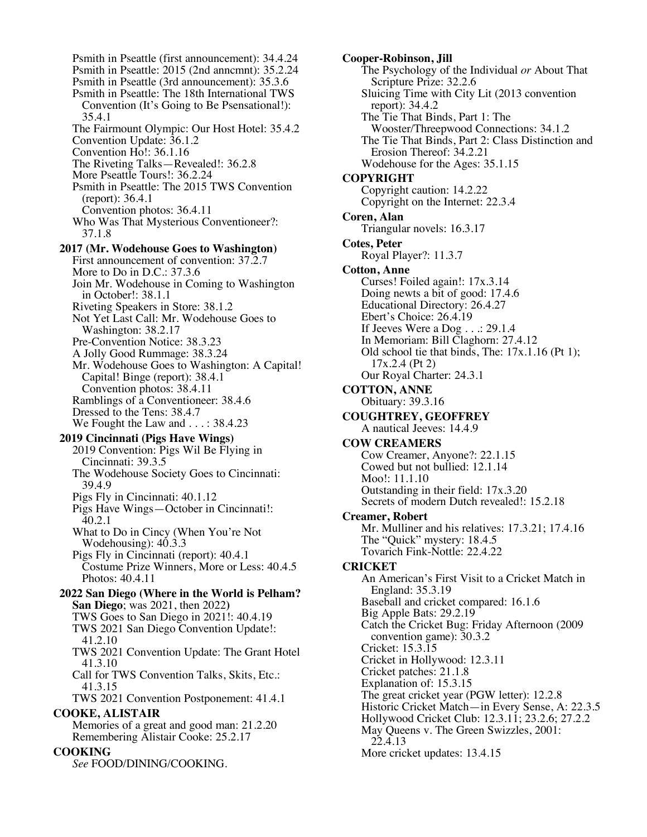Psmith in Pseattle (first announcement): 34.4.24 Psmith in Pseattle: 2015 (2nd anncmnt): 35.2.24 Psmith in Pseattle (3rd announcement): 35.3.6 Psmith in Pseattle: The 18th International TWS Convention (It's Going to Be Psensational!): 35.4.1 The Fairmount Olympic: Our Host Hotel: 35.4.2 Convention Update: 36.1.2 Convention Ho!: 36.1.16 The Riveting Talks—Revealed!: 36.2.8 More Pseattle Tours!: 36.2.24 Psmith in Pseattle: The 2015 TWS Convention (report): 36.4.1 Convention photos: 36.4.11 Who Was That Mysterious Conventioneer?: 37.1.8  **2017 (Mr. Wodehouse Goes to Washington)** First announcement of convention: 37.2.7 More to Do in D.C.: 37.3.6 Join Mr. Wodehouse in Coming to Washington in October!: 38.1.1 Riveting Speakers in Store: 38.1.2 Not Yet Last Call: Mr. Wodehouse Goes to Washington: 38.2.17 Pre-Convention Notice: 38.3.23 A Jolly Good Rummage: 38.3.24 Mr. Wodehouse Goes to Washington: A Capital! Capital! Binge (report): 38.4.1 Convention photos: 38.4.11 Ramblings of a Conventioneer: 38.4.6 Dressed to the Tens: 38.4.7 We Fought the Law and . . . : 38.4.23  **2019 Cincinnati (Pigs Have Wings)** 2019 Convention: Pigs Wil Be Flying in Cincinnati: 39.3.5 The Wodehouse Society Goes to Cincinnati: 39.4.9 Pigs Fly in Cincinnati: 40.1.12 Pigs Have Wings—October in Cincinnati!: 40.2.1 What to Do in Cincy (When You're Not Wodehousing): 40.3.3 Pigs Fly in Cincinnati (report): 40.4.1 Costume Prize Winners, More or Less: 40.4.5 Photos: 40.4.11  **2022 San Diego (Where in the World is Pelham? San Diego**; was 2021, then 2022**)** TWS Goes to San Diego in 2021!: 40.4.19 TWS 2021 San Diego Convention Update!: 41.2.10 TWS 2021 Convention Update: The Grant Hotel 41.3.10 Call for TWS Convention Talks, Skits, Etc.: 41.3.15 TWS 2021 Convention Postponement: 41.4.1 **COOKE, ALISTAIR** Memories of a great and good man: 21.2.20 Remembering Alistair Cooke: 25.2.17 **COOKING** *See* FOOD/DINING/COOKING.

**Cooper-Robinson, Jill** The Psychology of the Individual *or* About That Scripture Prize: 32.2.6 Sluicing Time with City Lit (2013 convention report): 34.4.2 The Tie That Binds, Part 1: The Wooster/Threepwood Connections: 34.1.2 The Tie That Binds, Part 2: Class Distinction and Erosion Thereof: 34.2.21 Wodehouse for the Ages: 35.1.15 **COPYRIGHT** Copyright caution: 14.2.22 Copyright on the Internet: 22.3.4 **Coren, Alan** Triangular novels: 16.3.17 **Cotes, Peter** Royal Player?: 11.3.7 **Cotton, Anne** Curses! Foiled again!: 17x.3.14 Doing newts a bit of good: 17.4.6 Educational Directory: 26.4.27 Ebert's Choice: 26.4.19 If Jeeves Were a Dog . . .: 29.1.4 In Memoriam: Bill Claghorn: 27.4.12 Old school tie that binds, The: 17x.1.16 (Pt 1); 17x.2.4 (Pt 2) Our Royal Charter: 24.3.1 **COTTON, ANNE** Obituary: 39.3.16 **COUGHTREY, GEOFFREY** A nautical Jeeves: 14.4.9 **COW CREAMERS** Cow Creamer, Anyone?: 22.1.15 Cowed but not bullied: 12.1.14 Moo!: 11.1.10 Outstanding in their field: 17x.3.20 Secrets of modern Dutch revealed!: 15.2.18 **Creamer, Robert** Mr. Mulliner and his relatives: 17.3.21; 17.4.16 The "Quick" mystery: 18.4.5 Tovarich Fink-Nottle: 22.4.22 **CRICKET** An American's First Visit to a Cricket Match in England: 35.3.19 Baseball and cricket compared: 16.1.6 Big Apple Bats: 29.2.19 Catch the Cricket Bug: Friday Afternoon (2009 convention game): 30.3.2 Cricket: 15.3.15 Cricket in Hollywood: 12.3.11 Cricket patches: 21.1.8 Explanation of: 15.3.15 The great cricket year (PGW letter): 12.2.8 Historic Cricket Match—in Every Sense, A: 22.3.5 Hollywood Cricket Club: 12.3.11; 23.2.6; 27.2.2 May Queens v. The Green Swizzles, 2001: 22.4.13 More cricket updates: 13.4.15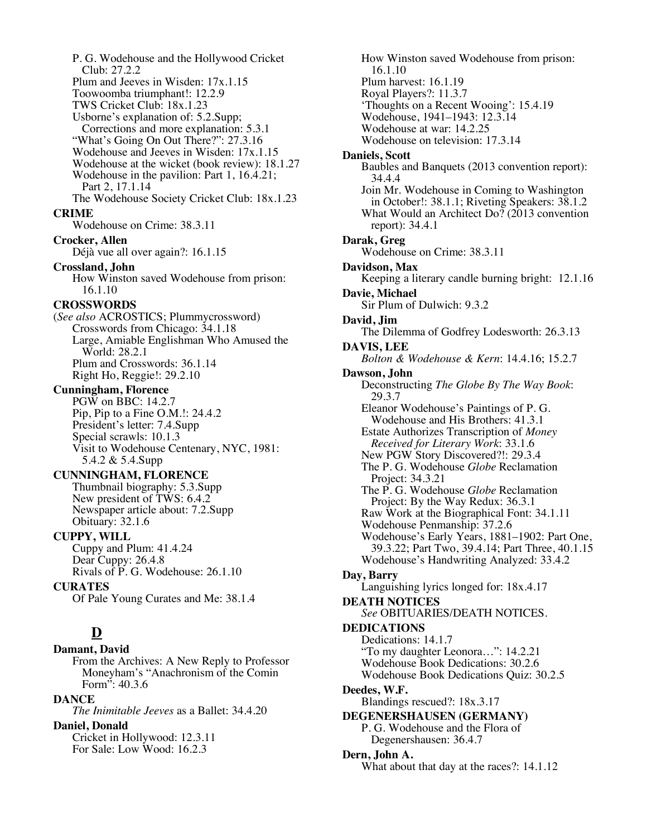P. G. Wodehouse and the Hollywood Cricket Club: 27.2.2 Plum and Jeeves in Wisden: 17x.1.15 Toowoomba triumphant!: 12.2.9 TWS Cricket Club: 18x.1.23 Usborne's explanation of: 5.2.Supp; Corrections and more explanation: 5.3.1 "What's Going On Out There?": 27.3.16 Wodehouse and Jeeves in Wisden: 17x.1.15 Wodehouse at the wicket (book review): 18.1.27 Wodehouse in the pavilion: Part 1, 16.4.21; Part 2, 17.1.14 The Wodehouse Society Cricket Club: 18x.1.23 **CRIME** Wodehouse on Crime: 38.3.11 **Crocker, Allen** Déjà vue all over again?: 16.1.15 **Crossland, John** How Winston saved Wodehouse from prison: 16.1.10 **CROSSWORDS** (*See also* ACROSTICS; Plummycrossword) Crosswords from Chicago: 34.1.18 Large, Amiable Englishman Who Amused the World: 28.2.1 Plum and Crosswords: 36.1.14 Right Ho, Reggie!: 29.2.10 **Cunningham, Florence** PGW on BBC: 14.2.7 Pip, Pip to a Fine O.M.!: 24.4.2 President's letter: 7.4.Supp Special scrawls: 10.1.3 Visit to Wodehouse Centenary, NYC, 1981: 5.4.2 & 5.4.Supp **CUNNINGHAM, FLORENCE** Thumbnail biography: 5.3.Supp New president of TWS: 6.4.2 Newspaper article about: 7.2.Supp Obituary: 32.1.6 **CUPPY, WILL** Cuppy and Plum: 41.4.24 Dear Cuppy: 26.4.8 Rivals of P. G. Wodehouse: 26.1.10 **CURATES** Of Pale Young Curates and Me: 38.1.4 **D Damant, David** From the Archives: A New Reply to Professor Moneyham's "Anachronism of the Comin Form": 40.3.6 **DANCE** *The Inimitable Jeeves* as a Ballet: 34.4.20 **Daniel, Donald**

Cricket in Hollywood: 12.3.11 For Sale: Low Wood: 16.2.3

How Winston saved Wodehouse from prison: 16.1.10 Plum harvest: 16.1.19 Royal Players?: 11.3.7 'Thoughts on a Recent Wooing': 15.4.19 Wodehouse, 1941–1943: 12.3.14 Wodehouse at war: 14.2.25 Wodehouse on television: 17.3.14 **Daniels, Scott** Baubles and Banquets (2013 convention report): 34.4.4 Join Mr. Wodehouse in Coming to Washington in October!: 38.1.1; Riveting Speakers: 38.1.2 What Would an Architect Do? (2013 convention report): 34.4.1 **Darak, Greg** Wodehouse on Crime: 38.3.11 **Davidson, Max** Keeping a literary candle burning bright: 12.1.16 **Davie, Michael** Sir Plum of Dulwich: 9.3.2 **David, Jim** The Dilemma of Godfrey Lodesworth: 26.3.13 **DAVIS, LEE** *Bolton & Wodehouse & Kern*: 14.4.16; 15.2.7 **Dawson, John** Deconstructing *The Globe By The Way Book*: 29.3.7 Eleanor Wodehouse's Paintings of P. G. Wodehouse and His Brothers: 41.3.1 Estate Authorizes Transcription of *Money Received for Literary Work*: 33.1.6 New PGW Story Discovered?!: 29.3.4 The P. G. Wodehouse *Globe* Reclamation Project: 34.3.21 The P. G. Wodehouse *Globe* Reclamation Project: By the Way Redux: 36.3.1 Raw Work at the Biographical Font: 34.1.11 Wodehouse Penmanship: 37.2.6 Wodehouse's Early Years, 1881–1902: Part One, 39.3.22; Part Two, 39.4.14; Part Three, 40.1.15 Wodehouse's Handwriting Analyzed: 33.4.2 **Day, Barry** Languishing lyrics longed for: 18x.4.17 **DEATH NOTICES** *See* OBITUARIES/DEATH NOTICES. **DEDICATIONS** Dedications: 14.1.7 "To my daughter Leonora…": 14.2.21 Wodehouse Book Dedications: 30.2.6 Wodehouse Book Dedications Quiz: 30.2.5 **Deedes, W.F.** Blandings rescued?: 18x.3.17 **DEGENERSHAUSEN (GERMANY)** P. G. Wodehouse and the Flora of Degenershausen: 36.4.7 **Dern, John A.** What about that day at the races?: 14.1.12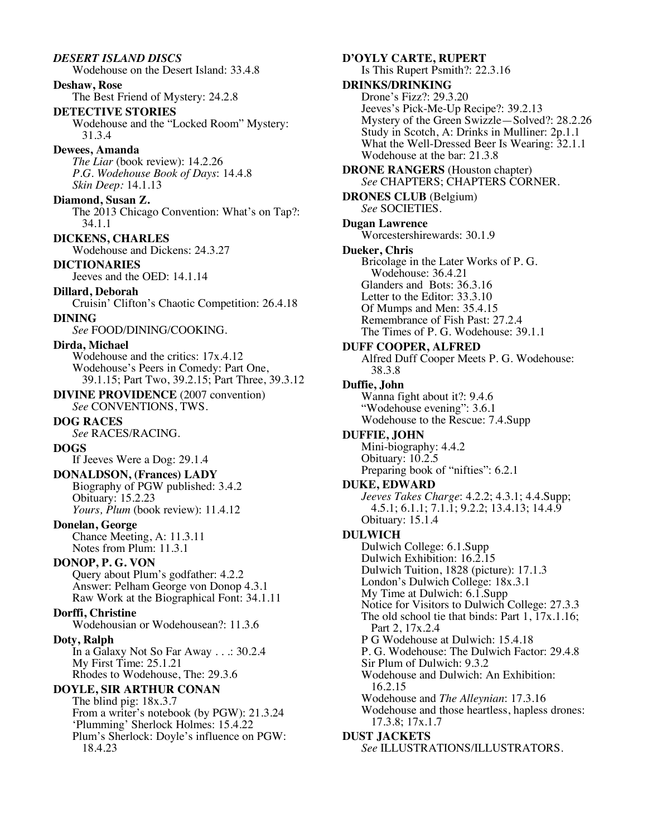*DESERT ISLAND DISCS* Wodehouse on the Desert Island: 33.4.8 **Deshaw, Rose** The Best Friend of Mystery: 24.2.8 **DETECTIVE STORIES** Wodehouse and the "Locked Room" Mystery: 31.3.4 **Dewees, Amanda** *The Liar* (book review): 14.2.26 *P.G. Wodehouse Book of Days*: 14.4.8 *Skin Deep:* 14.1.13 **Diamond, Susan Z.** The 2013 Chicago Convention: What's on Tap?: 34.1.1 **DICKENS, CHARLES** Wodehouse and Dickens: 24.3.27 **DICTIONARIES** Jeeves and the OED: 14.1.14 **Dillard, Deborah** Cruisin' Clifton's Chaotic Competition: 26.4.18 **DINING** *See* FOOD/DINING/COOKING. **Dirda, Michael** Wodehouse and the critics: 17x.4.12 Wodehouse's Peers in Comedy: Part One, 39.1.15; Part Two, 39.2.15; Part Three, 39.3.12 **DIVINE PROVIDENCE** (2007 convention) *See* CONVENTIONS, TWS. **DOG RACES** *See* RACES/RACING. **DOGS** If Jeeves Were a Dog: 29.1.4 **DONALDSON, (Frances) LADY** Biography of PGW published: 3.4.2 Obituary: 15.2.23 *Yours, Plum* (book review): 11.4.12 **Donelan, George** Chance Meeting, A: 11.3.11 Notes from Plum: 11.3.1 **DONOP, P. G. VON** Query about Plum's godfather: 4.2.2 Answer: Pelham George von Donop 4.3.1 Raw Work at the Biographical Font: 34.1.11 **Dorffi, Christine** Wodehousian or Wodehousean?: 11.3.6 **Doty, Ralph** In a Galaxy Not So Far Away . . .: 30.2.4 My First Time: 25.1.21 Rhodes to Wodehouse, The: 29.3.6 **DOYLE, SIR ARTHUR CONAN** The blind pig: 18x.3.7 From a writer's notebook (by PGW): 21.3.24 'Plumming' Sherlock Holmes: 15.4.22 Plum's Sherlock: Doyle's influence on PGW: 18.4.23 **Duffie, John DULWICH**

**D'OYLY CARTE, RUPERT** Is This Rupert Psmith?: 22.3.16 **DRINKS/DRINKING** Drone's Fizz?: 29.3.20 Jeeves's Pick-Me-Up Recipe?: 39.2.13 Mystery of the Green Swizzle—Solved?: 28.2.26 Study in Scotch, A: Drinks in Mulliner: 2p.1.1 What the Well-Dressed Beer Is Wearing: 32.1.1 Wodehouse at the bar: 21.3.8 **DRONE RANGERS** (Houston chapter) *See* CHAPTERS; CHAPTERS CORNER. **DRONES CLUB** (Belgium) *See* SOCIETIES. **Dugan Lawrence** Worcestershirewards: 30.1.9 **Dueker, Chris** Bricolage in the Later Works of P. G. Wodehouse: 36.4.21 Glanders and Bots: 36.3.16 Letter to the Editor: 33.3.10 Of Mumps and Men: 35.4.15 Remembrance of Fish Past: 27.2.4 The Times of P. G. Wodehouse: 39.1.1 **DUFF COOPER, ALFRED** Alfred Duff Cooper Meets P. G. Wodehouse: 38.3.8 Wanna fight about it?: 9.4.6 "Wodehouse evening": 3.6.1 Wodehouse to the Rescue: 7.4.Supp **DUFFIE, JOHN** Mini-biography: 4.4.2 Obituary: 10.2.5 Preparing book of "nifties": 6.2.1 **DUKE, EDWARD** *Jeeves Takes Charge*: 4.2.2; 4.3.1; 4.4.Supp; 4.5.1; 6.1.1; 7.1.1; 9.2.2; 13.4.13; 14.4.9 Obituary: 15.1.4 Dulwich College: 6.1.Supp Dulwich Exhibition: 16.2.15 Dulwich Tuition, 1828 (picture): 17.1.3 London's Dulwich College: 18x.3.1 My Time at Dulwich: 6.1.Supp Notice for Visitors to Dulwich College: 27.3.3 The old school tie that binds: Part 1, 17x.1.16; Part 2, 17x.2.4 P G Wodehouse at Dulwich: 15.4.18 P. G. Wodehouse: The Dulwich Factor: 29.4.8 Sir Plum of Dulwich: 9.3.2 Wodehouse and Dulwich: An Exhibition: 16.2.15 Wodehouse and *The Alleynian*: 17.3.16 Wodehouse and those heartless, hapless drones: 17.3.8; 17x.1.7

### **DUST JACKETS**

*See* ILLUSTRATIONS/ILLUSTRATORS.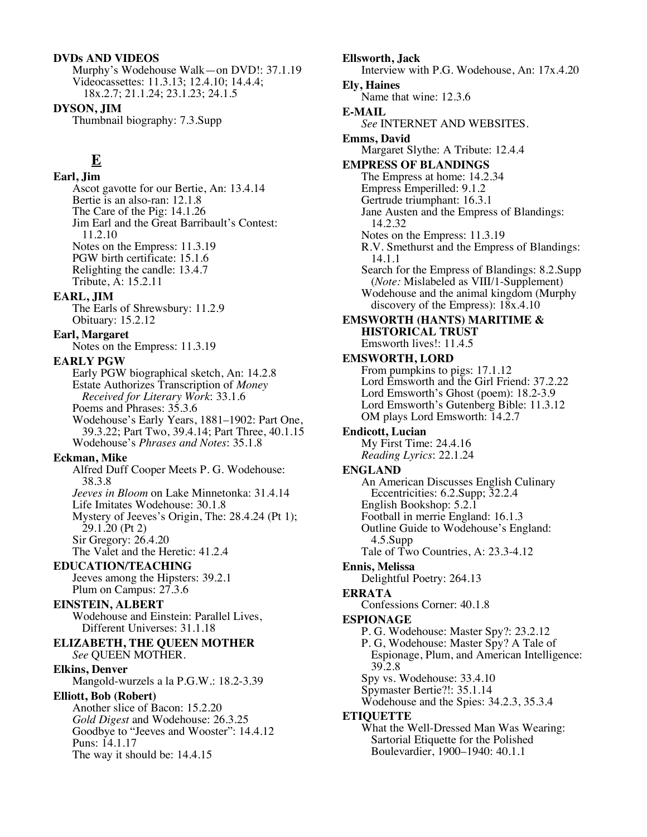### **DVDs AND VIDEOS**

Murphy's Wodehouse Walk—on DVD!: 37.1.19 Videocassettes: 11.3.13; 12.4.10; 14.4.4; 18x.2.7; 21.1.24; 23.1.23; 24.1.5

**DYSON, JIM** Thumbnail biography: 7.3.Supp

# **E**

**Earl, Jim** Ascot gavotte for our Bertie, An: 13.4.14 Bertie is an also-ran: 12.1.8 The Care of the Pig: 14.1.26 Jim Earl and the Great Barribault's Contest: 11.2.10 Notes on the Empress: 11.3.19 PGW birth certificate: 15.1.6 Relighting the candle: 13.4.7 Tribute, A: 15.2.11

# **EARL, JIM**

The Earls of Shrewsbury: 11.2.9 Obituary: 15.2.12

# **Earl, Margaret**

Notes on the Empress: 11.3.19

# **EARLY PGW**

Early PGW biographical sketch, An: 14.2.8 Estate Authorizes Transcription of *Money Received for Literary Work*: 33.1.6 Poems and Phrases: 35.3.6 Wodehouse's Early Years, 1881–1902: Part One, 39.3.22; Part Two, 39.4.14; Part Three, 40.1.15 Wodehouse's *Phrases and Notes*: 35.1.8

# **Eckman, Mike**

Alfred Duff Cooper Meets P. G. Wodehouse: 38.3.8 *Jeeves in Bloom* on Lake Minnetonka: 31.4.14 Life Imitates Wodehouse: 30.1.8 Mystery of Jeeves's Origin, The: 28.4.24 (Pt 1); 29.1.20 (Pt 2) Sir Gregory: 26.4.20 The Valet and the Heretic: 41.2.4

# **EDUCATION/TEACHING**

Jeeves among the Hipsters: 39.2.1 Plum on Campus: 27.3.6

# **EINSTEIN, ALBERT**

Wodehouse and Einstein: Parallel Lives, Different Universes: 31.1.18

#### **ELIZABETH, THE QUEEN MOTHER** *See* QUEEN MOTHER.

**Elkins, Denver**

Mangold-wurzels a la P.G.W.: 18.2-3.39

# **Elliott, Bob (Robert)**

Another slice of Bacon: 15.2.20 *Gold Digest* and Wodehouse: 26.3.25 Goodbye to "Jeeves and Wooster": 14.4.12 Puns: 14.1.17 The way it should be: 14.4.15

**Ellsworth, Jack** Interview with P.G. Wodehouse, An: 17x.4.20 **Ely, Haines** Name that wine: 12.3.6 **E-MAIL** *See* INTERNET AND WEBSITES. **Emms, David** Margaret Slythe: A Tribute: 12.4.4 **EMPRESS OF BLANDINGS** The Empress at home: 14.2.34 Empress Emperilled: 9.1.2 Gertrude triumphant: 16.3.1 Jane Austen and the Empress of Blandings: 14.2.32 Notes on the Empress: 11.3.19 R.V. Smethurst and the Empress of Blandings: 14.1.1 Search for the Empress of Blandings: 8.2.Supp (*Note:* Mislabeled as VIII/1-Supplement) Wodehouse and the animal kingdom (Murphy discovery of the Empress): 18x.4.10 **EMSWORTH (HANTS) MARITIME & HISTORICAL TRUST** Emsworth lives!: 11.4.5 **EMSWORTH, LORD** From pumpkins to pigs: 17.1.12 Lord Emsworth and the Girl Friend: 37.2.22 Lord Emsworth's Ghost (poem): 18.2-3.9 Lord Emsworth's Gutenberg Bible: 11.3.12 OM plays Lord Emsworth: 14.2.7 **Endicott, Lucian** My First Time: 24.4.16 *Reading Lyrics*: 22.1.24 **ENGLAND** An American Discusses English Culinary Eccentricities: 6.2.Supp; 32.2.4 English Bookshop: 5.2.1 Football in merrie England: 16.1.3 Outline Guide to Wodehouse's England: 4.5.Supp Tale of Two Countries, A: 23.3-4.12 **Ennis, Melissa** Delightful Poetry: 264.13 **ERRATA** Confessions Corner: 40.1.8 **ESPIONAGE** P. G. Wodehouse: Master Spy?: 23.2.12 P. G, Wodehouse: Master Spy? A Tale of Espionage, Plum, and American Intelligence: 39.2.8 Spy vs. Wodehouse: 33.4.10 Spymaster Bertie?!: 35.1.14 Wodehouse and the Spies: 34.2.3, 35.3.4 **ETIQUETTE** What the Well-Dressed Man Was Wearing: Sartorial Etiquette for the Polished Boulevardier, 1900–1940: 40.1.1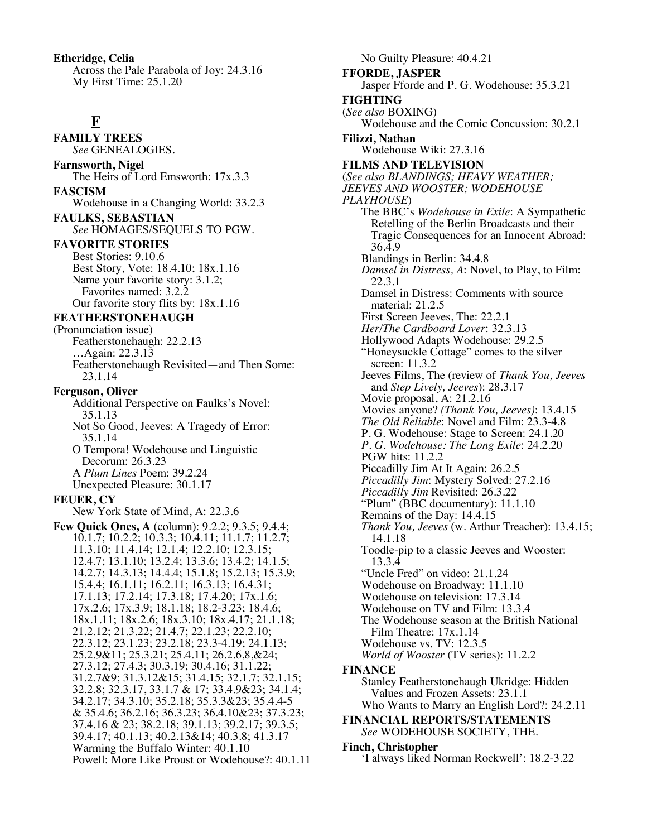**Etheridge, Celia** Across the Pale Parabola of Joy: 24.3.16 My First Time: 25.1.20

# **F**

**FAMILY TREES** *See* GENEALOGIES.

**Farnsworth, Nigel** The Heirs of Lord Emsworth: 17x.3.3 **FASCISM**

Wodehouse in a Changing World: 33.2.3

**FAULKS, SEBASTIAN** *See* HOMAGES/SEQUELS TO PGW.

**FAVORITE STORIES**

Best Stories: 9.10.6 Best Story, Vote: 18.4.10; 18x.1.16 Name your favorite story: 3.1.2; Favorites named: 3.2.2 Our favorite story flits by: 18x.1.16

# **FEATHERSTONEHAUGH**

(Pronunciation issue) Featherstonehaugh: 22.2.13 …Again: 22.3.13 Featherstonehaugh Revisited—and Then Some: 23.1.14

# **Ferguson, Oliver**

Additional Perspective on Faulks's Novel: 35.1.13 Not So Good, Jeeves: A Tragedy of Error:

35.1.14 O Tempora! Wodehouse and Linguistic

Decorum: 26.3.23 A *Plum Lines* Poem: 39.2.24 Unexpected Pleasure: 30.1.17

# **FEUER, CY**

New York State of Mind, A: 22.3.6

**Few Quick Ones, A** (column): 9.2.2; 9.3.5; 9.4.4; 10.1.7; 10.2.2; 10.3.3; 10.4.11; 11.1.7; 11.2.7; 11.3.10; 11.4.14; 12.1.4; 12.2.10; 12.3.15; 12.4.7; 13.1.10; 13.2.4; 13.3.6; 13.4.2; 14.1.5; 14.2.7; 14.3.13; 14.4.4; 15.1.8; 15.2.13; 15.3.9; 15.4.4; 16.1.11; 16.2.11; 16.3.13; 16.4.31; 17.1.13; 17.2.14; 17.3.18; 17.4.20; 17x.1.6; 17x.2.6; 17x.3.9; 18.1.18; 18.2-3.23; 18.4.6; 18x.1.11; 18x.2.6; 18x.3.10; 18x.4.17; 21.1.18; 21.2.12; 21.3.22; 21.4.7; 22.1.23; 22.2.10; 22.3.12; 23.1.23; 23.2.18; 23.3-4.19; 24.1.13; 25.2.9&11; 25.3.21; 25.4.11; 26.2.6,8,&24; 27.3.12; 27.4.3; 30.3.19; 30.4.16; 31.1.22; 31.2.7&9; 31.3.12&15; 31.4.15; 32.1.7; 32.1.15; 32.2.8; 32.3.17, 33.1.7 & 17; 33.4.9&23; 34.1.4; 34.2.17; 34.3.10; 35.2.18; 35.3.3&23; 35.4.4-5 & 35.4.6; 36.2.16; 36.3.23; 36.4.10&23; 37.3.23; 37.4.16 & 23; 38.2.18; 39.1.13; 39.2.17; 39.3.5; 39.4.17; 40.1.13; 40.2.13&14; 40.3.8; 41.3.17 Warming the Buffalo Winter: 40.1.10 Powell: More Like Proust or Wodehouse?: 40.1.11

No Guilty Pleasure: 40.4.21 **FFORDE, JASPER** Jasper Fforde and P. G. Wodehouse: 35.3.21 **FIGHTING** (*See also* BOXING) Wodehouse and the Comic Concussion: 30.2.1 **Filizzi, Nathan** Wodehouse Wiki: 27.3.16 **FILMS AND TELEVISION** (*See also BLANDINGS; HEAVY WEATHER; JEEVES AND WOOSTER; WODEHOUSE PLAYHOUSE*) The BBC's *Wodehouse in Exile*: A Sympathetic Retelling of the Berlin Broadcasts and their Tragic Consequences for an Innocent Abroad: 36.4.9 Blandings in Berlin: 34.4.8 *Damsel in Distress, A*: Novel, to Play, to Film: 22.3.1 Damsel in Distress: Comments with source material: 21.2.5 First Screen Jeeves, The: 22.2.1 *Her/The Cardboard Lover*: 32.3.13 Hollywood Adapts Wodehouse: 29.2.5 "Honeysuckle Cottage" comes to the silver screen: 11.3.2 Jeeves Films, The (review of *Thank You, Jeeves* and *Step Lively, Jeeves*): 28.3.17 Movie proposal, A: 21.2.16 Movies anyone? *(Thank You, Jeeves)*: 13.4.15 *The Old Reliable*: Novel and Film: 23.3-4.8 P. G. Wodehouse: Stage to Screen: 24.1.20 *P. G. Wodehouse: The Long Exile*: 24.2.20 PGW hits: 11.2.2 Piccadilly Jim At It Again: 26.2.5 *Piccadilly Jim*: Mystery Solved: 27.2.16 *Piccadilly Jim* Revisited: 26.3.22 "Plum" (BBC documentary): 11.1.10 Remains of the Day: 14.4.15 *Thank You, Jeeves* (w. Arthur Treacher): 13.4.15; 14.1.18 Toodle-pip to a classic Jeeves and Wooster: 13.3.4 "Uncle Fred" on video: 21.1.24 Wodehouse on Broadway: 11.1.10 Wodehouse on television: 17.3.14 Wodehouse on TV and Film: 13.3.4 The Wodehouse season at the British National Film Theatre: 17x.1.14 Wodehouse vs. TV: 12.3.5 *World of Wooster* (TV series): 11.2.2 **FINANCE** Stanley Featherstonehaugh Ukridge: Hidden Values and Frozen Assets: 23.1.1 Who Wants to Marry an English Lord?: 24.2.11

# **FINANCIAL REPORTS/STATEMENTS** *See* WODEHOUSE SOCIETY, THE.

# **Finch, Christopher**

'I always liked Norman Rockwell': 18.2-3.22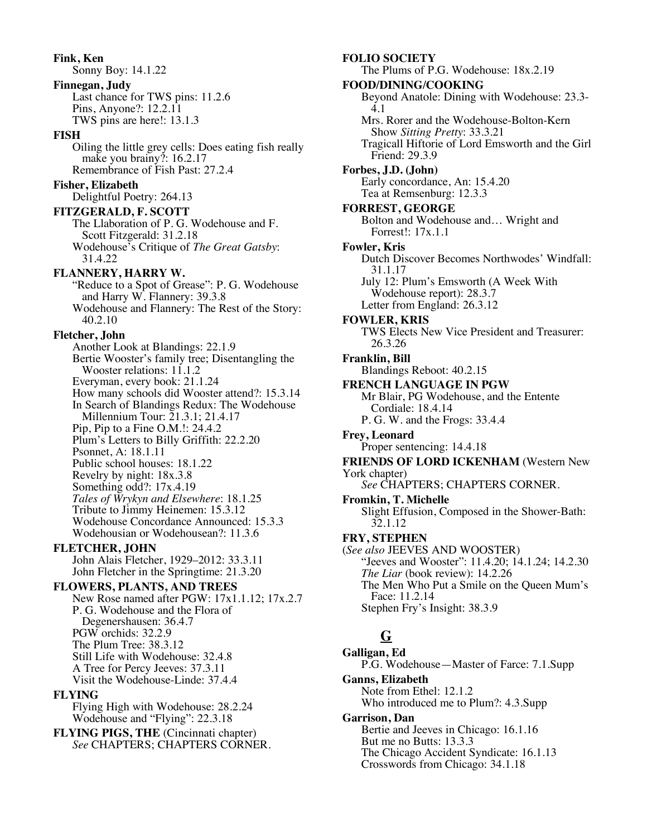**Fink, Ken** Sonny Boy: 14.1.22 **Finnegan, Judy** Last chance for TWS pins: 11.2.6 Pins, Anyone?: 12.2.11 TWS pins are here!: 13.1.3 **FISH** Oiling the little grey cells: Does eating fish really make you brainy?: 16.2.17 Remembrance of Fish Past: 27.2.4 **Fisher, Elizabeth** Delightful Poetry: 264.13 **FITZGERALD, F. SCOTT** The Llaboration of P. G. Wodehouse and F. Scott Fitzgerald: 31.2.18 Wodehouse's Critique of *The Great Gatsby*: 31.4.22 **FLANNERY, HARRY W.** "Reduce to a Spot of Grease": P. G. Wodehouse and Harry W. Flannery: 39.3.8 Wodehouse and Flannery: The Rest of the Story: 40.2.10 **Fletcher, John** Another Look at Blandings: 22.1.9 Bertie Wooster's family tree; Disentangling the Wooster relations: 11.1.2 Everyman, every book: 21.1.24 How many schools did Wooster attend?: 15.3.14 In Search of Blandings Redux: The Wodehouse Millennium Tour: 21.3.1; 21.4.17 Pip, Pip to a Fine O.M.!: 24.4.2 Plum's Letters to Billy Griffith: 22.2.20 Psonnet, A: 18.1.11 Public school houses: 18.1.22 Revelry by night: 18x.3.8 Something odd?: 17x.4.19 *Tales of Wrykyn and Elsewhere*: 18.1.25 Tribute to Jimmy Heinemen: 15.3.12 Wodehouse Concordance Announced: 15.3.3 Wodehousian or Wodehousean?: 11.3.6 **FLETCHER, JOHN** John Alais Fletcher, 1929–2012: 33.3.11 John Fletcher in the Springtime: 21.3.20 **FLOWERS, PLANTS, AND TREES** New Rose named after PGW: 17x1.1.12; 17x.2.7 P. G. Wodehouse and the Flora of

Degenershausen: 36.4.7 PGW orchids: 32.2.9 The Plum Tree: 38.3.12

**FLYING**

Still Life with Wodehouse: 32.4.8 A Tree for Percy Jeeves: 37.3.11 Visit the Wodehouse-Linde: 37.4.4

Flying High with Wodehouse: 28.2.24 Wodehouse and "Flying": 22.3.18 **FLYING PIGS, THE** (Cincinnati chapter) *See* CHAPTERS; CHAPTERS CORNER.

# Show *Sitting Pretty*: 33.3.21 Tragicall Hiftorie of Lord Emsworth and the Girl Friend: 29.3.9 **Forbes, J.D. (John)** Early concordance, An: 15.4.20 Tea at Remsenburg: 12.3.3 **FORREST, GEORGE** Bolton and Wodehouse and… Wright and Forrest!: 17x.1.1 **Fowler, Kris** Dutch Discover Becomes Northwodes' Windfall: 31.1.17 July 12: Plum's Emsworth (A Week With Wodehouse report): 28.3.7 Letter from England: 26.3.12 **FOWLER, KRIS** TWS Elects New Vice President and Treasurer: 26.3.26 **Franklin, Bill** Blandings Reboot: 40.2.15 **FRENCH LANGUAGE IN PGW** Mr Blair, PG Wodehouse, and the Entente Cordiale: 18.4.14 P. G. W. and the Frogs: 33.4.4 **Frey, Leonard** Proper sentencing: 14.4.18 **FRIENDS OF LORD ICKENHAM** (Western New York chapter) *See* CHAPTERS; CHAPTERS CORNER. **Fromkin, T. Michelle** Slight Effusion, Composed in the Shower-Bath: 32.1.12 **FRY, STEPHEN** (*See also* JEEVES AND WOOSTER) "Jeeves and Wooster": 11.4.20; 14.1.24; 14.2.30 *The Liar* (book review): 14.2.26 The Men Who Put a Smile on the Queen Mum's Face: 11.2.14

Stephen Fry's Insight: 38.3.9

# **G**

**FOLIO SOCIETY**

**FOOD/DINING/COOKING**

The Plums of P.G. Wodehouse: 18x.2.19

Beyond Anatole: Dining with Wodehouse: 23.3- 4.1 Mrs. Rorer and the Wodehouse-Bolton-Kern

**Galligan, Ed** P.G. Wodehouse—Master of Farce: 7.1.Supp **Ganns, Elizabeth** Note from Ethel: 12.1.2 Who introduced me to Plum?: 4.3.Supp **Garrison, Dan** Bertie and Jeeves in Chicago: 16.1.16 But me no Butts: 13.3.3

The Chicago Accident Syndicate: 16.1.13 Crosswords from Chicago: 34.1.18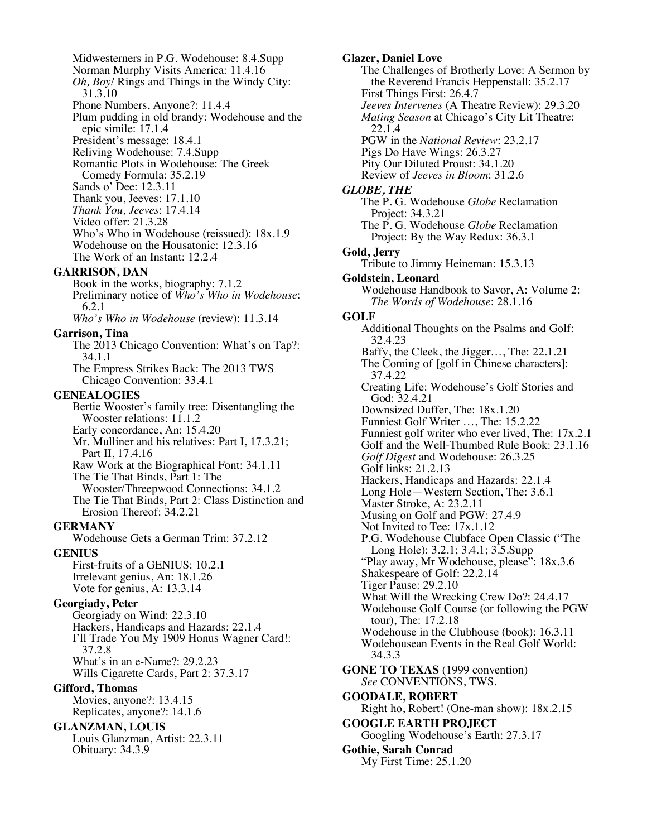Midwesterners in P.G. Wodehouse: 8.4.Supp Norman Murphy Visits America: 11.4.16 *Oh, Boy!* Rings and Things in the Windy City: 31.3.10 Phone Numbers, Anyone?: 11.4.4 Plum pudding in old brandy: Wodehouse and the epic simile: 17.1.4 President's message: 18.4.1 Reliving Wodehouse: 7.4.Supp Romantic Plots in Wodehouse: The Greek Comedy Formula: 35.2.19 Sands o' Dee: 12.3.11 Thank you, Jeeves: 17.1.10 *Thank You, Jeeves*: 17.4.14 Video offer: 21.3.28 Who's Who in Wodehouse (reissued): 18x.1.9 Wodehouse on the Housatonic: 12.3.16 The Work of an Instant: 12.2.4 **GARRISON, DAN** Book in the works, biography: 7.1.2 Preliminary notice of *Who's Who in Wodehouse*: 6.2.1 *Who's Who in Wodehouse* (review): 11.3.14 **Garrison, Tina** The 2013 Chicago Convention: What's on Tap?: 34.1.1 The Empress Strikes Back: The 2013 TWS Chicago Convention: 33.4.1 **GENEALOGIES** Bertie Wooster's family tree: Disentangling the Wooster relations: 11.1.2 Early concordance, An: 15.4.20 Mr. Mulliner and his relatives: Part I, 17.3.21; Part II, 17.4.16 Raw Work at the Biographical Font: 34.1.11 The Tie That Binds, Part 1: The Wooster/Threepwood Connections: 34.1.2 The Tie That Binds, Part 2: Class Distinction and Erosion Thereof: 34.2.21 **GERMANY** Wodehouse Gets a German Trim: 37.2.12 **GENIUS** First-fruits of a GENIUS: 10.2.1 Irrelevant genius, An: 18.1.26 Vote for genius, A: 13.3.14 **Georgiady, Peter** Georgiady on Wind: 22.3.10 Hackers, Handicaps and Hazards: 22.1.4 I'll Trade You My 1909 Honus Wagner Card!: 37.2.8 What's in an e-Name?: 29.2.23 Wills Cigarette Cards, Part 2: 37.3.17 **Gifford, Thomas** Movies, anyone?: 13.4.15 Replicates, anyone?: 14.1.6 **GLANZMAN, LOUIS** Louis Glanzman, Artist: 22.3.11 Obituary: 34.3.9

**Glazer, Daniel Love** The Challenges of Brotherly Love: A Sermon by the Reverend Francis Heppenstall: 35.2.17 First Things First: 26.4.7 *Jeeves Intervenes* (A Theatre Review): 29.3.20 *Mating Season* at Chicago's City Lit Theatre: 22.1.4 PGW in the *National Review*: 23.2.17 Pigs Do Have Wings: 26.3.27 Pity Our Diluted Proust: 34.1.20 Review of *Jeeves in Bloom*: 31.2.6 *GLOBE, THE* The P. G. Wodehouse *Globe* Reclamation Project: 34.3.21 The P. G. Wodehouse *Globe* Reclamation Project: By the Way Redux: 36.3.1 **Gold, Jerry** Tribute to Jimmy Heineman: 15.3.13 **Goldstein, Leonard** Wodehouse Handbook to Savor, A: Volume 2: *The Words of Wodehouse*: 28.1.16 **GOLF** Additional Thoughts on the Psalms and Golf: 32.4.23 Baffy, the Cleek, the Jigger…, The: 22.1.21 The Coming of [golf in Chinese characters]: 37.4.22 Creating Life: Wodehouse's Golf Stories and God: 32.4.21 Downsized Duffer, The: 18x.1.20 Funniest Golf Writer …, The: 15.2.22 Funniest golf writer who ever lived, The: 17x.2.1 Golf and the Well-Thumbed Rule Book: 23.1.16 *Golf Digest* and Wodehouse: 26.3.25 Golf links: 21.2.13 Hackers, Handicaps and Hazards: 22.1.4 Long Hole—Western Section, The: 3.6.1 Master Stroke, A: 23.2.11 Musing on Golf and PGW: 27.4.9 Not Invited to Tee: 17x.1.12 P.G. Wodehouse Clubface Open Classic ("The Long Hole): 3.2.1; 3.4.1; 3.5.Supp "Play away, Mr Wodehouse, please": 18x.3.6 Shakespeare of Golf: 22.2.14 Tiger Pause: 29.2.10 What Will the Wrecking Crew Do?: 24.4.17 Wodehouse Golf Course (or following the PGW tour), The: 17.2.18 Wodehouse in the Clubhouse (book): 16.3.11 Wodehousean Events in the Real Golf World: 34.3.3 **GONE TO TEXAS** (1999 convention) *See* CONVENTIONS, TWS. **GOODALE, ROBERT** Right ho, Robert! (One-man show): 18x.2.15 **GOOGLE EARTH PROJECT** Googling Wodehouse's Earth: 27.3.17 **Gothie, Sarah Conrad** My First Time: 25.1.20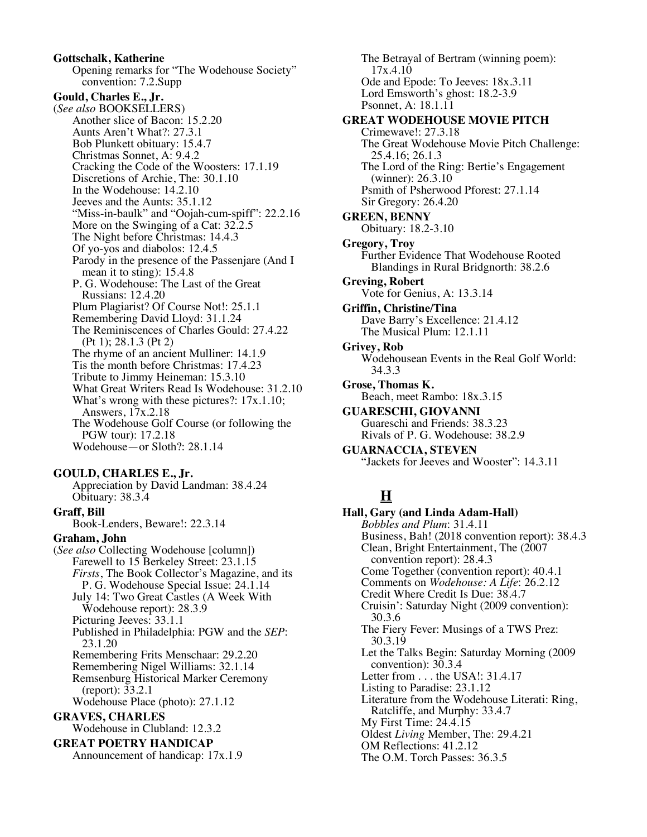**Gottschalk, Katherine** Opening remarks for "The Wodehouse Society" convention: 7.2.Supp **Gould, Charles E., Jr.** (*See also* BOOKSELLERS) Another slice of Bacon: 15.2.20 Aunts Aren't What?: 27.3.1 Bob Plunkett obituary: 15.4.7 Christmas Sonnet, A: 9.4.2 Cracking the Code of the Woosters: 17.1.19 Discretions of Archie, The: 30.1.10 In the Wodehouse: 14.2.10 Jeeves and the Aunts: 35.1.12 "Miss-in-baulk" and "Oojah-cum-spiff": 22.2.16 More on the Swinging of a Cat: 32.2.5 The Night before Christmas: 14.4.3 Of yo-yos and diabolos: 12.4.5 Parody in the presence of the Passenjare (And I mean it to sting): 15.4.8 P. G. Wodehouse: The Last of the Great Russians: 12.4.20 Plum Plagiarist? Of Course Not!: 25.1.1 Remembering David Lloyd: 31.1.24 The Reminiscences of Charles Gould: 27.4.22 (Pt 1); 28.1.3 (Pt 2) The rhyme of an ancient Mulliner: 14.1.9 Tis the month before Christmas: 17.4.23 Tribute to Jimmy Heineman: 15.3.10 What Great Writers Read Is Wodehouse: 31.2.10 What's wrong with these pictures?:  $17x.1.10$ ; Answers, 17x.2.18 The Wodehouse Golf Course (or following the PGW tour): 17.2.18 Wodehouse—or Sloth?: 28.1.14

#### **GOULD, CHARLES E., Jr.**

Appreciation by David Landman: 38.4.24 Obituary: 38.3.4

**Graff, Bill** Book-Lenders, Beware!: 22.3.14 **Graham, John** (*See also* Collecting Wodehouse [column]) Farewell to 15 Berkeley Street: 23.1.15 *Firsts*, The Book Collector's Magazine, and its P. G. Wodehouse Special Issue: 24.1.14 July 14: Two Great Castles (A Week With Wodehouse report): 28.3.9 Picturing Jeeves: 33.1.1 Published in Philadelphia: PGW and the *SEP*: 23.1.20 Remembering Frits Menschaar: 29.2.20 Remembering Nigel Williams: 32.1.14 Remsenburg Historical Marker Ceremony (report): 33.2.1 Wodehouse Place (photo): 27.1.12 **GRAVES, CHARLES** Wodehouse in Clubland: 12.3.2 **GREAT POETRY HANDICAP** Announcement of handicap: 17x.1.9

The Betrayal of Bertram (winning poem): 17x.4.10 Ode and Epode: To Jeeves: 18x.3.11 Lord Emsworth's ghost: 18.2-3.9 Psonnet, A: 18.1.11 **GREAT WODEHOUSE MOVIE PITCH** Crimewave!: 27.3.18 The Great Wodehouse Movie Pitch Challenge: 25.4.16; 26.1.3 The Lord of the Ring: Bertie's Engagement (winner): 26.3.10 Psmith of Psherwood Pforest: 27.1.14 Sir Gregory: 26.4.20 **GREEN, BENNY** Obituary: 18.2-3.10 **Gregory, Troy** Further Evidence That Wodehouse Rooted Blandings in Rural Bridgnorth: 38.2.6 **Greving, Robert** Vote for Genius, A: 13.3.14 **Griffin, Christine/Tina** Dave Barry's Excellence: 21.4.12 The Musical Plum: 12.1.11 **Grivey, Rob** Wodehousean Events in the Real Golf World: 34.3.3 **Grose, Thomas K.** Beach, meet Rambo: 18x.3.15 **GUARESCHI, GIOVANNI** Guareschi and Friends: 38.3.23 Rivals of P. G. Wodehouse: 38.2.9 **GUARNACCIA, STEVEN** "Jackets for Jeeves and Wooster": 14.3.11

# **H**

**Hall, Gary (and Linda Adam-Hall)** *Bobbles and Plum*: 31.4.11 Business, Bah! (2018 convention report): 38.4.3 Clean, Bright Entertainment, The (2007 convention report): 28.4.3 Come Together (convention report): 40.4.1 Comments on *Wodehouse: A Life*: 26.2.12 Credit Where Credit Is Due: 38.4.7 Cruisin': Saturday Night (2009 convention): 30.3.6 The Fiery Fever: Musings of a TWS Prez: 30.3.19 Let the Talks Begin: Saturday Morning (2009 convention): 30.3.4 Letter from . . . the USA!: 31.4.17 Listing to Paradise: 23.1.12 Literature from the Wodehouse Literati: Ring, Ratcliffe, and Murphy: 33.4.7 My First Time: 24.4.15 Oldest *Living* Member, The: 29.4.21 OM Reflections: 41.2.12 The O.M. Torch Passes: 36.3.5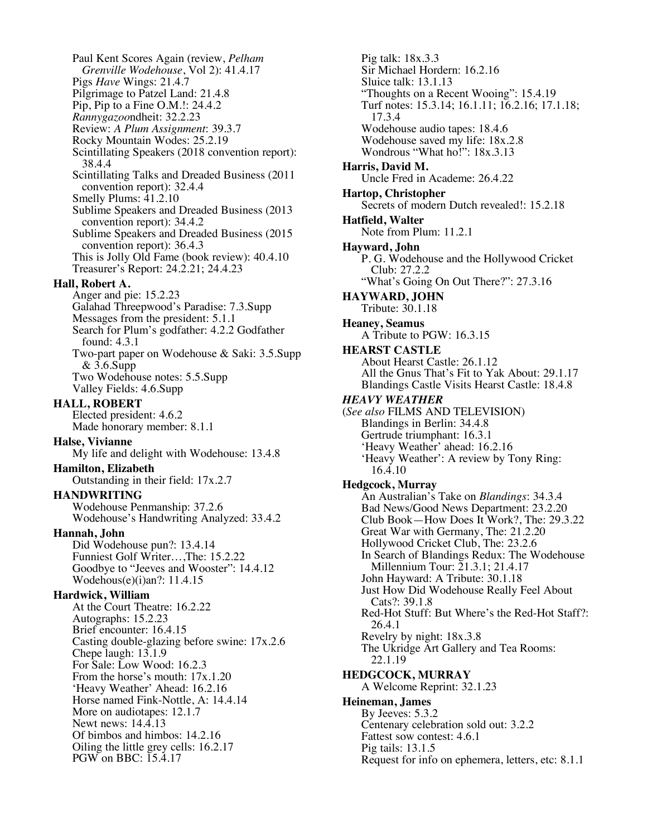Paul Kent Scores Again (review, *Pelham Grenville Wodehouse*, Vol 2): 41.4.17 Pigs *Have* Wings: 21.4.7 Pilgrimage to Patzel Land: 21.4.8 Pip, Pip to a Fine O.M.!: 24.4.2 *Rannygazoo*ndheit: 32.2.23 Review: *A Plum Assignment*: 39.3.7 Rocky Mountain Wodes: 25.2.19 Scintillating Speakers (2018 convention report): 38.4.4 Scintillating Talks and Dreaded Business (2011 convention report): 32.4.4 Smelly Plums: 41.2.10 Sublime Speakers and Dreaded Business (2013 convention report): 34.4.2 Sublime Speakers and Dreaded Business (2015 convention report): 36.4.3 This is Jolly Old Fame (book review): 40.4.10 Treasurer's Report: 24.2.21; 24.4.23 **Hall, Robert A.** Anger and pie: 15.2.23 Galahad Threepwood's Paradise: 7.3.Supp Messages from the president: 5.1.1 Search for Plum's godfather: 4.2.2 Godfather found: 4.3.1 Two-part paper on Wodehouse & Saki: 3.5.Supp & 3.6.Supp Two Wodehouse notes: 5.5.Supp Valley Fields: 4.6.Supp **HALL, ROBERT** Elected president: 4.6.2 Made honorary member: 8.1.1 **Halse, Vivianne** My life and delight with Wodehouse: 13.4.8 **Hamilton, Elizabeth** Outstanding in their field: 17x.2.7 **HANDWRITING** Wodehouse Penmanship: 37.2.6 Wodehouse's Handwriting Analyzed: 33.4.2 **Hannah, John** Did Wodehouse pun?: 13.4.14 Funniest Golf Writer…,The: 15.2.22 Goodbye to "Jeeves and Wooster": 14.4.12 Wodehous(e)(i)an?: 11.4.15 **Hardwick, William** At the Court Theatre: 16.2.22 Autographs: 15.2.23 Brief encounter: 16.4.15 Casting double-glazing before swine: 17x.2.6 Chepe laugh: 13.1.9 For Sale: Low Wood: 16.2.3 From the horse's mouth: 17x.1.20 'Heavy Weather' Ahead: 16.2.16 Horse named Fink-Nottle, A: 14.4.14 More on audiotapes: 12.1.7 Newt news: 14.4.13 Of bimbos and himbos: 14.2.16 Oiling the little grey cells: 16.2.17 PGW on BBC: 15.4.17

Pig talk: 18x.3.3 Sir Michael Hordern: 16.2.16 Sluice talk: 13.1.13 "Thoughts on a Recent Wooing": 15.4.19 Turf notes: 15.3.14; 16.1.11; 16.2.16; 17.1.18; 17.3.4 Wodehouse audio tapes: 18.4.6 Wodehouse saved my life: 18x.2.8 Wondrous "What ho!": 18x.3.13 **Harris, David M.** Uncle Fred in Academe: 26.4.22 **Hartop, Christopher** Secrets of modern Dutch revealed!: 15.2.18 **Hatfield, Walter** Note from Plum: 11.2.1 **Hayward, John** P. G. Wodehouse and the Hollywood Cricket Club: 27.2.2 "What's Going On Out There?": 27.3.16 **HAYWARD, JOHN** Tribute: 30.1.18 **Heaney, Seamus** A Tribute to PGW: 16.3.15 **HEARST CASTLE** About Hearst Castle: 26.1.12 All the Gnus That's Fit to Yak About: 29.1.17 Blandings Castle Visits Hearst Castle: 18.4.8 *HEAVY WEATHER* (*See also* FILMS AND TELEVISION) Blandings in Berlin: 34.4.8 Gertrude triumphant: 16.3.1 'Heavy Weather' ahead: 16.2.16 'Heavy Weather': A review by Tony Ring: 16.4.10 **Hedgcock, Murray** An Australian's Take on *Blandings*: 34.3.4 Bad News/Good News Department: 23.2.20 Club Book—How Does It Work?, The: 29.3.22 Great War with Germany, The: 21.2.20 Hollywood Cricket Club, The: 23.2.6 In Search of Blandings Redux: The Wodehouse Millennium Tour: 21.3.1; 21.4.17 John Hayward: A Tribute: 30.1.18 Just How Did Wodehouse Really Feel About Cats?: 39.1.8 Red-Hot Stuff: But Where's the Red-Hot Staff?: 26.4.1 Revelry by night: 18x.3.8 The Ukridge Art Gallery and Tea Rooms: 22.1.19 **HEDGCOCK, MURRAY** A Welcome Reprint: 32.1.23 **Heineman, James** By Jeeves: 5.3.2 Centenary celebration sold out: 3.2.2 Fattest sow contest: 4.6.1 Pig tails: 13.1.5 Request for info on ephemera, letters, etc: 8.1.1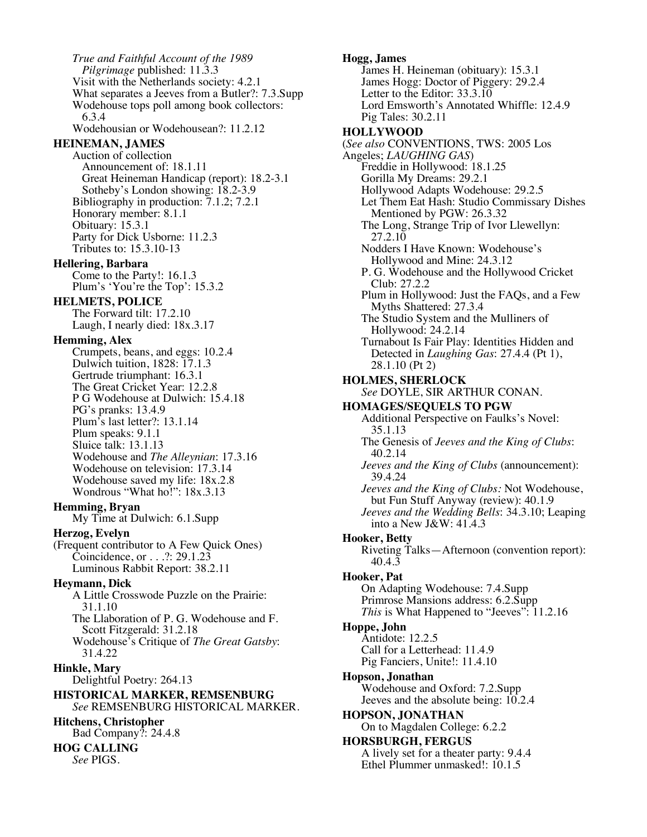*True and Faithful Account of the 1989 Pilgrimage* published: 11.3.3 Visit with the Netherlands society: 4.2.1 What separates a Jeeves from a Butler?: 7.3.Supp Wodehouse tops poll among book collectors: 6.3.4 Wodehousian or Wodehousean?: 11.2.12 **HEINEMAN, JAMES** Auction of collection Announcement of: 18.1.11 Great Heineman Handicap (report): 18.2-3.1 Sotheby's London showing: 18.2-3.9 Bibliography in production: 7.1.2; 7.2.1 Honorary member: 8.1.1 Obituary: 15.3.1 Party for Dick Usborne: 11.2.3 Tributes to: 15.3.10-13 **Hellering, Barbara** Come to the Party!: 16.1.3 Plum's 'You're the Top': 15.3.2 **HELMETS, POLICE** The Forward tilt: 17.2.10 Laugh, I nearly died: 18x.3.17 **Hemming, Alex** Crumpets, beans, and eggs: 10.2.4 Dulwich tuition, 1828: 17.1.3 Gertrude triumphant: 16.3.1 The Great Cricket Year: 12.2.8 P G Wodehouse at Dulwich: 15.4.18 PG's pranks: 13.4.9 Plum's last letter?: 13.1.14 Plum speaks: 9.1.1 Sluice talk: 13.1.13 Wodehouse and *The Alleynian*: 17.3.16 Wodehouse on television: 17.3.14 Wodehouse saved my life: 18x.2.8 Wondrous "What ho!": 18x.3.13 **Hemming, Bryan** My Time at Dulwich: 6.1.Supp **Herzog, Evelyn** (Frequent contributor to A Few Quick Ones) Coincidence, or . . .?: 29.1.23 Luminous Rabbit Report: 38.2.11 **Heymann, Dick** A Little Crosswode Puzzle on the Prairie: 31.1.10 The Llaboration of P. G. Wodehouse and F. Scott Fitzgerald: 31.2.18 Wodehouse's Critique of *The Great Gatsby*: 31.4.22 **Hinkle, Mary** Delightful Poetry: 264.13 **HISTORICAL MARKER, REMSENBURG** *See* REMSENBURG HISTORICAL MARKER. **Hitchens, Christopher** Bad Company?: 24.4.8 **HOG CALLING** *See* PIGS.

**Hogg, James** James H. Heineman (obituary): 15.3.1 James Hogg: Doctor of Piggery: 29.2.4 Letter to the Editor: 33.3.10 Lord Emsworth's Annotated Whiffle: 12.4.9 Pig Tales: 30.2.11 **HOLLYWOOD** (*See also* CONVENTIONS, TWS: 2005 Los Angeles; *LAUGHING GAS*) Freddie in Hollywood: 18.1.25 Gorilla My Dreams: 29.2.1 Hollywood Adapts Wodehouse: 29.2.5 Let Them Eat Hash: Studio Commissary Dishes Mentioned by PGW: 26.3.32 The Long, Strange Trip of Ivor Llewellyn: 27.2.10 Nodders I Have Known: Wodehouse's Hollywood and Mine: 24.3.12 P. G. Wodehouse and the Hollywood Cricket Club: 27.2.2 Plum in Hollywood: Just the FAQs, and a Few Myths Shattered: 27.3.4 The Studio System and the Mulliners of Hollywood: 24.2.14 Turnabout Is Fair Play: Identities Hidden and Detected in *Laughing Gas*: 27.4.4 (Pt 1), 28.1.10 (Pt 2) **HOLMES, SHERLOCK** *See* DOYLE, SIR ARTHUR CONAN. **HOMAGES/SEQUELS TO PGW** Additional Perspective on Faulks's Novel: 35.1.13 The Genesis of *Jeeves and the King of Clubs*: 40.2.14 *Jeeves and the King of Clubs* (announcement): 39.4.24 *Jeeves and the King of Clubs:* Not Wodehouse, but Fun Stuff Anyway (review): 40.1.9 *Jeeves and the Wedding Bells*: 34.3.10; Leaping into a New J&W: 41.4.3 **Hooker, Betty** Riveting Talks—Afternoon (convention report): 40.4.3 **Hooker, Pat** On Adapting Wodehouse: 7.4.Supp Primrose Mansions address: 6.2.Supp *This* is What Happened to "Jeeves": 11.2.16 **Hoppe, John** Antidote: 12.2.5 Call for a Letterhead: 11.4.9 Pig Fanciers, Unite!: 11.4.10 **Hopson, Jonathan** Wodehouse and Oxford: 7.2.Supp Jeeves and the absolute being: 10.2.4 **HOPSON, JONATHAN** On to Magdalen College: 6.2.2 **HORSBURGH, FERGUS** A lively set for a theater party: 9.4.4 Ethel Plummer unmasked!: 10.1.5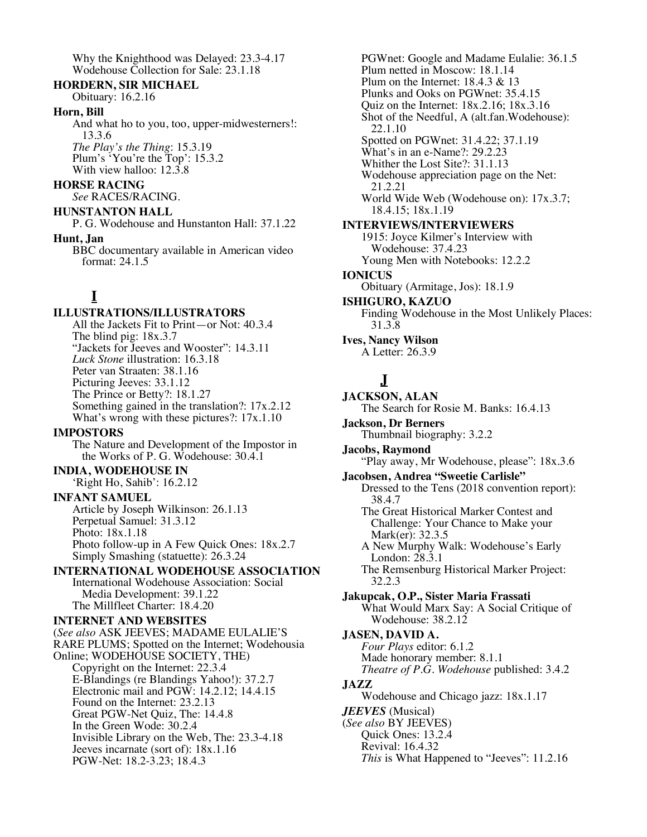Why the Knighthood was Delayed: 23.3-4.17 Wodehouse Collection for Sale: 23.1.18

#### **HORDERN, SIR MICHAEL**

Obituary: 16.2.16

#### **Horn, Bill**

And what ho to you, too, upper-midwesterners!: 13.3.6 *The Play's the Thing*: 15.3.19 Plum's 'You're the Top': 15.3.2 With view halloo: 12.3.8

### **HORSE RACING**

*See* RACES/RACING.

### **HUNSTANTON HALL**

P. G. Wodehouse and Hunstanton Hall: 37.1.22 **Hunt, Jan**

BBC documentary available in American video format: 24.1.5

# **I**

# **ILLUSTRATIONS/ILLUSTRATORS**

All the Jackets Fit to Print—or Not: 40.3.4 The blind pig: 18x.3.7 "Jackets for Jeeves and Wooster": 14.3.11 *Luck Stone* illustration: 16.3.18 Peter van Straaten: 38.1.16 Picturing Jeeves: 33.1.12 The Prince or Betty?: 18.1.27 Something gained in the translation?: 17x.2.12 What's wrong with these pictures?:  $17x.1.10$ 

# **IMPOSTORS**

The Nature and Development of the Impostor in the Works of P. G. Wodehouse: 30.4.1

# **INDIA, WODEHOUSE IN**

'Right Ho, Sahib': 16.2.12

# **INFANT SAMUEL**

Article by Joseph Wilkinson: 26.1.13 Perpetual Samuel: 31.3.12 Photo: 18x.1.18 Photo follow-up in A Few Quick Ones: 18x.2.7 Simply Smashing (statuette): 26.3.24

# **INTERNATIONAL WODEHOUSE ASSOCIATION**

International Wodehouse Association: Social Media Development: 39.1.22 The Millfleet Charter: 18.4.20

# **INTERNET AND WEBSITES**

(*See also* ASK JEEVES; MADAME EULALIE'S RARE PLUMS; Spotted on the Internet; Wodehousia Online; WODEHOUSE SOCIETY, THE) Copyright on the Internet: 22.3.4 E-Blandings (re Blandings Yahoo!): 37.2.7 Electronic mail and PGW: 14.2.12; 14.4.15 Found on the Internet: 23.2.13 Great PGW-Net Quiz, The: 14.4.8 In the Green Wode: 30.2.4 Invisible Library on the Web, The: 23.3-4.18 Jeeves incarnate (sort of): 18x.1.16 PGW-Net: 18.2-3.23; 18.4.3

PGWnet: Google and Madame Eulalie: 36.1.5 Plum netted in Moscow: 18.1.14 Plum on the Internet: 18.4.3 & 13 Plunks and Ooks on PGWnet: 35.4.15 Quiz on the Internet: 18x.2.16; 18x.3.16 Shot of the Needful, A (alt.fan.Wodehouse): 22.1.10 Spotted on PGWnet: 31.4.22; 37.1.19 What's in an e-Name?: 29.2.23 Whither the Lost Site?: 31.1.13 Wodehouse appreciation page on the Net: 21.2.21 World Wide Web (Wodehouse on): 17x.3.7; 18.4.15; 18x.1.19 **INTERVIEWS/INTERVIEWERS** 1915: Joyce Kilmer's Interview with Wodehouse: 37.4.23 Young Men with Notebooks: 12.2.2 **IONICUS** Obituary (Armitage, Jos): 18.1.9 **ISHIGURO, KAZUO** Finding Wodehouse in the Most Unlikely Places: 31.3.8 **Ives, Nancy Wilson**

A Letter: 26.3.9

# **J**

**JACKSON, ALAN** The Search for Rosie M. Banks: 16.4.13 **Jackson, Dr Berners** Thumbnail biography: 3.2.2 **Jacobs, Raymond** "Play away, Mr Wodehouse, please": 18x.3.6 **Jacobsen, Andrea "Sweetie Carlisle"** Dressed to the Tens (2018 convention report): 38.4.7 The Great Historical Marker Contest and Challenge: Your Chance to Make your Mark(er): 32.3.5 A New Murphy Walk: Wodehouse's Early London: 28.3.1 The Remsenburg Historical Marker Project: 32.2.3 **Jakupcak, O.P., Sister Maria Frassati** What Would Marx Say: A Social Critique of Wodehouse: 38.2.12 **JASEN, DAVID A.** *Four Plays* editor: 6.1.2 Made honorary member: 8.1.1 *Theatre of P.G. Wodehouse* published: 3.4.2 **JAZZ** Wodehouse and Chicago jazz: 18x.1.17 *JEEVES* (Musical) (*See also* BY JEEVES) Quick Ones: 13.2.4 Revival: 16.4.32 *This* is What Happened to "Jeeves": 11.2.16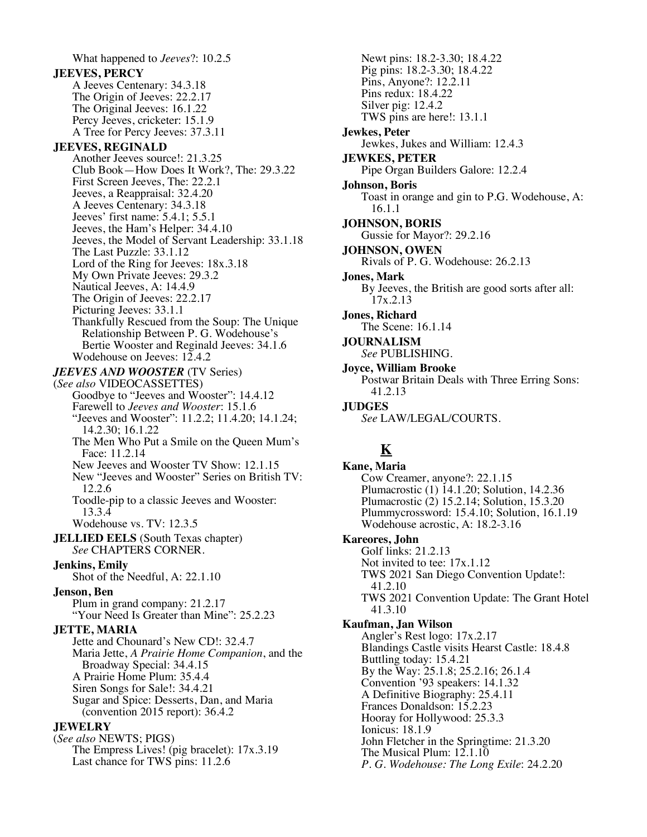What happened to *Jeeves*?: 10.2.5 **JEEVES, PERCY** A Jeeves Centenary: 34.3.18 The Origin of Jeeves: 22.2.17 The Original Jeeves: 16.1.22 Percy Jeeves, cricketer: 15.1.9 A Tree for Percy Jeeves: 37.3.11 **JEEVES, REGINALD** Another Jeeves source!: 21.3.25 Club Book—How Does It Work?, The: 29.3.22 First Screen Jeeves, The: 22.2.1 Jeeves, a Reappraisal: 32.4.20 A Jeeves Centenary: 34.3.18 Jeeves' first name: 5.4.1; 5.5.1 Jeeves, the Ham's Helper: 34.4.10 Jeeves, the Model of Servant Leadership: 33.1.18 The Last Puzzle: 33.1.12 Lord of the Ring for Jeeves:  $18x.3.18$ My Own Private Jeeves: 29.3.2 Nautical Jeeves, A: 14.4.9 The Origin of Jeeves: 22.2.17 Picturing Jeeves: 33.1.1 Thankfully Rescued from the Soup: The Unique Relationship Between P. G. Wodehouse's Bertie Wooster and Reginald Jeeves: 34.1.6 Wodehouse on Jeeves: 12.4.2 *JEEVES AND WOOSTER* (TV Series) (*See also* VIDEOCASSETTES) Goodbye to "Jeeves and Wooster": 14.4.12 Farewell to *Jeeves and Wooster*: 15.1.6 "Jeeves and Wooster": 11.2.2; 11.4.20; 14.1.24; 14.2.30; 16.1.22 The Men Who Put a Smile on the Queen Mum's Face: 11.2.14 New Jeeves and Wooster TV Show: 12.1.15 New "Jeeves and Wooster" Series on British TV: 12.2.6 Toodle-pip to a classic Jeeves and Wooster: 13.3.4 Wodehouse vs. TV: 12.3.5 **JELLIED EELS** (South Texas chapter) *See* CHAPTERS CORNER. **Jenkins, Emily** Shot of the Needful, A: 22.1.10 **Jenson, Ben** Plum in grand company: 21.2.17 "Your Need Is Greater than Mine": 25.2.23 **JETTE, MARIA** Jette and Chounard's New CD!: 32.4.7 Maria Jette, *A Prairie Home Companion*, and the Broadway Special: 34.4.15 A Prairie Home Plum: 35.4.4 Siren Songs for Sale!: 34.4.21 Sugar and Spice: Desserts, Dan, and Maria (convention 2015 report): 36.4.2 **JEWELRY** (*See also* NEWTS; PIGS) The Empress Lives! (pig bracelet): 17x.3.19 Last chance for TWS pins: 11.2.6

Newt pins: 18.2-3.30; 18.4.22 Pig pins: 18.2-3.30; 18.4.22 Pins, Anyone?: 12.2.11 Pins redux: 18.4.22 Silver pig: 12.4.2 TWS pins are here!: 13.1.1 **Jewkes, Peter** Jewkes, Jukes and William: 12.4.3 **JEWKES, PETER** Pipe Organ Builders Galore: 12.2.4 **Johnson, Boris** Toast in orange and gin to P.G. Wodehouse, A: 16.1.1 **JOHNSON, BORIS** Gussie for Mayor?: 29.2.16 **JOHNSON, OWEN** Rivals of P. G. Wodehouse: 26.2.13 **Jones, Mark** By Jeeves, the British are good sorts after all: 17x.2.13 **Jones, Richard** The Scene: 16.1.14 **JOURNALISM** *See* PUBLISHING. **Joyce, William Brooke** Postwar Britain Deals with Three Erring Sons: 41.2.13 **JUDGES** *See* LAW/LEGAL/COURTS. **K Kane, Maria** Cow Creamer, anyone?: 22.1.15 Plumacrostic (1) 14.1.20; Solution, 14.2.36 Plumacrostic (2) 15.2.14; Solution, 15.3.20 Plummycrossword: 15.4.10; Solution, 16.1.19

Wodehouse acrostic, A: 18.2-3.16

**Kareores, John**

Golf links: 21.2.13 Not invited to tee: 17x.1.12 TWS 2021 San Diego Convention Update!: 41.2.10 TWS 2021 Convention Update: The Grant Hotel 41.3.10

**Kaufman, Jan Wilson**

Angler's Rest logo: 17x.2.17 Blandings Castle visits Hearst Castle: 18.4.8 Buttling today: 15.4.21 By the Way: 25.1.8; 25.2.16; 26.1.4 Convention '93 speakers: 14.1.32 A Definitive Biography: 25.4.11 Frances Donaldson: 15.2.23 Hooray for Hollywood: 25.3.3 Ionicus: 18.1.9 John Fletcher in the Springtime: 21.3.20 The Musical Plum: 12.1.10 *P. G. Wodehouse: The Long Exile*: 24.2.20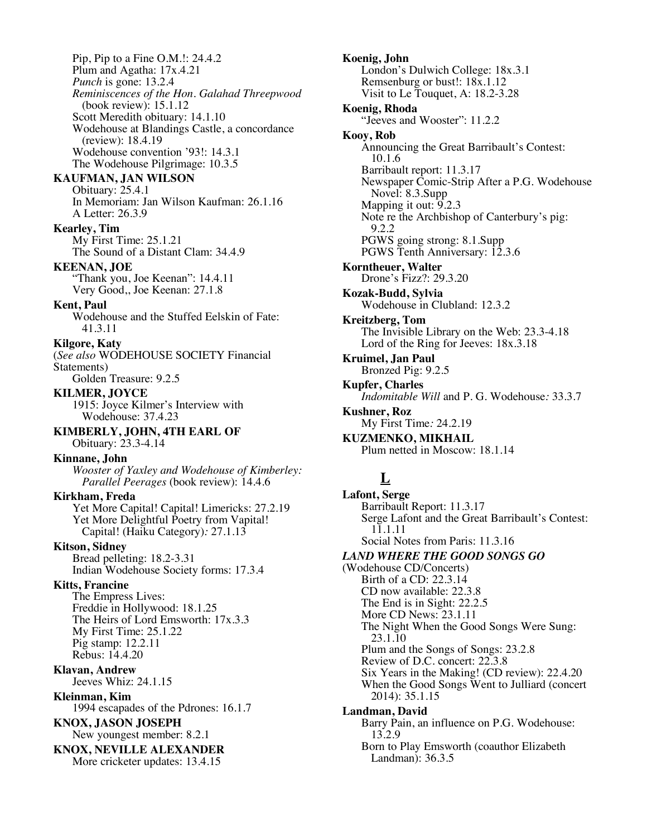Pip, Pip to a Fine O.M.!: 24.4.2 Plum and Agatha: 17x.4.21 *Punch* is gone: 13.2.4 *Reminiscences of the Hon. Galahad Threepwood* (book review): 15.1.12 Scott Meredith obituary: 14.1.10 Wodehouse at Blandings Castle, a concordance (review): 18.4.19 Wodehouse convention '93!: 14.3.1 The Wodehouse Pilgrimage: 10.3.5

# **KAUFMAN, JAN WILSON**

Obituary: 25.4.1 In Memoriam: Jan Wilson Kaufman: 26.1.16 A Letter: 26.3.9

# **Kearley, Tim**

My First Time: 25.1.21 The Sound of a Distant Clam: 34.4.9

#### **KEENAN, JOE**

"Thank you, Joe Keenan": 14.4.11 Very Good,, Joe Keenan: 27.1.8

### **Kent, Paul**

Wodehouse and the Stuffed Eelskin of Fate: 41.3.11

#### **Kilgore, Katy**

(*See also* WODEHOUSE SOCIETY Financial Statements) Golden Treasure: 9.2.5

# **KILMER, JOYCE**

1915: Joyce Kilmer's Interview with Wodehouse: 37.4.23

**KIMBERLY, JOHN, 4TH EARL OF** Obituary: 23.3-4.14

#### **Kinnane, John**

*Wooster of Yaxley and Wodehouse of Kimberley: Parallel Peerages* (book review): 14.4.6

# **Kirkham, Freda**

Yet More Capital! Capital! Limericks: 27.2.19 Yet More Delightful Poetry from Vapital! Capital! (Haiku Category)*:* 27.1.13

### **Kitson, Sidney**

Bread pelleting: 18.2-3.31 Indian Wodehouse Society forms: 17.3.4

# **Kitts, Francine**

The Empress Lives: Freddie in Hollywood: 18.1.25 The Heirs of Lord Emsworth: 17x.3.3 My First Time: 25.1.22 Pig stamp: 12.2.11 Rebus: 14.4.20

**Klavan, Andrew** Jeeves Whiz: 24.1.15

**Kleinman, Kim** 1994 escapades of the Pdrones: 16.1.7

#### **KNOX, JASON JOSEPH** New youngest member: 8.2.1

**KNOX, NEVILLE ALEXANDER** More cricketer updates: 13.4.15

**Koenig, John** London's Dulwich College: 18x.3.1 Remsenburg or bust!: 18x.1.12 Visit to Le Touquet, A: 18.2-3.28 **Koenig, Rhoda** "Jeeves and Wooster": 11.2.2 **Kooy, Rob** Announcing the Great Barribault's Contest: 10.1.6 Barribault report: 11.3.17 Newspaper Comic-Strip After a P.G. Wodehouse Novel: 8.3.Supp Mapping it out: 9.2.3 Note re the Archbishop of Canterbury's pig: 9.2.2 PGWS going strong: 8.1.Supp PGWS Tenth Anniversary: 12.3.6 **Korntheuer, Walter** Drone's Fizz?: 29.3.20 **Kozak-Budd, Sylvia** Wodehouse in Clubland: 12.3.2 **Kreitzberg, Tom** The Invisible Library on the Web: 23.3-4.18 Lord of the Ring for Jeeves: 18x.3.18 **Kruimel, Jan Paul** Bronzed Pig: 9.2.5 **Kupfer, Charles** *Indomitable Will* and P. G. Wodehouse*:* 33.3.7 **Kushner, Roz**

My First Time*:* 24.2.19 **KUZMENKO, MIKHAIL**

Landman): 36.3.5

Plum netted in Moscow: 18.1.14

# **L**

**Lafont, Serge** Barribault Report: 11.3.17 Serge Lafont and the Great Barribault's Contest: 11.1.11 Social Notes from Paris: 11.3.16 *LAND WHERE THE GOOD SONGS GO* (Wodehouse CD/Concerts) Birth of a CD: 22.3.14 CD now available: 22.3.8 The End is in Sight: 22.2.5 More CD News: 23.1.11 The Night When the Good Songs Were Sung: 23.1.10 Plum and the Songs of Songs: 23.2.8 Review of D.C. concert: 22.3.8 Six Years in the Making! (CD review): 22.4.20 When the Good Songs Went to Julliard (concert 2014): 35.1.15 **Landman, David** Barry Pain, an influence on P.G. Wodehouse: 13.2.9 Born to Play Emsworth (coauthor Elizabeth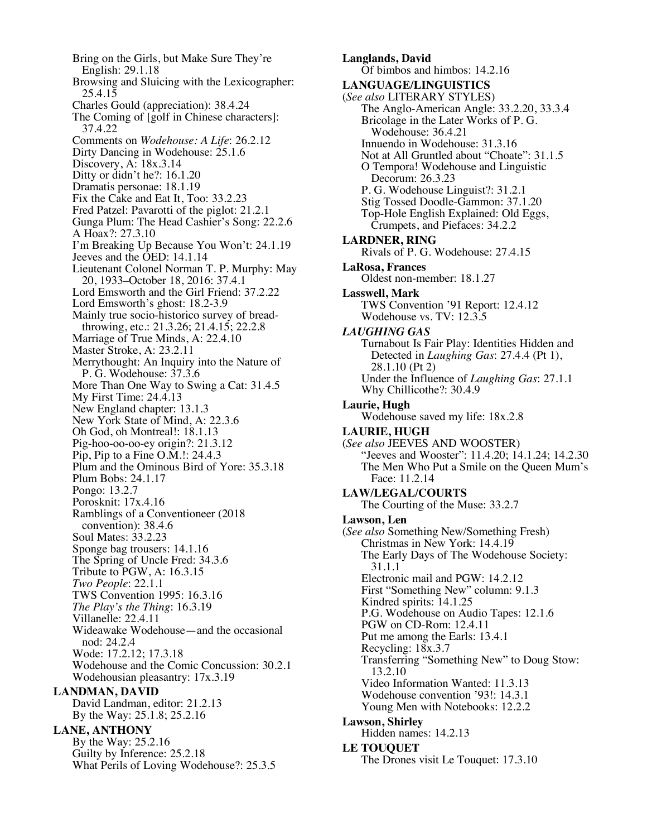Bring on the Girls, but Make Sure They're English: 29.1.18 Browsing and Sluicing with the Lexicographer: 25.4.15 Charles Gould (appreciation): 38.4.24 The Coming of [golf in Chinese characters]: 37.4.22 Comments on *Wodehouse: A Life*: 26.2.12 Dirty Dancing in Wodehouse: 25.1.6 Discovery, A: 18x.3.14 Ditty or didn't he?: 16.1.20 Dramatis personae: 18.1.19 Fix the Cake and Eat It, Too: 33.2.23 Fred Patzel: Pavarotti of the piglot: 21.2.1 Gunga Plum: The Head Cashier's Song: 22.2.6 A Hoax?: 27.3.10 I'm Breaking Up Because You Won't: 24.1.19 Jeeves and the OED: 14.1.14 Lieutenant Colonel Norman T. P. Murphy: May 20, 1933–October 18, 2016: 37.4.1 Lord Emsworth and the Girl Friend: 37.2.22 Lord Emsworth's ghost: 18.2-3.9 Mainly true socio-historico survey of bread- throwing, etc.: 21.3.26; 21.4.15; 22.2.8 Marriage of True Minds, A: 22.4.10 Master Stroke, A: 23.2.11 Merrythought: An Inquiry into the Nature of P. G. Wodehouse: 37.3.6 More Than One Way to Swing a Cat: 31.4.5 My First Time: 24.4.13 New England chapter: 13.1.3 New York State of Mind, A: 22.3.6 Oh God, oh Montreal!: 18.1.13 Pig-hoo-oo-oo-ey origin?: 21.3.12 Pip, Pip to a Fine O.M.!: 24.4.3 Plum and the Ominous Bird of Yore: 35.3.18 Plum Bobs: 24.1.17 Pongo: 13.2.7 Porosknit: 17x.4.16 Ramblings of a Conventioneer (2018 convention): 38.4.6 Soul Mates: 33.2.23 Sponge bag trousers: 14.1.16 The Spring of Uncle Fred: 34.3.6 Tribute to PGW, A: 16.3.15 *Two People*: 22.1.1 TWS Convention 1995: 16.3.16 *The Play's the Thing*: 16.3.19 Villanelle: 22.4.11 Wideawake Wodehouse—and the occasional nod: 24.2.4 Wode: 17.2.12; 17.3.18 Wodehouse and the Comic Concussion: 30.2.1 Wodehousian pleasantry: 17x.3.19 **LANDMAN, DAVID** David Landman, editor: 21.2.13 By the Way: 25.1.8; 25.2.16 **LANE, ANTHONY** By the Way: 25.2.16 Guilty by Inference: 25.2.18 What Perils of Loving Wodehouse?: 25.3.5

**Langlands, David** Of bimbos and himbos: 14.2.16 **LANGUAGE/LINGUISTICS** (*See also* LITERARY STYLES) The Anglo-American Angle: 33.2.20, 33.3.4 Bricolage in the Later Works of P. G. Wodehouse: 36.4.21 Innuendo in Wodehouse: 31.3.16 Not at All Gruntled about "Choate": 31.1.5 O Tempora! Wodehouse and Linguistic Decorum: 26.3.23 P. G. Wodehouse Linguist?: 31.2.1 Stig Tossed Doodle-Gammon: 37.1.20 Top-Hole English Explained: Old Eggs, Crumpets, and Piefaces: 34.2.2 **LARDNER, RING** Rivals of P. G. Wodehouse: 27.4.15 **LaRosa, Frances** Oldest non-member: 18.1.27 **Lasswell, Mark** TWS Convention '91 Report: 12.4.12 Wodehouse vs. TV: 12.3.5 *LAUGHING GAS* Turnabout Is Fair Play: Identities Hidden and Detected in *Laughing Gas*: 27.4.4 (Pt 1), 28.1.10 (Pt 2) Under the Influence of *Laughing Gas*: 27.1.1 Why Chillicothe?: 30.4.9 **Laurie, Hugh** Wodehouse saved my life: 18x.2.8 **LAURIE, HUGH** (*See also* JEEVES AND WOOSTER) "Jeeves and Wooster": 11.4.20; 14.1.24; 14.2.30 The Men Who Put a Smile on the Queen Mum's Face: 11.2.14 **LAW/LEGAL/COURTS** The Courting of the Muse: 33.2.7 **Lawson, Len** (*See also* Something New/Something Fresh) Christmas in New York: 14.4.19 The Early Days of The Wodehouse Society: 31.1.1 Electronic mail and PGW: 14.2.12 First "Something New" column: 9.1.3 Kindred spirits: 14.1.25 P.G. Wodehouse on Audio Tapes: 12.1.6 PGW on CD-Rom: 12.4.11 Put me among the Earls: 13.4.1 Recycling: 18x.3.7 Transferring "Something New" to Doug Stow: 13.2.10 Video Information Wanted: 11.3.13 Wodehouse convention '93!: 14.3.1 Young Men with Notebooks: 12.2.2 **Lawson, Shirley** Hidden names: 14.2.13 **LE TOUQUET** The Drones visit Le Touquet: 17.3.10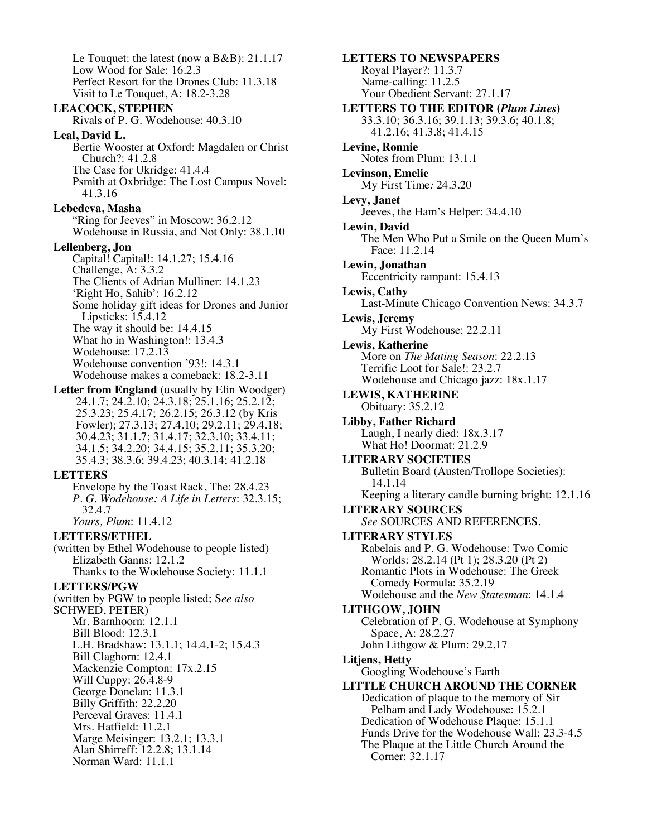Le Touquet: the latest (now a B&B): 21.1.17 Low Wood for Sale: 16.2.3 Perfect Resort for the Drones Club: 11.3.18 Visit to Le Touquet, A: 18.2-3.28 **LEACOCK, STEPHEN** Rivals of P. G. Wodehouse: 40.3.10 **Leal, David L.** Bertie Wooster at Oxford: Magdalen or Christ Church?: 41.2.8 The Case for Ukridge: 41.4.4 Psmith at Oxbridge: The Lost Campus Novel: 41.3.16 **Lebedeva, Masha** "Ring for Jeeves" in Moscow: 36.2.12" Wodehouse in Russia, and Not Only: 38.1.10 **Lellenberg, Jon** Capital! Capital!: 14.1.27; 15.4.16 Challenge, A: 3.3.2 The Clients of Adrian Mulliner: 14.1.23 'Right Ho, Sahib': 16.2.12 Some holiday gift ideas for Drones and Junior Lipsticks: 15.4.12 The way it should be: 14.4.15 What ho in Washington!: 13.4.3 Wodehouse: 17.2.13 Wodehouse convention '93!: 14.3.1 Wodehouse makes a comeback: 18.2-3.11 **Letter from England** (usually by Elin Woodger) 24.1.7; 24.2.10; 24.3.18; 25.1.16; 25.2.12; 25.3.23; 25.4.17; 26.2.15; 26.3.12 (by Kris Fowler); 27.3.13; 27.4.10; 29.2.11; 29.4.18; 30.4.23; 31.1.7; 31.4.17; 32.3.10; 33.4.11; 34.1.5; 34.2.20; 34.4.15; 35.2.11; 35.3.20; 35.4.3; 38.3.6; 39.4.23; 40.3.14; 41.2.18 **LETTERS** Envelope by the Toast Rack, The: 28.4.23 *P. G. Wodehouse: A Life in Letters*: 32.3.15; 32.4.7 *Yours, Plum*: 11.4.12 **LETTERS/ETHEL** (written by Ethel Wodehouse to people listed) Elizabeth Ganns: 12.1.2 Thanks to the Wodehouse Society: 11.1.1 **LETTERS/PGW**  (written by PGW to people listed; S*ee also* SCHWED, PETER) Mr. Barnhoorn: 12.1.1 Bill Blood: 12.3.1 L.H. Bradshaw: 13.1.1; 14.4.1-2; 15.4.3 Bill Claghorn: 12.4.1 Mackenzie Compton: 17x.2.15 Will Cuppy: 26.4.8-9 George Donelan: 11.3.1 Billy Griffith: 22.2.20 Perceval Graves: 11.4.1 Mrs. Hatfield: 11.2.1 Marge Meisinger: 13.2.1; 13.3.1 Alan Shirreff: 12.2.8; 13.1.14

Norman Ward: 11.1.1

33.3.10; 36.3.16; 39.1.13; 39.3.6; 40.1.8; 41.2.16; 41.3.8; 41.4.15 **Levine, Ronnie** Notes from Plum: 13.1.1 **Levinson, Emelie** My First Time*:* 24.3.20 **Levy, Janet** Jeeves, the Ham's Helper: 34.4.10 **Lewin, David** The Men Who Put a Smile on the Queen Mum's Face: 11.2.14 **Lewin, Jonathan** Eccentricity rampant: 15.4.13 **Lewis, Cathy** Last-Minute Chicago Convention News: 34.3.7 **Lewis, Jeremy** My First Wodehouse: 22.2.11 **Lewis, Katherine** More on *The Mating Season*: 22.2.13 Terrific Loot for Sale!: 23.2.7 Wodehouse and Chicago jazz: 18x.1.17 **LEWIS, KATHERINE** Obituary: 35.2.12 **Libby, Father Richard** Laugh, I nearly died: 18x.3.17 What Ho! Doormat: 21.2.9 **LITERARY SOCIETIES** Bulletin Board (Austen/Trollope Societies): 14.1.14 Keeping a literary candle burning bright: 12.1.16 **LITERARY SOURCES** *See* SOURCES AND REFERENCES. **LITERARY STYLES** Rabelais and P. G. Wodehouse: Two Comic Worlds: 28.2.14 (Pt 1); 28.3.20 (Pt 2) Romantic Plots in Wodehouse: The Greek Comedy Formula: 35.2.19 Wodehouse and the *New Statesman*: 14.1.4 **LITHGOW, JOHN** Celebration of P. G. Wodehouse at Symphony Space, A: 28.2.27 John Lithgow & Plum: 29.2.17 **Litjens, Hetty** Googling Wodehouse's Earth **LITTLE CHURCH AROUND THE CORNER** Dedication of plaque to the memory of Sir Pelham and Lady Wodehouse: 15.2.1 Dedication of Wodehouse Plaque: 15.1.1 Funds Drive for the Wodehouse Wall: 23.3-4.5 The Plaque at the Little Church Around the Corner: 32.1.17

**LETTERS TO NEWSPAPERS** Royal Player?: 11.3.7 Name-calling: 11.2.5

Your Obedient Servant: 27.1.17

**LETTERS TO THE EDITOR (***Plum Lines***)**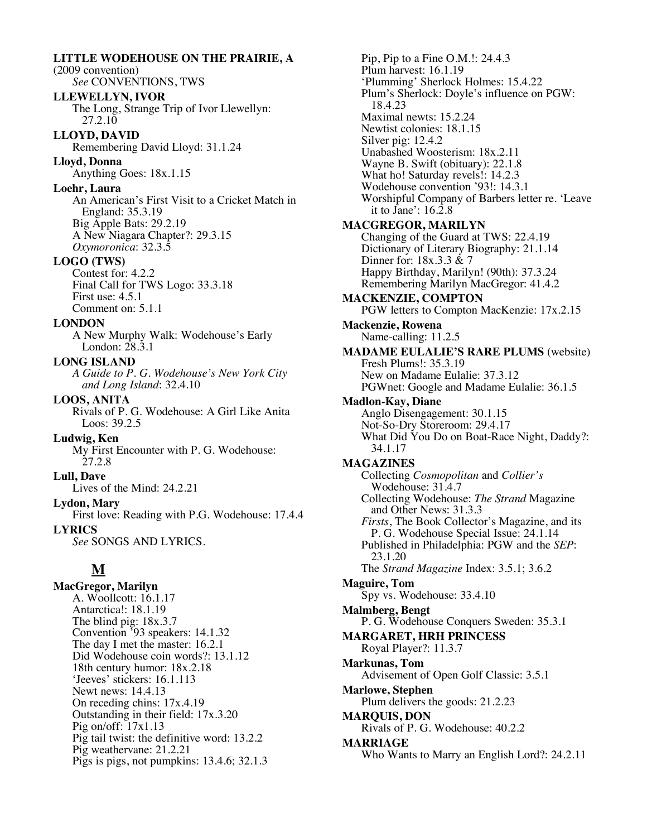**LITTLE WODEHOUSE ON THE PRAIRIE, A**  (2009 convention) *See* CONVENTIONS, TWS **LLEWELLYN, IVOR** The Long, Strange Trip of Ivor Llewellyn: 27.2.10 **LLOYD, DAVID** Remembering David Lloyd: 31.1.24 **Lloyd, Donna** Anything Goes: 18x.1.15 **Loehr, Laura** An American's First Visit to a Cricket Match in England: 35.3.19 Big Apple Bats: 29.2.19 A New Niagara Chapter?: 29.3.15 *Oxymoronica*: 32.3.5 **LOGO (TWS)** Contest for: 4.2.2 Final Call for TWS Logo: 33.3.18 First use: 4.5.1 Comment on: 5.1.1 **LONDON** A New Murphy Walk: Wodehouse's Early London: 28.3.1 **LONG ISLAND** *A Guide to P. G. Wodehouse's New York City and Long Island*: 32.4.10 **LOOS, ANITA** Rivals of P. G. Wodehouse: A Girl Like Anita Loos: 39.2.5 **Ludwig, Ken** My First Encounter with P. G. Wodehouse: 27.2.8 **Lull, Dave** Lives of the Mind: 24.2.21 **Lydon, Mary** First love: Reading with P.G. Wodehouse: 17.4.4 **LYRICS** *See* SONGS AND LYRICS. **M MacGregor, Marilyn** A. Woollcott: 16.1.17 Antarctica!: 18.1.19 The blind pig: 18x.3.7 Convention '93 speakers: 14.1.32 The day I met the master: 16.2.1 Did Wodehouse coin words?: 13.1.12 18th century humor: 18x.2.18 'Jeeves' stickers: 16.1.113 Newt news: 14.4.13 On receding chins: 17x.4.19 Outstanding in their field: 17x.3.20 Pig on/off: 17x1.13

Pig tail twist: the definitive word: 13.2.2

Pigs is pigs, not pumpkins: 13.4.6; 32.1.3

Pig weathervane: 21.2.21

Pip, Pip to a Fine O.M.!: 24.4.3 Plum harvest: 16.1.19 'Plumming' Sherlock Holmes: 15.4.22 Plum's Sherlock: Doyle's influence on PGW: 18.4.23 Maximal newts: 15.2.24 Newtist colonies: 18.1.15 Silver pig: 12.4.2 Unabashed Woosterism: 18x.2.11 Wayne B. Swift (obituary): 22.1.8 What ho! Saturday revels!: 14.2.3 Wodehouse convention '93!: 14.3.1 Worshipful Company of Barbers letter re. 'Leave it to Jane': 16.2.8 **MACGREGOR, MARILYN** Changing of the Guard at TWS: 22.4.19 Dictionary of Literary Biography: 21.1.14 Dinner for: 18x.3.3 & 7 Happy Birthday, Marilyn! (90th): 37.3.24 Remembering Marilyn MacGregor: 41.4.2 **MACKENZIE, COMPTON** PGW letters to Compton MacKenzie: 17x.2.15 **Mackenzie, Rowena** Name-calling: 11.2.5 **MADAME EULALIE'S RARE PLUMS** (website) Fresh Plums!: 35.3.19 New on Madame Eulalie: 37.3.12 PGWnet: Google and Madame Eulalie: 36.1.5 **Madlon-Kay, Diane** Anglo Disengagement: 30.1.15 Not-So-Dry Storeroom: 29.4.17 What Did You Do on Boat-Race Night, Daddy?: 34.1.17 **MAGAZINES** Collecting *Cosmopolitan* and *Collier's* Wodehouse: 31.4.7 Collecting Wodehouse: *The Strand* Magazine and Other News: 31.3.3 *Firsts*, The Book Collector's Magazine, and its P. G. Wodehouse Special Issue: 24.1.14 Published in Philadelphia: PGW and the *SEP*: 23.1.20 The *Strand Magazine* Index: 3.5.1; 3.6.2 **Maguire, Tom** Spy vs. Wodehouse: 33.4.10 **Malmberg, Bengt** P. G. Wodehouse Conquers Sweden: 35.3.1 **MARGARET, HRH PRINCESS** Royal Player?: 11.3.7 **Markunas, Tom** Advisement of Open Golf Classic: 3.5.1 **Marlowe, Stephen** Plum delivers the goods: 21.2.23 **MARQUIS, DON** Rivals of P. G. Wodehouse: 40.2.2 **MARRIAGE** Who Wants to Marry an English Lord?: 24.2.11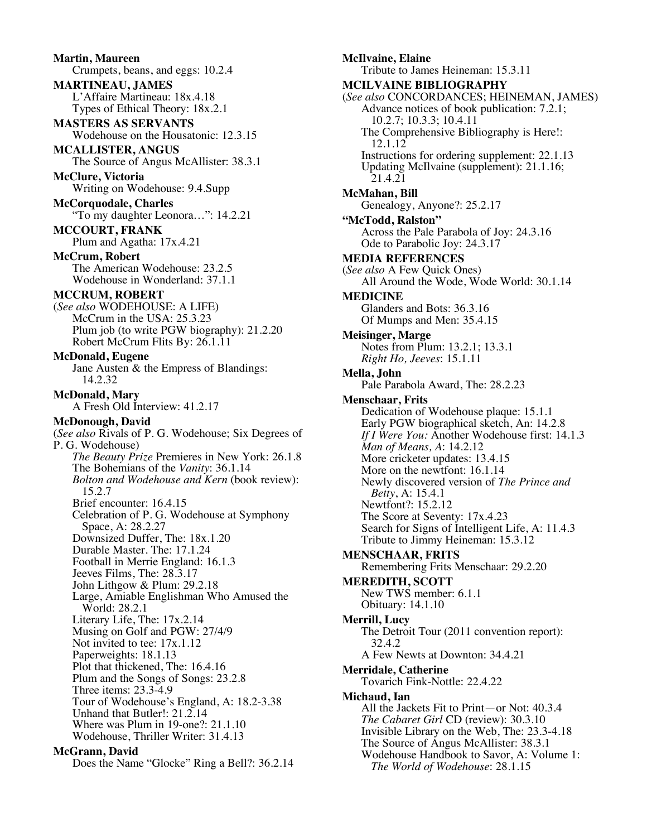**Martin, Maureen** Crumpets, beans, and eggs: 10.2.4 **MARTINEAU, JAMES** L'Affaire Martineau: 18x.4.18 Types of Ethical Theory: 18x.2.1 **MASTERS AS SERVANTS** Wodehouse on the Housatonic: 12.3.15 **MCALLISTER, ANGUS** The Source of Angus McAllister: 38.3.1 **McClure, Victoria** Writing on Wodehouse: 9.4.Supp **McCorquodale, Charles** "To my daughter Leonora…": 14.2.21 **MCCOURT, FRANK** Plum and Agatha: 17x.4.21 **McCrum, Robert** The American Wodehouse: 23.2.5 Wodehouse in Wonderland: 37.1.1 **MCCRUM, ROBERT** (*See also* WODEHOUSE: A LIFE) McCrum in the USA: 25.3.23 Plum job (to write PGW biography): 21.2.20 Robert McCrum Flits By: 26.1.11 **McDonald, Eugene** Jane Austen & the Empress of Blandings: 14.2.32 **McDonald, Mary** A Fresh Old Interview: 41.2.17 **McDonough, David** (*See also* Rivals of P. G. Wodehouse; Six Degrees of P. G. Wodehouse) *The Beauty Prize* Premieres in New York: 26.1.8 The Bohemians of the *Vanity*: 36.1.14 *Bolton and Wodehouse and Kern* (book review): 15.2.7 Brief encounter: 16.4.15 Celebration of P. G. Wodehouse at Symphony Space, A: 28.2.27 Downsized Duffer, The: 18x.1.20 Durable Master. The: 17.1.24 Football in Merrie England: 16.1.3 Jeeves Films, The: 28.3.17 John Lithgow & Plum: 29.2.18 Large, Amiable Englishman Who Amused the World: 28.2.1 Literary Life, The: 17x.2.14 Musing on Golf and PGW: 27/4/9 Not invited to tee: 17x.1.12 Paperweights: 18.1.13 Plot that thickened, The: 16.4.16 Plum and the Songs of Songs: 23.2.8 Three items: 23.3-4.9 Tour of Wodehouse's England, A: 18.2-3.38 Unhand that Butler!: 21.2.14 Where was Plum in 19-one?: 21.1.10 Wodehouse, Thriller Writer: 31.4.13 **McGrann, David**

Does the Name "Glocke" Ring a Bell?: 36.2.14

**McIlvaine, Elaine** Tribute to James Heineman: 15.3.11 **MCILVAINE BIBLIOGRAPHY** (*See also* CONCORDANCES; HEINEMAN, JAMES) Advance notices of book publication: 7.2.1; 10.2.7; 10.3.3; 10.4.11 The Comprehensive Bibliography is Here!: 12.1.12 Instructions for ordering supplement: 22.1.13 Updating McIlvaine (supplement): 21.1.16; 21.4.21 **McMahan, Bill** Genealogy, Anyone?: 25.2.17 **"McTodd, Ralston"** Across the Pale Parabola of Joy: 24.3.16 Ode to Parabolic Joy: 24.3.17 **MEDIA REFERENCES** (*See also* A Few Quick Ones) All Around the Wode, Wode World: 30.1.14 **MEDICINE** Glanders and Bots: 36.3.16 Of Mumps and Men: 35.4.15 **Meisinger, Marge** Notes from Plum: 13.2.1; 13.3.1 *Right Ho, Jeeves*: 15.1.11 **Mella, John** Pale Parabola Award, The: 28.2.23 **Menschaar, Frits** Dedication of Wodehouse plaque: 15.1.1 Early PGW biographical sketch, An: 14.2.8 *If I Were You:* Another Wodehouse first: 14.1.3 *Man of Means, A*: 14.2.12 More cricketer updates: 13.4.15 More on the newtfont: 16.1.14 Newly discovered version of *The Prince and Betty*, A: 15.4.1 Newtfont?: 15.2.12 The Score at Seventy: 17x.4.23 Search for Signs of Intelligent Life, A: 11.4.3 Tribute to Jimmy Heineman: 15.3.12 **MENSCHAAR, FRITS** Remembering Frits Menschaar: 29.2.20 **MEREDITH, SCOTT** New TWS member: 6.1.1 Obituary: 14.1.10 **Merrill, Lucy** The Detroit Tour (2011 convention report): 32.4.2 A Few Newts at Downton: 34.4.21 **Merridale, Catherine** Tovarich Fink-Nottle: 22.4.22 **Michaud, Ian** All the Jackets Fit to Print—or Not: 40.3.4 *The Cabaret Girl* CD (review): 30.3.10 Invisible Library on the Web, The: 23.3-4.18 The Source of Angus McAllister: 38.3.1 Wodehouse Handbook to Savor, A: Volume 1: *The World of Wodehouse*: 28.1.15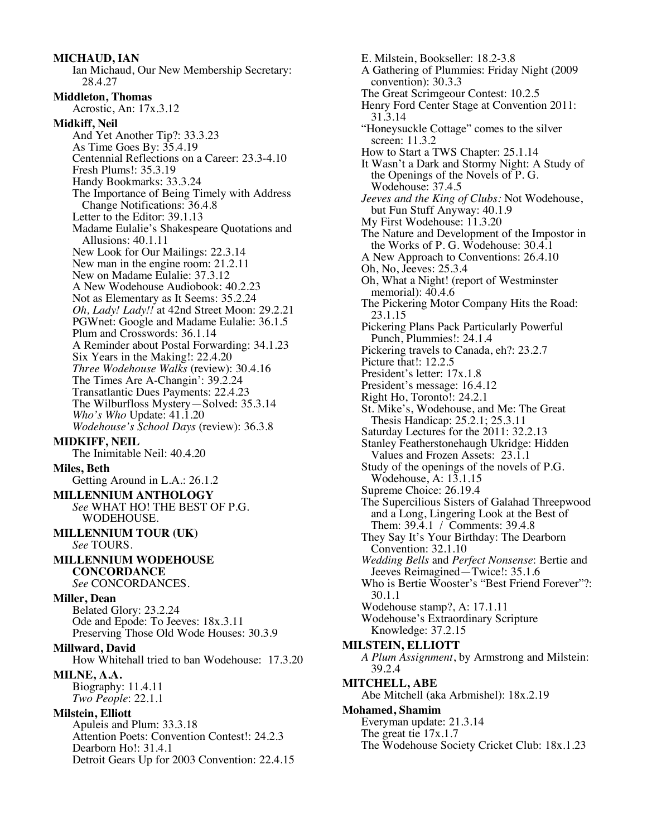**MICHAUD, IAN** Ian Michaud, Our New Membership Secretary: 28.4.27 **Middleton, Thomas** Acrostic, An: 17x.3.12 **Midkiff, Neil** And Yet Another Tip?: 33.3.23 As Time Goes By: 35.4.19 Centennial Reflections on a Career: 23.3-4.10 Fresh Plums!: 35.3.19 Handy Bookmarks: 33.3.24 The Importance of Being Timely with Address Change Notifications: 36.4.8 Letter to the Editor: 39.1.13 Madame Eulalie's Shakespeare Quotations and Allusions: 40.1.11 New Look for Our Mailings: 22.3.14 New man in the engine room: 21.2.11 New on Madame Eulalie: 37.3.12 A New Wodehouse Audiobook: 40.2.23 Not as Elementary as It Seems: 35.2.24 *Oh, Lady! Lady!!* at 42nd Street Moon: 29.2.21 PGWnet: Google and Madame Eulalie: 36.1.5 Plum and Crosswords: 36.1.14 A Reminder about Postal Forwarding: 34.1.23 Six Years in the Making!: 22.4.20 *Three Wodehouse Walks* (review): 30.4.16 The Times Are A-Changin': 39.2.24 Transatlantic Dues Payments: 22.4.23 The Wilburfloss Mystery—Solved: 35.3.14 *Who's Who* Update: 41.1.20 *Wodehouse's School Days* (review): 36.3.8 **MIDKIFF, NEIL** The Inimitable Neil: 40.4.20 **Miles, Beth** Getting Around in L.A.: 26.1.2 **MILLENNIUM ANTHOLOGY** *See* WHAT HO! THE BEST OF P.G. WODEHOUSE. **MILLENNIUM TOUR (UK)** *See* TOURS. **MILLENNIUM WODEHOUSE CONCORDANCE** *See* CONCORDANCES. **Miller, Dean** Belated Glory: 23.2.24 Ode and Epode: To Jeeves: 18x.3.11 Preserving Those Old Wode Houses: 30.3.9 **Millward, David** How Whitehall tried to ban Wodehouse: 17.3.20 **MILNE, A.A.** Biography: 11.4.11 *Two People*: 22.1.1 **Milstein, Elliott** Apuleis and Plum: 33.3.18 Attention Poets: Convention Contest!: 24.2.3 Dearborn Ho!: 31.4.1 Detroit Gears Up for 2003 Convention: 22.4.15

E. Milstein, Bookseller: 18.2-3.8 A Gathering of Plummies: Friday Night (2009 convention): 30.3.3 The Great Scrimgeour Contest: 10.2.5 Henry Ford Center Stage at Convention 2011: 31.3.14 "Honeysuckle Cottage" comes to the silver screen: 11.3.2 How to Start a TWS Chapter: 25.1.14 It Wasn't a Dark and Stormy Night: A Study of the Openings of the Novels of P. G. Wodehouse: 37.4.5 *Jeeves and the King of Clubs:* Not Wodehouse, but Fun Stuff Anyway: 40.1.9 My First Wodehouse: 11.3.20 The Nature and Development of the Impostor in the Works of P. G. Wodehouse: 30.4.1 A New Approach to Conventions: 26.4.10 Oh, No, Jeeves: 25.3.4 Oh, What a Night! (report of Westminster memorial): 40.4.6 The Pickering Motor Company Hits the Road: 23.1.15 Pickering Plans Pack Particularly Powerful Punch, Plummies!: 24.1.4 Pickering travels to Canada, eh?: 23.2.7 Picture that!: 12.2.5 President's letter: 17x.1.8 President's message: 16.4.12 Right Ho, Toronto!: 24.2.1 St. Mike's, Wodehouse, and Me: The Great Thesis Handicap: 25.2.1; 25.3.11 Saturday Lectures for the 2011: 32.2.13 Stanley Featherstonehaugh Ukridge: Hidden Values and Frozen Assets: 23.1.1 Study of the openings of the novels of P.G. Wodehouse, A: 13.1.15 Supreme Choice: 26.19.4 The Supercilious Sisters of Galahad Threepwood and a Long, Lingering Look at the Best of Them: 39.4.1 / Comments: 39.4.8 They Say It's Your Birthday: The Dearborn Convention: 32.1.10 *Wedding Bells* and *Perfect Nonsense*: Bertie and Jeeves Reimagined—Twice!: 35.1.6 Who is Bertie Wooster's "Best Friend Forever"?: 30.1.1 Wodehouse stamp?, A: 17.1.11 Wodehouse's Extraordinary Scripture Knowledge: 37.2.15 **MILSTEIN, ELLIOTT** *A Plum Assignment*, by Armstrong and Milstein: 39.2.4 **MITCHELL, ABE** Abe Mitchell (aka Arbmishel): 18x.2.19 **Mohamed, Shamim** Everyman update: 21.3.14 The great tie 17x.1.7 The Wodehouse Society Cricket Club: 18x.1.23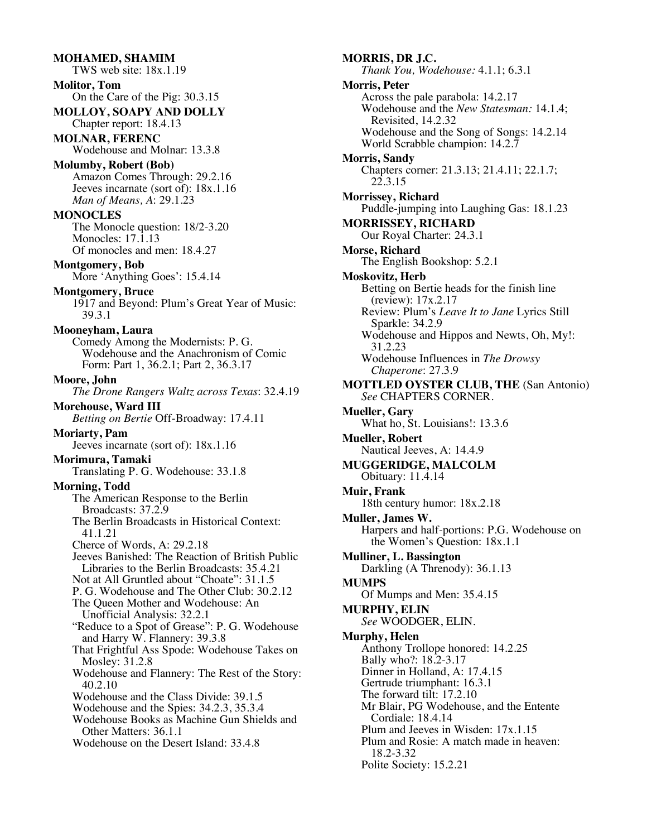**MOHAMED, SHAMIM** TWS web site: 18x.1.19 **Molitor, Tom** On the Care of the Pig: 30.3.15 **MOLLOY, SOAPY AND DOLLY** Chapter report: 18.4.13 **MOLNAR, FERENC** Wodehouse and Molnar: 13.3.8 **Molumby, Robert (Bob)** Amazon Comes Through: 29.2.16 Jeeves incarnate (sort of): 18x.1.16 *Man of Means, A*: 29.1.23 **MONOCLES** The Monocle question: 18/2-3.20 Monocles: 17.1.13 Of monocles and men: 18.4.27 **Montgomery, Bob** More 'Anything Goes': 15.4.14 **Montgomery, Bruce** 1917 and Beyond: Plum's Great Year of Music: 39.3.1 **Mooneyham, Laura** Comedy Among the Modernists: P. G. Wodehouse and the Anachronism of Comic Form: Part 1, 36.2.1; Part 2, 36.3.17 **Moore, John** *The Drone Rangers Waltz across Texas*: 32.4.19 **Morehouse, Ward III** *Betting on Bertie* Off-Broadway: 17.4.11 **Moriarty, Pam** Jeeves incarnate (sort of): 18x.1.16 **Morimura, Tamaki** Translating P. G. Wodehouse: 33.1.8 **Morning, Todd** The American Response to the Berlin Broadcasts: 37.2.9 The Berlin Broadcasts in Historical Context: 41.1.21 Cherce of Words, A: 29.2.18 Jeeves Banished: The Reaction of British Public Libraries to the Berlin Broadcasts: 35.4.21 Not at All Gruntled about "Choate": 31.1.5 P. G. Wodehouse and The Other Club: 30.2.12 The Queen Mother and Wodehouse: An Unofficial Analysis: 32.2.1 "Reduce to a Spot of Grease": P. G. Wodehouse and Harry W. Flannery: 39.3.8 That Frightful Ass Spode: Wodehouse Takes on Mosley: 31.2.8 Wodehouse and Flannery: The Rest of the Story: 40.2.10 Wodehouse and the Class Divide: 39.1.5 Wodehouse and the Spies: 34.2.3, 35.3.4 Wodehouse Books as Machine Gun Shields and Other Matters: 36.1.1 Wodehouse on the Desert Island: 33.4.8

**MORRIS, DR J.C.** *Thank You, Wodehouse:* 4.1.1; 6.3.1 **Morris, Peter** Across the pale parabola: 14.2.17 Wodehouse and the *New Statesman:* 14.1.4; Revisited, 14.2.32 Wodehouse and the Song of Songs: 14.2.14 World Scrabble champion: 14.2.7 **Morris, Sandy** Chapters corner: 21.3.13; 21.4.11; 22.1.7; 22.3.15 **Morrissey, Richard** Puddle-jumping into Laughing Gas: 18.1.23 **MORRISSEY, RICHARD** Our Royal Charter: 24.3.1 **Morse, Richard** The English Bookshop: 5.2.1 **Moskovitz, Herb** Betting on Bertie heads for the finish line (review): 17x.2.17 Review: Plum's *Leave It to Jane* Lyrics Still Sparkle: 34.2.9 Wodehouse and Hippos and Newts, Oh, My!: 31.2.23 Wodehouse Influences in *The Drowsy Chaperone*: 27.3.9 **MOTTLED OYSTER CLUB, THE** (San Antonio) *See* CHAPTERS CORNER. **Mueller, Gary** What ho, St. Louisians!: 13.3.6 **Mueller, Robert** Nautical Jeeves, A: 14.4.9 **MUGGERIDGE, MALCOLM** Obituary: 11.4.14 **Muir, Frank** 18th century humor: 18x.2.18 **Muller, James W.** Harpers and half-portions: P.G. Wodehouse on the Women's Question: 18x.1.1 **Mulliner, L. Bassington** Darkling (A Threnody): 36.1.13 **MUMPS** Of Mumps and Men: 35.4.15 **MURPHY, ELIN** *See* WOODGER, ELIN. **Murphy, Helen** Anthony Trollope honored: 14.2.25 Bally who?: 18.2-3.17 Dinner in Holland, A: 17.4.15 Gertrude triumphant: 16.3.1 The forward tilt: 17.2.10 Mr Blair, PG Wodehouse, and the Entente Cordiale: 18.4.14 Plum and Jeeves in Wisden: 17x.1.15 Plum and Rosie: A match made in heaven: 18.2-3.32

Polite Society: 15.2.21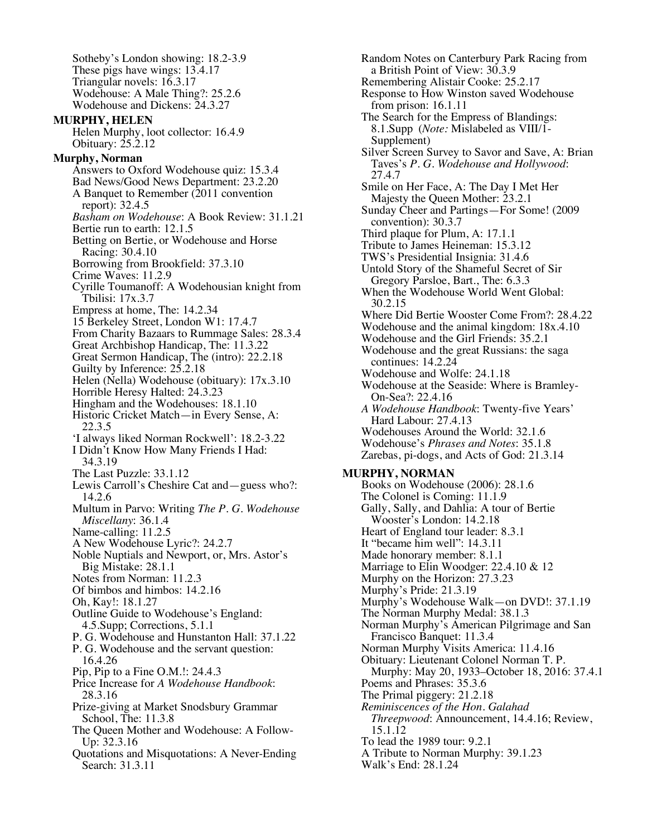Sotheby's London showing: 18.2-3.9 These pigs have wings: 13.4.17 Triangular novels: 16.3.17 Wodehouse: A Male Thing?: 25.2.6 Wodehouse and Dickens: 24.3.27 **MURPHY, HELEN** Helen Murphy, loot collector: 16.4.9 Obituary: 25.2.12 **Murphy, Norman** Answers to Oxford Wodehouse quiz: 15.3.4 Bad News/Good News Department: 23.2.20 A Banquet to Remember (2011 convention report): 32.4.5 *Basham on Wodehouse*: A Book Review: 31.1.21 Bertie run to earth: 12.1.5 Betting on Bertie, or Wodehouse and Horse Racing: 30.4.10 Borrowing from Brookfield: 37.3.10 Crime Waves: 11.2.9 Cyrille Toumanoff: A Wodehousian knight from Tbilisi: 17x.3.7 Empress at home, The: 14.2.34 15 Berkeley Street, London W1: 17.4.7 From Charity Bazaars to Rummage Sales: 28.3.4 Great Archbishop Handicap, The: 11.3.22 Great Sermon Handicap, The (intro): 22.2.18 Guilty by Inference: 25.2.18 Helen (Nella) Wodehouse (obituary): 17x.3.10 Horrible Heresy Halted: 24.3.23 Hingham and the Wodehouses: 18.1.10 Historic Cricket Match—in Every Sense, A: 22.3.5 'I always liked Norman Rockwell': 18.2-3.22 I Didn't Know How Many Friends I Had: 34.3.19 The Last Puzzle: 33.1.12 Lewis Carroll's Cheshire Cat and—guess who?: 14.2.6 Multum in Parvo: Writing *The P. G. Wodehouse Miscellany*: 36.1.4 Name-calling: 11.2.5 A New Wodehouse Lyric?: 24.2.7 Noble Nuptials and Newport, or, Mrs. Astor's Big Mistake: 28.1.1 Notes from Norman: 11.2.3 Of bimbos and himbos: 14.2.16 Oh, Kay!: 18.1.27 Outline Guide to Wodehouse's England: 4.5.Supp; Corrections, 5.1.1 P. G. Wodehouse and Hunstanton Hall: 37.1.22 P. G. Wodehouse and the servant question: 16.4.26 Pip, Pip to a Fine O.M.!: 24.4.3 Price Increase for *A Wodehouse Handbook*: 28.3.16 Prize-giving at Market Snodsbury Grammar School, The: 11.3.8 The Queen Mother and Wodehouse: A Follow- Up: 32.3.16 Quotations and Misquotations: A Never-Ending Search: 31.3.11

Random Notes on Canterbury Park Racing from a British Point of View: 30.3.9 Remembering Alistair Cooke: 25.2.17 Response to How Winston saved Wodehouse from prison: 16.1.11 The Search for the Empress of Blandings: 8.1.Supp (*Note:* Mislabeled as VIII/1- Supplement) Silver Screen Survey to Savor and Save, A: Brian Taves's *P. G. Wodehouse and Hollywood*: 27.4.7 Smile on Her Face, A: The Day I Met Her Majesty the Queen Mother: 23.2.1 Sunday Cheer and Partings—For Some! (2009 convention): 30.3.7 Third plaque for Plum, A: 17.1.1 Tribute to James Heineman: 15.3.12 TWS's Presidential Insignia: 31.4.6 Untold Story of the Shameful Secret of Sir Gregory Parsloe, Bart., The: 6.3.3 When the Wodehouse World Went Global: 30.2.15 Where Did Bertie Wooster Come From?: 28.4.22 Wodehouse and the animal kingdom: 18x.4.10 Wodehouse and the Girl Friends: 35.2.1 Wodehouse and the great Russians: the saga continues: 14.2.24 Wodehouse and Wolfe: 24.1.18 Wodehouse at the Seaside: Where is Bramley-On-Sea?: 22.4.16 *A Wodehouse Handbook*: Twenty-five Years' Hard Labour: 27.4.13 Wodehouses Around the World: 32.1.6 Wodehouse's *Phrases and Notes*: 35.1.8 Zarebas, pi-dogs, and Acts of God: 21.3.14 **MURPHY, NORMAN** Books on Wodehouse (2006): 28.1.6 The Colonel is Coming: 11.1.9 Gally, Sally, and Dahlia: A tour of Bertie Wooster's London: 14.2.18 Heart of England tour leader: 8.3.1 It "became him well": 14.3.11 Made honorary member: 8.1.1 Marriage to Elin Woodger: 22.4.10 & 12 Murphy on the Horizon: 27.3.23 Murphy's Pride: 21.3.19 Murphy's Wodehouse Walk—on DVD!: 37.1.19 The Norman Murphy Medal: 38.1.3 Norman Murphy's American Pilgrimage and San Francisco Banquet: 11.3.4 Norman Murphy Visits America: 11.4.16 Obituary: Lieutenant Colonel Norman T. P. Murphy: May 20, 1933–October 18, 2016: 37.4.1 Poems and Phrases: 35.3.6 The Primal piggery: 21.2.18 *Reminiscences of the Hon. Galahad Threepwood*: Announcement, 14.4.16; Review, 15.1.12 To lead the 1989 tour: 9.2.1 A Tribute to Norman Murphy: 39.1.23 Walk's End: 28.1.24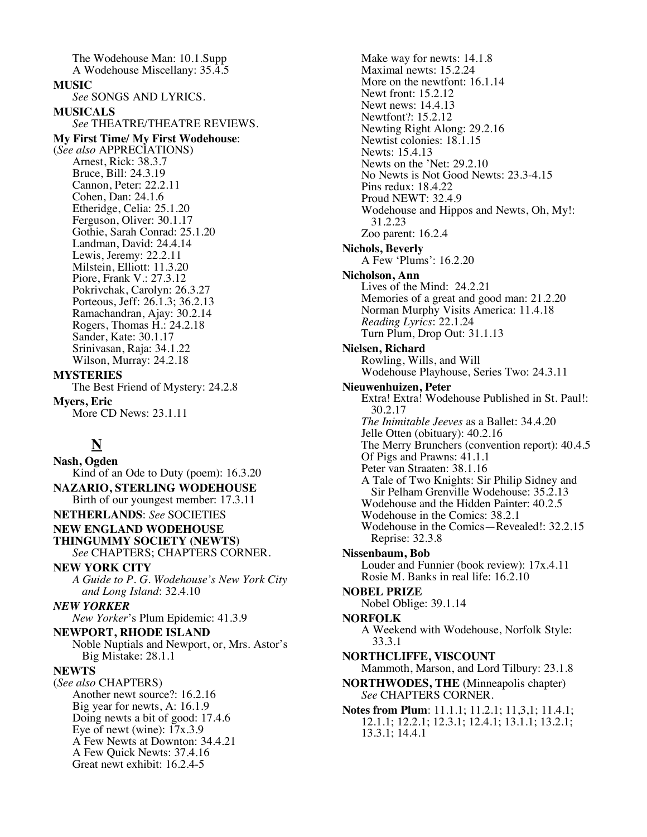The Wodehouse Man: 10.1.Supp A Wodehouse Miscellany: 35.4.5 **MUSIC** *See* SONGS AND LYRICS. **MUSICALS** *See* THEATRE/THEATRE REVIEWS. **My First Time/ My First Wodehouse**: (*See also* APPRECIATIONS) Arnest, Rick: 38.3.7 Bruce, Bill: 24.3.19 Cannon, Peter: 22.2.11 Cohen, Dan: 24.1.6 Etheridge, Celia: 25.1.20 Ferguson, Oliver: 30.1.17 Gothie, Sarah Conrad: 25.1.20 Landman, David: 24.4.14 Lewis, Jeremy: 22.2.11 Milstein, Elliott: 11.3.20 Piore, Frank V.: 27.3.12 Pokrivchak, Carolyn: 26.3.27 Porteous, Jeff: 26.1.3; 36.2.13 Ramachandran, Ajay: 30.2.14 Rogers, Thomas H.: 24.2.18 Sander, Kate: 30.1.17 Srinivasan, Raja: 34.1.22 Wilson, Murray: 24.2.18 **MYSTERIES** The Best Friend of Mystery: 24.2.8 **Myers, Eric** More CD News: 23.1.11

# **N**

**Nash, Ogden** Kind of an Ode to Duty (poem): 16.3.20 **NAZARIO, STERLING WODEHOUSE** Birth of our youngest member: 17.3.11 **NETHERLANDS**: *See* SOCIETIES **NEW ENGLAND WODEHOUSE THINGUMMY SOCIETY (NEWTS)** *See* CHAPTERS; CHAPTERS CORNER. **NEW YORK CITY** *A Guide to P. G. Wodehouse's New York City and Long Island*: 32.4.10 *NEW YORKER New Yorker*'s Plum Epidemic: 41.3.9 **NEWPORT, RHODE ISLAND** Noble Nuptials and Newport, or, Mrs. Astor's Big Mistake: 28.1.1 **NEWTS** (*See also* CHAPTERS) Another newt source?: 16.2.16 Big year for newts, A: 16.1.9 Doing newts a bit of good: 17.4.6 Eye of newt (wine):  $17x.3.9$ A Few Newts at Downton: 34.4.21 A Few Quick Newts: 37.4.16 Great newt exhibit: 16.2.4-5

Make way for newts: 14.1.8 Maximal newts: 15.2.24 More on the newtfont: 16.1.14 Newt front: 15.2.12 Newt news: 14.4.13 Newtfont?: 15.2.12 Newting Right Along: 29.2.16 Newtist colonies: 18.1.15 Newts: 15.4.13 Newts on the 'Net: 29.2.10 No Newts is Not Good Newts: 23.3-4.15 Pins redux: 18.4.22 Proud NEWT: 32.4.9 Wodehouse and Hippos and Newts, Oh, My!: 31.2.23 Zoo parent: 16.2.4 **Nichols, Beverly** A Few 'Plums': 16.2.20 **Nicholson, Ann** Lives of the Mind: 24.2.21 Memories of a great and good man: 21.2.20 Norman Murphy Visits America: 11.4.18 *Reading Lyrics*: 22.1.24 Turn Plum, Drop Out: 31.1.13 **Nielsen, Richard** Rowling, Wills, and Will Wodehouse Playhouse, Series Two: 24.3.11 **Nieuwenhuizen, Peter** Extra! Extra! Wodehouse Published in St. Paul!: 30.2.17 *The Inimitable Jeeves* as a Ballet: 34.4.20 Jelle Otten (obituary): 40.2.16 The Merry Brunchers (convention report): 40.4.5 Of Pigs and Prawns: 41.1.1 Peter van Straaten: 38.1.16 A Tale of Two Knights: Sir Philip Sidney and Sir Pelham Grenville Wodehouse: 35.2.13 Wodehouse and the Hidden Painter: 40.2.5 Wodehouse in the Comics: 38.2.1 Wodehouse in the Comics—Revealed!: 32.2.15 Reprise: 32.3.8 **Nissenbaum, Bob** Louder and Funnier (book review): 17x.4.11 Rosie M. Banks in real life: 16.2.10 **NOBEL PRIZE** Nobel Oblige: 39.1.14 **NORFOLK** A Weekend with Wodehouse, Norfolk Style: 33.3.1 **NORTHCLIFFE, VISCOUNT** Mammoth, Marson, and Lord Tilbury: 23.1.8 **NORTHWODES, THE** (Minneapolis chapter) *See* CHAPTERS CORNER. **Notes from Plum**: 11.1.1; 11.2.1; 11,3,1; 11.4.1; 12.1.1; 12.2.1; 12.3.1; 12.4.1; 13.1.1; 13.2.1; 13.3.1; 14.4.1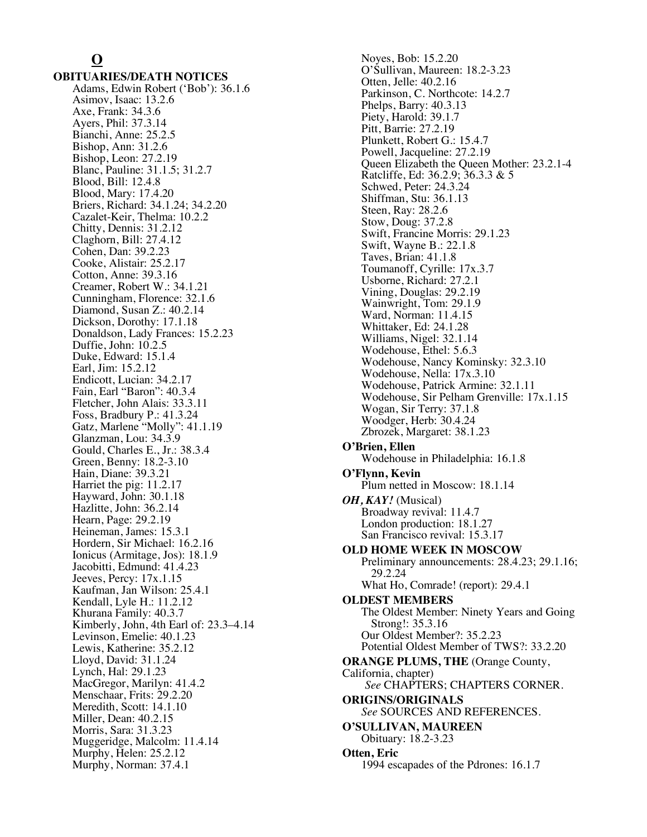# **O**

**OBITUARIES/DEATH NOTICES** Adams, Edwin Robert ('Bob'): 36.1.6 Asimov, Isaac: 13.2.6 Axe, Frank: 34.3.6 Ayers, Phil: 37.3.14 Bianchi, Anne: 25.2.5 Bishop, Ann: 31.2.6 Bishop, Leon: 27.2.19 Blanc, Pauline: 31.1.5; 31.2.7 Blood, Bill: 12.4.8 Blood, Mary: 17.4.20 Briers, Richard: 34.1.24; 34.2.20 Cazalet-Keir, Thelma: 10.2.2 Chitty, Dennis: 31.2.12 Claghorn, Bill: 27.4.12 Cohen, Dan: 39.2.23 Cooke, Alistair: 25.2.17 Cotton, Anne: 39.3.16 Creamer, Robert W.: 34.1.21 Cunningham, Florence: 32.1.6 Diamond, Susan Z.: 40.2.14 Dickson, Dorothy: 17.1.18 Donaldson, Lady Frances: 15.2.23 Duffie, John: 10.2.5 Duke, Edward: 15.1.4 Earl, Jim: 15.2.12 Endicott, Lucian: 34.2.17 Fain, Earl "Baron": 40.3.4 Fletcher, John Alais: 33.3.11 Foss, Bradbury P.: 41.3.24 Gatz, Marlene "Molly": 41.1.19 Glanzman, Lou: 34.3.9 Gould, Charles E., Jr.: 38.3.4 Green, Benny: 18.2-3.10 Hain, Diane: 39.3.21 Harriet the pig: 11.2.17 Hayward, John: 30.1.18 Hazlitte, John: 36.2.14 Hearn, Page: 29.2.19 Heineman, James: 15.3.1 Hordern, Sir Michael: 16.2.16 Ionicus (Armitage, Jos): 18.1.9 Jacobitti, Edmund: 41.4.23 Jeeves, Percy: 17x.1.15 Kaufman, Jan Wilson: 25.4.1 Kendall, Lyle H.: 11.2.12 Khurana Family: 40.3.7 Kimberly, John, 4th Earl of: 23.3–4.14 Levinson, Emelie: 40.1.23 Lewis, Katherine: 35.2.12 Lloyd, David: 31.1.24 Lynch, Hal: 29.1.23 MacGregor, Marilyn: 41.4.2 Menschaar, Frits: 29.2.20 Meredith, Scott: 14.1.10 Miller, Dean: 40.2.15 Morris, Sara: 31.3.23 Muggeridge, Malcolm: 11.4.14 Murphy, Helen: 25.2.12 Murphy, Norman: 37.4.1

Noyes, Bob: 15.2.20 O'Sullivan, Maureen: 18.2-3.23 Otten, Jelle: 40.2.16 Parkinson, C. Northcote: 14.2.7 Phelps, Barry: 40.3.13 Piety, Harold: 39.1.7 Pitt, Barrie: 27.2.19 Plunkett, Robert G.: 15.4.7 Powell, Jacqueline: 27.2.19 Queen Elizabeth the Queen Mother: 23.2.1-4 Ratcliffe, Ed: 36.2.9; 36.3.3 & 5 Schwed, Peter: 24.3.24 Shiffman, Stu: 36.1.13 Steen, Ray: 28.2.6 Stow, Doug: 37.2.8 Swift, Francine Morris: 29.1.23 Swift, Wayne B.: 22.1.8 Taves, Brian: 41.1.8 Toumanoff, Cyrille: 17x.3.7 Usborne, Richard: 27.2.1 Vining, Douglas: 29.2.19 Wainwright, Tom: 29.1.9 Ward, Norman: 11.4.15 Whittaker, Ed: 24.1.28 Williams, Nigel: 32.1.14 Wodehouse, Ethel: 5.6.3 Wodehouse, Nancy Kominsky: 32.3.10 Wodehouse, Nella: 17x.3.10 Wodehouse, Patrick Armine: 32.1.11 Wodehouse, Sir Pelham Grenville: 17x.1.15 Wogan, Sir Terry: 37.1.8 Woodger, Herb: 30.4.24 Zbrozek, Margaret: 38.1.23 **O'Brien, Ellen** Wodehouse in Philadelphia: 16.1.8 **O'Flynn, Kevin** Plum netted in Moscow: 18.1.14 *OH, KAY!* (Musical) Broadway revival: 11.4.7 London production: 18.1.27 San Francisco revival: 15.3.17 **OLD HOME WEEK IN MOSCOW** Preliminary announcements: 28.4.23; 29.1.16; 29.2.24 What Ho, Comrade! (report): 29.4.1 **OLDEST MEMBERS** The Oldest Member: Ninety Years and Going Strong!: 35.3.16 Our Oldest Member?: 35.2.23 Potential Oldest Member of TWS?: 33.2.20 **ORANGE PLUMS, THE** (Orange County, California, chapter) *See* CHAPTERS; CHAPTERS CORNER. **ORIGINS/ORIGINALS** *See* SOURCES AND REFERENCES. **O'SULLIVAN, MAUREEN** Obituary: 18.2-3.23 **Otten, Eric** 1994 escapades of the Pdrones: 16.1.7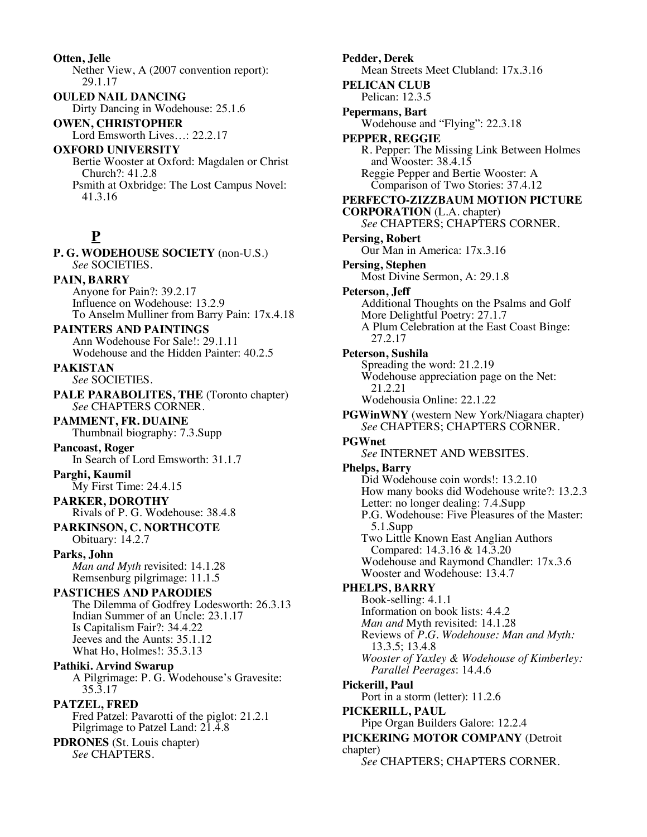**Otten, Jelle** Nether View, A (2007 convention report): 29.1.17 **OULED NAIL DANCING** Dirty Dancing in Wodehouse: 25.1.6 **OWEN, CHRISTOPHER** Lord Emsworth Lives…: 22.2.17 **OXFORD UNIVERSITY**

Bertie Wooster at Oxford: Magdalen or Christ Church?: 41.2.8 Psmith at Oxbridge: The Lost Campus Novel: 41.3.16

# **P**

**P. G. WODEHOUSE SOCIETY** (non-U.S.) *See* SOCIETIES. **PAIN, BARRY** Anyone for Pain?: 39.2.17 Influence on Wodehouse: 13.2.9 To Anselm Mulliner from Barry Pain: 17x.4.18 **PAINTERS AND PAINTINGS**

Ann Wodehouse For Sale!: 29.1.11 Wodehouse and the Hidden Painter: 40.2.5

**PAKISTAN** *See* SOCIETIES.

**PALE PARABOLITES, THE** (Toronto chapter) *See* CHAPTERS CORNER.

**PAMMENT, FR. DUAINE** Thumbnail biography: 7.3.Supp

**Pancoast, Roger** In Search of Lord Emsworth: 31.1.7

**Parghi, Kaumil** My First Time: 24.4.15

**PARKER, DOROTHY** Rivals of P. G. Wodehouse: 38.4.8

**PARKINSON, C. NORTHCOTE** Obituary: 14.2.7

**Parks, John** *Man and Myth* revisited: 14.1.28 Remsenburg pilgrimage: 11.1.5

**PASTICHES AND PARODIES** The Dilemma of Godfrey Lodesworth: 26.3.13 Indian Summer of an Uncle: 23.1.17 Is Capitalism Fair?: 34.4.22 Jeeves and the Aunts: 35.1.12 What Ho, Holmes!: 35.3.13

**Pathiki. Arvind Swarup** A Pilgrimage: P. G. Wodehouse's Gravesite: 35.3.17

**PATZEL, FRED** Fred Patzel: Pavarotti of the piglot: 21.2.1 Pilgrimage to Patzel Land: 21.4.8

**PDRONES** (St. Louis chapter) *See* CHAPTERS.

**Pedder, Derek** Mean Streets Meet Clubland: 17x.3.16 **PELICAN CLUB** Pelican: 12.3.5 **Pepermans, Bart** Wodehouse and "Flying": 22.3.18 **PEPPER, REGGIE** R. Pepper: The Missing Link Between Holmes and Wooster: 38.4.15 Reggie Pepper and Bertie Wooster: A Comparison of Two Stories: 37.4.12 **PERFECTO-ZIZZBAUM MOTION PICTURE CORPORATION** (L.A. chapter) *See* CHAPTERS; CHAPTERS CORNER. **Persing, Robert** Our Man in America: 17x.3.16 **Persing, Stephen** Most Divine Sermon, A: 29.1.8 **Peterson, Jeff** Additional Thoughts on the Psalms and Golf More Delightful Poetry: 27.1.7 A Plum Celebration at the East Coast Binge: 27.2.17 **Peterson, Sushila** Spreading the word: 21.2.19 Wodehouse appreciation page on the Net: 21.2.21 Wodehousia Online: 22.1.22 **PGWinWNY** (western New York/Niagara chapter) *See* CHAPTERS; CHAPTERS CORNER. **PGWnet** *See* INTERNET AND WEBSITES. **Phelps, Barry** Did Wodehouse coin words!: 13.2.10 How many books did Wodehouse write?: 13.2.3 Letter: no longer dealing: 7.4.Supp P.G. Wodehouse: Five Pleasures of the Master: 5.1.Supp Two Little Known East Anglian Authors Compared: 14.3.16 & 14.3.20 Wodehouse and Raymond Chandler: 17x.3.6 Wooster and Wodehouse: 13.4.7 **PHELPS, BARRY** Book-selling: 4.1.1 Information on book lists: 4.4.2 *Man and* Myth revisited: 14.1.28 Reviews of *P.G. Wodehouse: Man and Myth:*  13.3.5; 13.4.8 *Wooster of Yaxley & Wodehouse of Kimberley: Parallel Peerages*: 14.4.6 **Pickerill, Paul** Port in a storm (letter): 11.2.6 **PICKERILL, PAUL** Pipe Organ Builders Galore: 12.2.4 **PICKERING MOTOR COMPANY** (Detroit chapter) *See* CHAPTERS; CHAPTERS CORNER.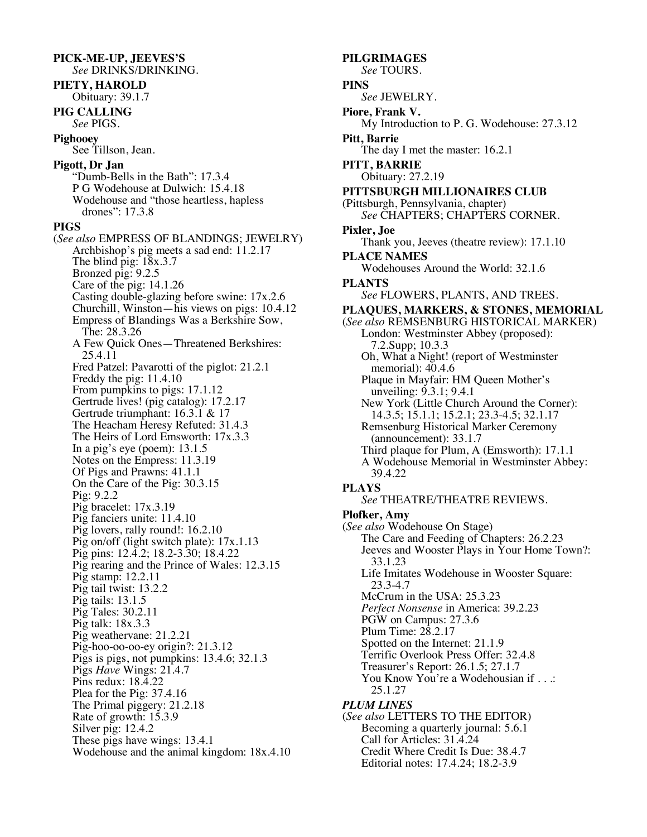#### **PICK-ME-UP, JEEVES'S** *See* DRINKS/DRINKING.

**PIETY, HAROLD** Obituary: 39.1.7

**PIG CALLING** *See* PIGS.

**Pighooey** See Tillson, Jean.

# **Pigott, Dr Jan**

"Dumb-Bells in the Bath": 17.3.4 P G Wodehouse at Dulwich: 15.4.18 Wodehouse and "those heartless, hapless drones": 17.3.8

# **PIGS**

(*See also* EMPRESS OF BLANDINGS; JEWELRY) Archbishop's pig meets a sad end: 11.2.17 The blind pig: 18x.3.7 Bronzed pig: 9.2.5 Care of the pig: 14.1.26 Casting double-glazing before swine: 17x.2.6 Churchill, Winston—his views on pigs: 10.4.12 Empress of Blandings Was a Berkshire Sow, The: 28.3.26 A Few Quick Ones—Threatened Berkshires: 25.4.11 Fred Patzel: Pavarotti of the piglot: 21.2.1 Freddy the pig: 11.4.10 From pumpkins to pigs: 17.1.12 Gertrude lives! (pig catalog): 17.2.17 Gertrude triumphant: 16.3.1 & 17 The Heacham Heresy Refuted: 31.4.3 The Heirs of Lord Emsworth: 17x.3.3 In a pig's eye (poem): 13.1.5 Notes on the Empress: 11.3.19 Of Pigs and Prawns: 41.1.1 On the Care of the Pig: 30.3.15 Pig: 9.2.2 Pig bracelet: 17x.3.19 Pig fanciers unite: 11.4.10 Pig lovers, rally round!: 16.2.10 Pig on/off (light switch plate): 17x.1.13 Pig pins: 12.4.2; 18.2-3.30; 18.4.22 Pig rearing and the Prince of Wales: 12.3.15 Pig stamp: 12.2.11 Pig tail twist: 13.2.2 Pig tails: 13.1.5 Pig Tales: 30.2.11 Pig talk: 18x.3.3 Pig weathervane: 21.2.21 Pig-hoo-oo-oo-ey origin?: 21.3.12 Pigs is pigs, not pumpkins: 13.4.6; 32.1.3 Pigs *Have* Wings: 21.4.7 Pins redux: 18.4.22 Plea for the Pig: 37.4.16 The Primal piggery: 21.2.18 Rate of growth: 15.3.9 Silver pig: 12.4.2 These pigs have wings: 13.4.1 Wodehouse and the animal kingdom: 18x.4.10

**PILGRIMAGES** *See* TOURS. **PINS** *See* JEWELRY. **Piore, Frank V.** My Introduction to P. G. Wodehouse: 27.3.12 **Pitt, Barrie** The day I met the master: 16.2.1 **PITT, BARRIE** Obituary: 27.2.19 **PITTSBURGH MILLIONAIRES CLUB** (Pittsburgh, Pennsylvania, chapter) *See* CHAPTERS; CHAPTERS CORNER. **Pixler, Joe** Thank you, Jeeves (theatre review): 17.1.10 **PLACE NAMES** Wodehouses Around the World: 32.1.6 **PLANTS** *See* FLOWERS, PLANTS, AND TREES. **PLAQUES, MARKERS, & STONES, MEMORIAL** (*See also* REMSENBURG HISTORICAL MARKER) London: Westminster Abbey (proposed): 7.2.Supp; 10.3.3 Oh, What a Night! (report of Westminster memorial): 40.4.6 Plaque in Mayfair: HM Queen Mother's unveiling: 9.3.1; 9.4.1 New York (Little Church Around the Corner): 14.3.5; 15.1.1; 15.2.1; 23.3-4.5; 32.1.17 Remsenburg Historical Marker Ceremony (announcement): 33.1.7 Third plaque for Plum, A (Emsworth): 17.1.1 A Wodehouse Memorial in Westminster Abbey: 39.4.22 **PLAYS** *See* THEATRE/THEATRE REVIEWS. **Plofker, Amy** (*See also* Wodehouse On Stage) The Care and Feeding of Chapters: 26.2.23 Jeeves and Wooster Plays in Your Home Town?: 33.1.23 Life Imitates Wodehouse in Wooster Square: 23.3-4.7 McCrum in the USA: 25.3.23 *Perfect Nonsense* in America: 39.2.23 PGW on Campus: 27.3.6 Plum Time: 28.2.17 Spotted on the Internet: 21.1.9 Terrific Overlook Press Offer: 32.4.8 Treasurer's Report: 26.1.5; 27.1.7 You Know You're a Wodehousian if . . .: 25.1.27 *PLUM LINES* (*See also* LETTERS TO THE EDITOR) Becoming a quarterly journal: 5.6.1 Call for Articles: 31.4.24

Credit Where Credit Is Due: 38.4.7 Editorial notes: 17.4.24; 18.2-3.9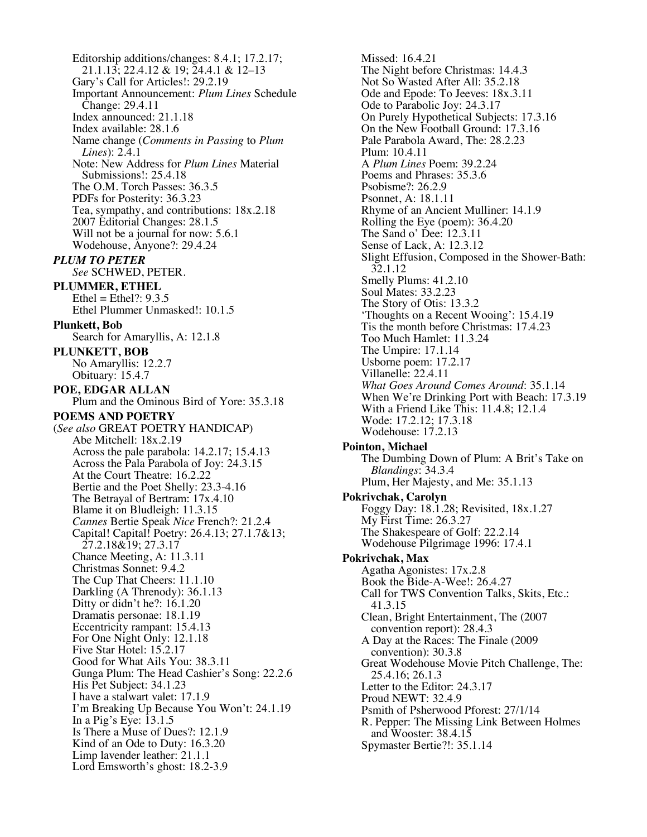Editorship additions/changes: 8.4.1; 17.2.17; 21.1.13; 22.4.12 & 19; 24.4.1 & 12–13 Gary's Call for Articles!: 29.2.19 Important Announcement: *Plum Lines* Schedule Change: 29.4.11 Index announced: 21.1.18 Index available: 28.1.6 Name change (*Comments in Passing* to *Plum Lines*): 2.4.1 Note: New Address for *Plum Lines* Material Submissions!: 25.4.18 The O.M. Torch Passes: 36.3.5 PDFs for Posterity: 36.3.23 Tea, sympathy, and contributions: 18x.2.18 2007 Editorial Changes: 28.1.5 Will not be a journal for now: 5.6.1 Wodehouse, Anyone?: 29.4.24 *PLUM TO PETER See* SCHWED, PETER. **PLUMMER, ETHEL** Ethel = Ethel $?: 9.3.5$ Ethel Plummer Unmasked!: 10.1.5 **Plunkett, Bob** Search for Amaryllis, A: 12.1.8 **PLUNKETT, BOB** No Amaryllis: 12.2.7 Obituary: 15.4.7 **POE, EDGAR ALLAN** Plum and the Ominous Bird of Yore: 35.3.18 **POEMS AND POETRY** (*See also* GREAT POETRY HANDICAP) Abe Mitchell: 18x.2.19 Across the pale parabola: 14.2.17; 15.4.13 Across the Pala Parabola of Joy: 24.3.15 At the Court Theatre: 16.2.22 Bertie and the Poet Shelly: 23.3-4.16 The Betrayal of Bertram: 17x.4.10 Blame it on Bludleigh: 11.3.15 *Cannes* Bertie Speak *Nice* French?: 21.2.4 Capital! Capital! Poetry: 26.4.13; 27.1.7&13; 27.2.18&19; 27.3.17 Chance Meeting, A: 11.3.11 Christmas Sonnet: 9.4.2 The Cup That Cheers: 11.1.10 Darkling (A Threnody): 36.1.13 Ditty or didn't he?: 16.1.20 Dramatis personae: 18.1.19 Eccentricity rampant: 15.4.13 For One Night Only: 12.1.18 Five Star Hotel: 15.2.17 Good for What Ails You: 38.3.11 Gunga Plum: The Head Cashier's Song: 22.2.6 His Pet Subject: 34.1.23 I have a stalwart valet: 17.1.9 I'm Breaking Up Because You Won't: 24.1.19 In a Pig's Eye:  $13.1.5$ Is There a Muse of Dues?: 12.1.9 Kind of an Ode to Duty: 16.3.20 Limp lavender leather: 21.1.1 Lord Emsworth's ghost: 18.2-3.9

Missed: 16.4.21 The Night before Christmas: 14.4.3 Not So Wasted After All: 35.2.18 Ode and Epode: To Jeeves: 18x.3.11 Ode to Parabolic Joy: 24.3.17 On Purely Hypothetical Subjects: 17.3.16 On the New Football Ground: 17.3.16 Pale Parabola Award, The: 28.2.23 Plum: 10.4.11 A *Plum Lines* Poem: 39.2.24 Poems and Phrases: 35.3.6 Psobisme?: 26.2.9 Psonnet, A: 18.1.11 Rhyme of an Ancient Mulliner: 14.1.9 Rolling the Eye (poem): 36.4.20 The Sand o' Dee: 12.3.11 Sense of Lack, A: 12.3.12 Slight Effusion, Composed in the Shower-Bath: 32.1.12 Smelly Plums: 41.2.10 Soul Mates: 33.2.23 The Story of Otis: 13.3.2 'Thoughts on a Recent Wooing': 15.4.19 Tis the month before Christmas: 17.4.23 Too Much Hamlet: 11.3.24 The Umpire: 17.1.14 Usborne poem: 17.2.17 Villanelle: 22.4.11 *What Goes Around Comes Around*: 35.1.14 When We're Drinking Port with Beach: 17.3.19 With a Friend Like This: 11.4.8; 12.1.4 Wode: 17.2.12; 17.3.18 Wodehouse: 17.2.13 **Pointon, Michael** The Dumbing Down of Plum: A Brit's Take on *Blandings*: 34.3.4 Plum, Her Majesty, and Me: 35.1.13 **Pokrivchak, Carolyn** Foggy Day: 18.1.28; Revisited, 18x.1.27 My First Time: 26.3.27 The Shakespeare of Golf: 22.2.14 Wodehouse Pilgrimage 1996: 17.4.1 **Pokrivchak, Max** Agatha Agonistes: 17x.2.8 Book the Bide-A-Wee!: 26.4.27 Call for TWS Convention Talks, Skits, Etc.: 41.3.15 Clean, Bright Entertainment, The (2007 convention report): 28.4.3 A Day at the Races: The Finale (2009 convention): 30.3.8 Great Wodehouse Movie Pitch Challenge, The: 25.4.16; 26.1.3 Letter to the Editor: 24.3.17 Proud NEWT: 32.4.9 Psmith of Psherwood Pforest: 27/1/14 R. Pepper: The Missing Link Between Holmes and Wooster: 38.4.15 Spymaster Bertie?!: 35.1.14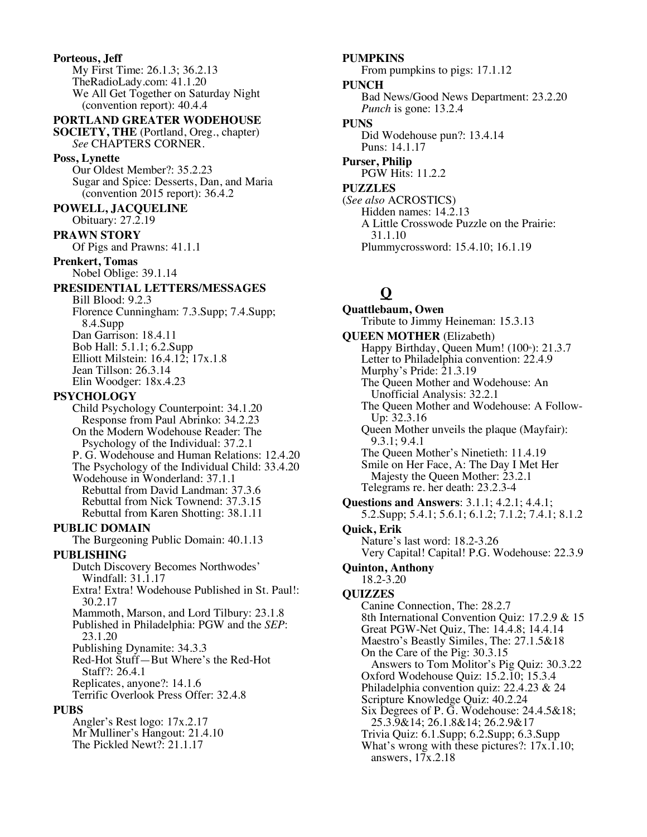**Porteous, Jeff** My First Time: 26.1.3; 36.2.13 TheRadioLady.com: 41.1.20 We All Get Together on Saturday Night (convention report): 40.4.4

**PORTLAND GREATER WODEHOUSE** 

**SOCIETY, THE** (Portland, Oreg., chapter) *See* CHAPTERS CORNER.

#### **Poss, Lynette**

Our Oldest Member?: 35.2.23 Sugar and Spice: Desserts, Dan, and Maria (convention 2015 report): 36.4.2

**POWELL, JACQUELINE**

Obituary: 27.2.19

# **PRAWN STORY**

Of Pigs and Prawns: 41.1.1

**Prenkert, Tomas**

Nobel Oblige: 39.1.14

# **PRESIDENTIAL LETTERS/MESSAGES**

Bill Blood: 9.2.3 Florence Cunningham: 7.3.Supp; 7.4.Supp; 8.4.Supp Dan Garrison: 18.4.11 Bob Hall: 5.1.1; 6.2.Supp Elliott Milstein: 16.4.12; 17x.1.8 Jean Tillson: 26.3.14 Elin Woodger: 18x.4.23

#### **PSYCHOLOGY**

Child Psychology Counterpoint: 34.1.20 Response from Paul Abrinko: 34.2.23 On the Modern Wodehouse Reader: The Psychology of the Individual: 37.2.1 P. G. Wodehouse and Human Relations: 12.4.20 The Psychology of the Individual Child: 33.4.20 Wodehouse in Wonderland: 37.1.1 Rebuttal from David Landman: 37.3.6 Rebuttal from Nick Townend: 37.3.15 Rebuttal from Karen Shotting: 38.1.11 **PUBLIC DOMAIN** The Burgeoning Public Domain: 40.1.13 **PUBLISHING** Dutch Discovery Becomes Northwodes' Windfall: 31.1.17 Extra! Extra! Wodehouse Published in St. Paul!: 30.2.17 Mammoth, Marson, and Lord Tilbury: 23.1.8 Published in Philadelphia: PGW and the *SEP*: 23.1.20 Publishing Dynamite: 34.3.3 Red-Hot Stuff—But Where's the Red-Hot Staff?: 26.4.1 Replicates, anyone?: 14.1.6 Terrific Overlook Press Offer: 32.4.8

#### **PUBS**

Angler's Rest logo: 17x.2.17 Mr Mulliner's Hangout: 21.4.10

The Pickled Newt?: 21.1.17

**PUMPKINS** From pumpkins to pigs: 17.1.12 **PUNCH** Bad News/Good News Department: 23.2.20 *Punch* is gone: 13.2.4 **PUNS**

Did Wodehouse pun?: 13.4.14 Puns: 14.1.17

**Purser, Philip** PGW Hits: 11.2.2 **PUZZLES**

(*See also* ACROSTICS) Hidden names: 14.2.13 A Little Crosswode Puzzle on the Prairie: 31.1.10 Plummycrossword: 15.4.10; 16.1.19

# **Q**

**Quattlebaum, Owen** Tribute to Jimmy Heineman: 15.3.13 **QUEEN MOTHER** (Elizabeth) Happy Birthday, Queen Mum!  $(100*)$ : 21.3.7 Letter to Philadelphia convention: 22.4.9 Murphy's Pride: 21.3.19 The Queen Mother and Wodehouse: An Unofficial Analysis: 32.2.1 The Queen Mother and Wodehouse: A Follow- Up: 32.3.16 Queen Mother unveils the plaque (Mayfair): 9.3.1; 9.4.1 The Queen Mother's Ninetieth: 11.4.19 Smile on Her Face, A: The Day I Met Her Majesty the Queen Mother: 23.2.1 Telegrams re. her death: 23.2.3-4 **Questions and Answers**: 3.1.1; 4.2.1; 4.4.1; 5.2.Supp; 5.4.1; 5.6.1; 6.1.2; 7.1.2; 7.4.1; 8.1.2 **Quick, Erik** Nature's last word: 18.2-3.26 Very Capital! Capital! P.G. Wodehouse: 22.3.9 **Quinton, Anthony** 18.2-3.20 **QUIZZES** Canine Connection, The: 28.2.7 8th International Convention Quiz: 17.2.9 & 15 Great PGW-Net Quiz, The: 14.4.8; 14.4.14 Maestro's Beastly Similes, The: 27.1.5&18 On the Care of the Pig: 30.3.15 Answers to Tom Molitor's Pig Quiz: 30.3.22 Oxford Wodehouse Quiz: 15.2.10; 15.3.4 Philadelphia convention quiz: 22.4.23 & 24 Scripture Knowledge Quiz: 40.2.24 Six Degrees of P. G. Wodehouse: 24.4.5&18; 25.3.9&14; 26.1.8&14; 26.2.9&17 Trivia Quiz: 6.1.Supp; 6.2.Supp; 6.3.Supp What's wrong with these pictures?:  $17x.1.10$ ; answers, 17x.2.18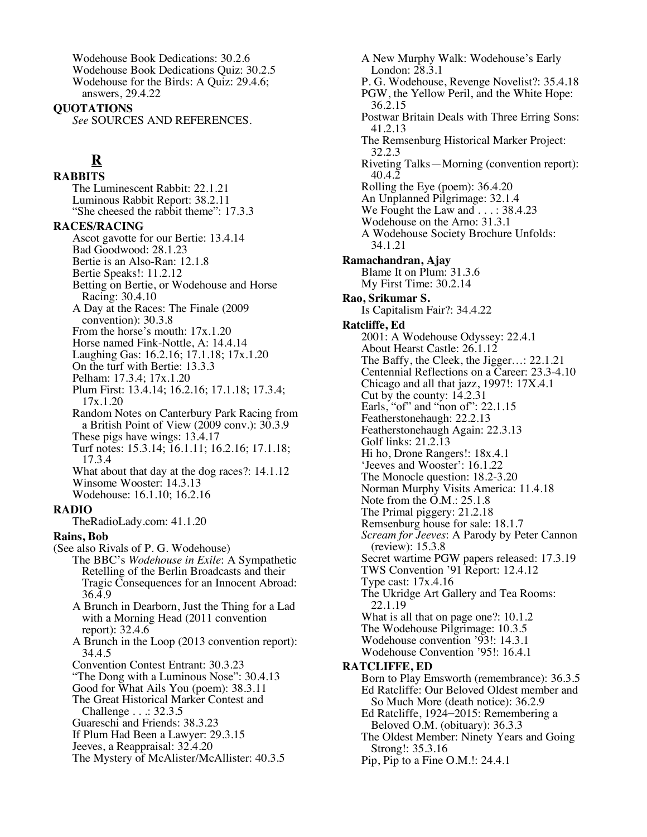Wodehouse Book Dedications: 30.2.6 Wodehouse Book Dedications Quiz: 30.2.5 Wodehouse for the Birds: A Quiz: 29.4.6; answers, 29.4.22

**QUOTATIONS**

*See* SOURCES AND REFERENCES.

# **R**

**RABBITS** The Luminescent Rabbit: 22.1.21 Luminous Rabbit Report: 38.2.11 "She cheesed the rabbit theme": 17.3.3 **RACES/RACING** Ascot gavotte for our Bertie: 13.4.14 Bad Goodwood: 28.1.23

Bertie is an Also-Ran: 12.1.8 Bertie Speaks!: 11.2.12 Betting on Bertie, or Wodehouse and Horse Racing: 30.4.10 A Day at the Races: The Finale (2009 convention): 30.3.8

- From the horse's mouth: 17x.1.20
- Horse named Fink-Nottle, A: 14.4.14
- Laughing Gas: 16.2.16; 17.1.18; 17x.1.20
- On the turf with Bertie: 13.3.3
- Pelham: 17.3.4; 17x.1.20
- Plum First: 13.4.14; 16.2.16; 17.1.18; 17.3.4; 17x.1.20

Random Notes on Canterbury Park Racing from a British Point of View (2009 conv.): 30.3.9

- These pigs have wings: 13.4.17
- Turf notes: 15.3.14; 16.1.11; 16.2.16; 17.1.18; 17.3.4

What about that day at the dog races?: 14.1.12 Winsome Wooster: 14.3.13 Wodehouse: 16.1.10; 16.2.16

#### **RADIO**

TheRadioLady.com: 41.1.20

### **Rains, Bob**

- (See also Rivals of P. G. Wodehouse) The BBC's *Wodehouse in Exile*: A Sympathetic Retelling of the Berlin Broadcasts and their Tragic Consequences for an Innocent Abroad:
	- 36.4.9 A Brunch in Dearborn, Just the Thing for a Lad
	- with a Morning Head (2011 convention report): 32.4.6
	- A Brunch in the Loop (2013 convention report): 34.4.5
	- Convention Contest Entrant: 30.3.23
	- "The Dong with a Luminous Nose": 30.4.13
	- Good for What Ails You (poem): 38.3.11
	- The Great Historical Marker Contest and Challenge . . .: 32.3.5
	- Guareschi and Friends: 38.3.23
	- If Plum Had Been a Lawyer: 29.3.15
	- Jeeves, a Reappraisal: 32.4.20
	- The Mystery of McAlister/McAllister: 40.3.5

A New Murphy Walk: Wodehouse's Early London: 28.3.1 P. G. Wodehouse, Revenge Novelist?: 35.4.18 PGW, the Yellow Peril, and the White Hope: 36.2.15 Postwar Britain Deals with Three Erring Sons: 41.2.13 The Remsenburg Historical Marker Project: 32.2.3 Riveting Talks—Morning (convention report): 40.4.2 Rolling the Eye (poem): 36.4.20 An Unplanned Pilgrimage: 32.1.4 We Fought the Law and . . . : 38.4.23 Wodehouse on the Arno: 31.3.1 A Wodehouse Society Brochure Unfolds: 34.1.21 **Ramachandran, Ajay** Blame It on Plum: 31.3.6 My First Time: 30.2.14 **Rao, Srikumar S.** Is Capitalism Fair?: 34.4.22 **Ratcliffe, Ed** 2001: A Wodehouse Odyssey: 22.4.1 About Hearst Castle: 26.1.12 The Baffy, the Cleek, the Jigger…: 22.1.21 Centennial Reflections on a Career: 23.3-4.10 Chicago and all that jazz, 1997!: 17X.4.1 Cut by the county: 14.2.31 Earls, "of" and "non of": 22.1.15 Featherstonehaugh: 22.2.13 Featherstonehaugh Again: 22.3.13 Golf links: 21.2.13 Hi ho, Drone Rangers!: 18x.4.1 'Jeeves and Wooster': 16.1.22 The Monocle question: 18.2-3.20 Norman Murphy Visits America: 11.4.18 Note from the O.M.: 25.1.8 The Primal piggery: 21.2.18 Remsenburg house for sale: 18.1.7 *Scream for Jeeves*: A Parody by Peter Cannon (review): 15.3.8 Secret wartime PGW papers released: 17.3.19 TWS Convention '91 Report: 12.4.12 Type cast: 17x.4.16 The Ukridge Art Gallery and Tea Rooms: 22.1.19 What is all that on page one?: 10.1.2 The Wodehouse Pilgrimage: 10.3.5 Wodehouse convention '93!: 14.3.1 Wodehouse Convention '95!: 16.4.1 **RATCLIFFE, ED** Born to Play Emsworth (remembrance): 36.3.5 Ed Ratcliffe: Our Beloved Oldest member and So Much More (death notice): 36.2.9 Ed Ratcliffe, 1924–2015: Remembering a Beloved O.M. (obituary): 36.3.3 The Oldest Member: Ninety Years and Going

Strong!: 35.3.16 Pip, Pip to a Fine O.M.!: 24.4.1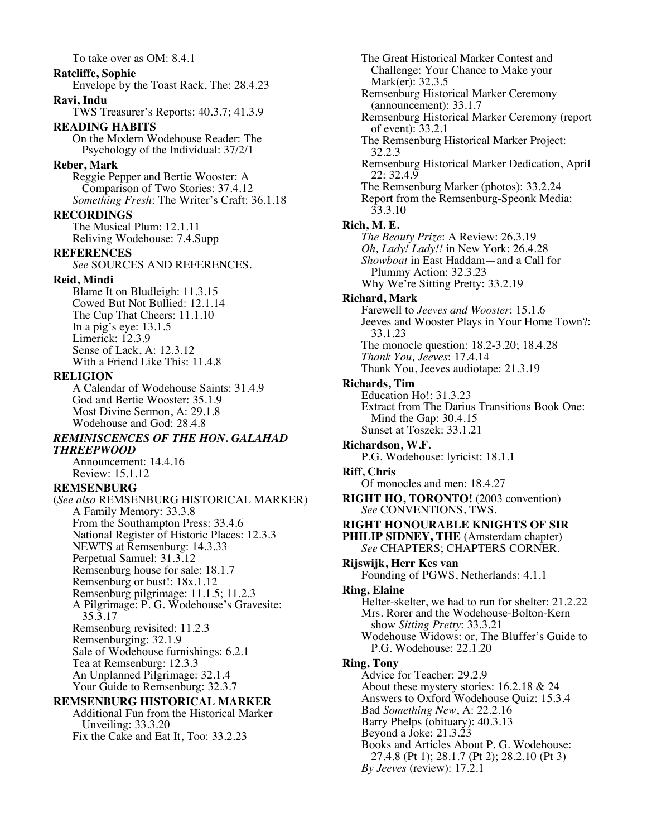# To take over as OM: 8.4.1 **Ratcliffe, Sophie** Envelope by the Toast Rack, The: 28.4.23 **Ravi, Indu** TWS Treasurer's Reports: 40.3.7; 41.3.9 **READING HABITS** On the Modern Wodehouse Reader: The Psychology of the Individual: 37/2/1 **Reber, Mark** Reggie Pepper and Bertie Wooster: A Comparison of Two Stories: 37.4.12 *Something Fresh*: The Writer's Craft: 36.1.18 **RECORDINGS** The Musical Plum: 12.1.11 Reliving Wodehouse: 7.4.Supp **REFERENCES** *See* SOURCES AND REFERENCES. **Reid, Mindi** Blame It on Bludleigh: 11.3.15 Cowed But Not Bullied: 12.1.14 The Cup That Cheers: 11.1.10 In a pig's eye: 13.1.5 Limerick: 12.3.9 Sense of Lack, A: 12.3.12 With a Friend Like This: 11.4.8 **RELIGION** A Calendar of Wodehouse Saints: 31.4.9 God and Bertie Wooster: 35.1.9 Most Divine Sermon, A: 29.1.8 Wodehouse and God: 28.4.8 *REMINISCENCES OF THE HON. GALAHAD THREEPWOOD* Announcement: 14.4.16 Review: 15.1.12 **REMSENBURG** (*See also* REMSENBURG HISTORICAL MARKER) A Family Memory: 33.3.8 From the Southampton Press: 33.4.6 National Register of Historic Places: 12.3.3 NEWTS at Remsenburg: 14.3.33 Perpetual Samuel: 31.3.12 Remsenburg house for sale: 18.1.7 Remsenburg or bust!: 18x.1.12 Remsenburg pilgrimage: 11.1.5; 11.2.3 A Pilgrimage: P. G. Wodehouse's Gravesite: 35.3.17 Remsenburg revisited: 11.2.3 Remsenburging: 32.1.9 Sale of Wodehouse furnishings: 6.2.1

Tea at Remsenburg: 12.3.3 An Unplanned Pilgrimage: 32.1.4 Your Guide to Remsenburg: 32.3.7 **REMSENBURG HISTORICAL MARKER** Additional Fun from the Historical Marker

Unveiling: 33.3.20

Fix the Cake and Eat It, Too: 33.2.23

The Great Historical Marker Contest and Challenge: Your Chance to Make your Mark(er): 32.3.5 Remsenburg Historical Marker Ceremony (announcement): 33.1.7 Remsenburg Historical Marker Ceremony (report of event): 33.2.1 The Remsenburg Historical Marker Project: 32.2.3 Remsenburg Historical Marker Dedication, April 22: 32.4.9 The Remsenburg Marker (photos): 33.2.24 Report from the Remsenburg-Speonk Media: 33.3.10 **Rich, M. E.** *The Beauty Prize*: A Review: 26.3.19 *Oh, Lady! Lady!!* in New York: 26.4.28 *Showboat* in East Haddam—and a Call for Plummy Action: 32.3.23 Why We're Sitting Pretty: 33.2.19 **Richard, Mark** Farewell to *Jeeves and Wooster*: 15.1.6 Jeeves and Wooster Plays in Your Home Town?: 33.1.23 The monocle question: 18.2-3.20; 18.4.28 *Thank You, Jeeves*: 17.4.14 Thank You, Jeeves audiotape: 21.3.19 **Richards, Tim** Education Ho!: 31.3.23 Extract from The Darius Transitions Book One: Mind the Gap: 30.4.15 Sunset at Toszek: 33.1.21 **Richardson, W.F.** P.G. Wodehouse: lyricist: 18.1.1 **Riff, Chris** Of monocles and men: 18.4.27 **RIGHT HO, TORONTO!** (2003 convention) *See* CONVENTIONS, TWS. **RIGHT HONOURABLE KNIGHTS OF SIR PHILIP SIDNEY, THE** (Amsterdam chapter) *See* CHAPTERS; CHAPTERS CORNER. **Rijswijk, Herr Kes van** Founding of PGWS, Netherlands: 4.1.1 **Ring, Elaine** Helter-skelter, we had to run for shelter: 21.2.22 Mrs. Rorer and the Wodehouse-Bolton-Kern show *Sitting Pretty*: 33.3.21 Wodehouse Widows: or, The Bluffer's Guide to P.G. Wodehouse: 22.1.20 **Ring, Tony** Advice for Teacher: 29.2.9 About these mystery stories: 16.2.18 & 24 Answers to Oxford Wodehouse Quiz: 15.3.4 Bad *Something New*, A: 22.2.16 Barry Phelps (obituary): 40.3.13 Beyond a Joke: 21.3.23 Books and Articles About P. G. Wodehouse: 27.4.8 (Pt 1); 28.1.7 (Pt 2); 28.2.10 (Pt 3) *By Jeeves* (review): 17.2.1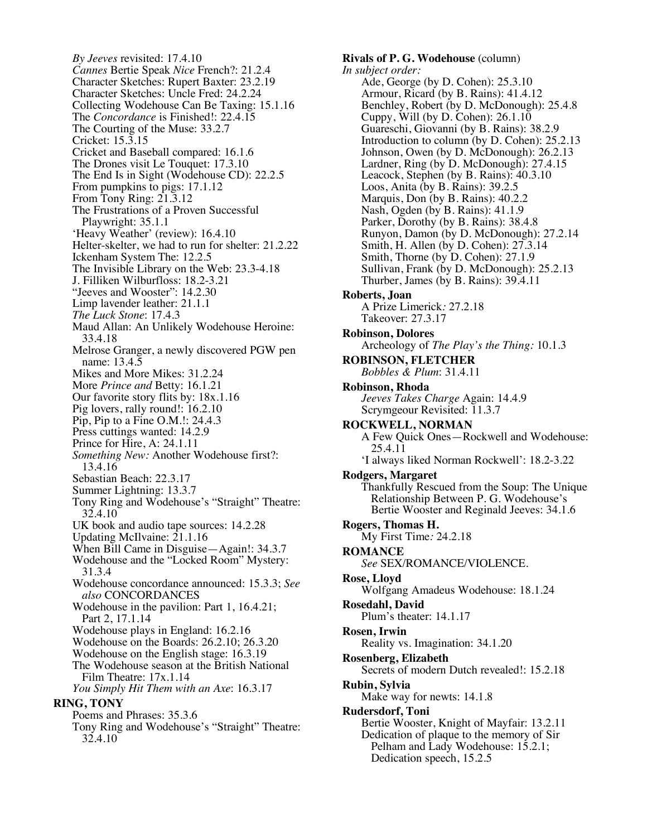*By Jeeves* revisited: 17.4.10 *Cannes* Bertie Speak *Nice* French?: 21.2.4 Character Sketches: Rupert Baxter: 23.2.19 Character Sketches: Uncle Fred: 24.2.24 Collecting Wodehouse Can Be Taxing: 15.1.16 The *Concordance* is Finished!: 22.4.15 The Courting of the Muse: 33.2.7 Cricket: 15.3.15 Cricket and Baseball compared: 16.1.6 The Drones visit Le Touquet: 17.3.10 The End Is in Sight (Wodehouse CD): 22.2.5 From pumpkins to pigs: 17.1.12 From Tony Ring:  $21.3.12$ The Frustrations of a Proven Successful Playwright: 35.1.1 'Heavy Weather' (review): 16.4.10 Helter-skelter, we had to run for shelter: 21.2.22 Ickenham System The: 12.2.5 The Invisible Library on the Web: 23.3-4.18 J. Filliken Wilburfloss: 18.2-3.21 "Jeeves and Wooster": 14.2.30 Limp lavender leather: 21.1.1 *The Luck Stone*: 17.4.3 Maud Allan: An Unlikely Wodehouse Heroine: 33.4.18 Melrose Granger, a newly discovered PGW pen name: 13.4.5 Mikes and More Mikes: 31.2.24 More *Prince and* Betty: 16.1.21 Our favorite story flits by: 18x.1.16 Pig lovers, rally round!: 16.2.10 Pip, Pip to a Fine O.M.!: 24.4.3 Press cuttings wanted: 14.2.9 Prince for Hire, A: 24.1.11 *Something New:* Another Wodehouse first?: 13.4.16 Sebastian Beach: 22.3.17 Summer Lightning: 13.3.7 Tony Ring and Wodehouse's "Straight" Theatre: 32.4.10 UK book and audio tape sources: 14.2.28 Updating McIlvaine: 21.1.16 When Bill Came in Disguise—Again!: 34.3.7 Wodehouse and the "Locked Room" Mystery: 31.3.4 Wodehouse concordance announced: 15.3.3; *See also* CONCORDANCES Wodehouse in the pavilion: Part 1, 16.4.21; Part 2, 17.1.14 Wodehouse plays in England: 16.2.16 Wodehouse on the Boards: 26.2.10; 26.3.20 Wodehouse on the English stage: 16.3.19 The Wodehouse season at the British National Film Theatre: 17x.1.14 *You Simply Hit Them with an Axe*: 16.3.17 **RING, TONY** Poems and Phrases: 35.3.6 Tony Ring and Wodehouse's "Straight" Theatre: 32.4.10

**Rivals of P. G. Wodehouse** (column) *In subject order:* Ade, George (by D. Cohen): 25.3.10 Armour, Ricard (by B. Rains): 41.4.12 Benchley, Robert (by D. McDonough): 25.4.8 Cuppy, Will (by D. Cohen): 26.1.10 Guareschi, Giovanni (by B. Rains): 38.2.9 Introduction to column (by D. Cohen): 25.2.13 Johnson, Owen (by D. McDonough): 26.2.13 Lardner, Ring (by D. McDonough): 27.4.15 Leacock, Stephen (by B. Rains): 40.3.10 Loos, Anita (by B. Rains): 39.2.5 Marquis, Don (by B. Rains): 40.2.2 Nash, Ogden (by B. Rains): 41.1.9 Parker, Dorothy (by B. Rains): 38.4.8 Runyon, Damon (by D. McDonough): 27.2.14 Smith, H. Allen (by D. Cohen): 27.3.14 Smith, Thorne (by D. Cohen): 27.1.9 Sullivan, Frank (by D. McDonough): 25.2.13 Thurber, James (by B. Rains): 39.4.11 **Roberts, Joan** A Prize Limerick*:* 27.2.18 Takeover: 27.3.17 **Robinson, Dolores** Archeology of *The Play's the Thing:* 10.1.3 **ROBINSON, FLETCHER** *Bobbles & Plum*: 31.4.11 **Robinson, Rhoda** *Jeeves Takes Charge* Again: 14.4.9 Scrymgeour Revisited: 11.3.7 **ROCKWELL, NORMAN** A Few Quick Ones—Rockwell and Wodehouse: 25.4.11 'I always liked Norman Rockwell': 18.2-3.22 **Rodgers, Margaret** Thankfully Rescued from the Soup: The Unique Relationship Between P. G. Wodehouse's Bertie Wooster and Reginald Jeeves: 34.1.6 **Rogers, Thomas H.** My First Time*:* 24.2.18 **ROMANCE** *See* SEX/ROMANCE/VIOLENCE. **Rose, Lloyd** Wolfgang Amadeus Wodehouse: 18.1.24 **Rosedahl, David** Plum's theater: 14.1.17 **Rosen, Irwin** Reality vs. Imagination: 34.1.20 **Rosenberg, Elizabeth** Secrets of modern Dutch revealed!: 15.2.18 **Rubin, Sylvia** Make way for newts: 14.1.8 **Rudersdorf, Toni** Bertie Wooster, Knight of Mayfair: 13.2.11 Dedication of plaque to the memory of Sir Pelham and Lady Wodehouse: 15.2.1;

Dedication speech, 15.2.5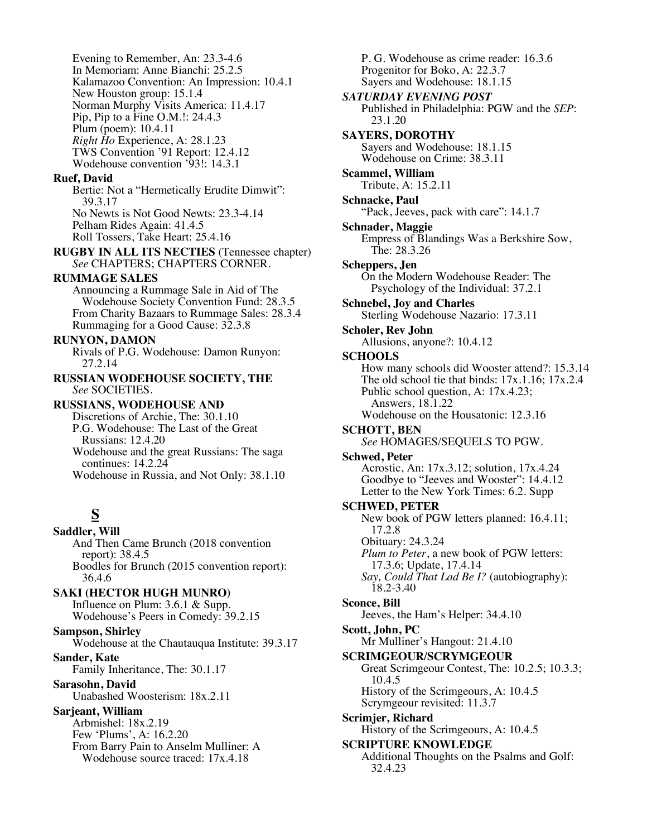Evening to Remember, An: 23.3-4.6 In Memoriam: Anne Bianchi: 25.2.5 Kalamazoo Convention: An Impression: 10.4.1 New Houston group: 15.1.4 Norman Murphy Visits America: 11.4.17 Pip, Pip to a Fine O.M.!: 24.4.3 Plum (poem): 10.4.11 *Right Ho* Experience, A: 28.1.23 TWS Convention '91 Report: 12.4.12 Wodehouse convention '93!: 14.3.1

#### **Ruef, David**

Bertie: Not a "Hermetically Erudite Dimwit": 39.3.17 No Newts is Not Good Newts: 23.3-4.14 Pelham Rides Again: 41.4.5 Roll Tossers, Take Heart: 25.4.16

**RUGBY IN ALL ITS NECTIES** (Tennessee chapter) *See* CHAPTERS; CHAPTERS CORNER.

### **RUMMAGE SALES**

Announcing a Rummage Sale in Aid of The Wodehouse Society Convention Fund: 28.3.5 From Charity Bazaars to Rummage Sales: 28.3.4 Rummaging for a Good Cause: 32.3.8

#### **RUNYON, DAMON**

Rivals of P.G. Wodehouse: Damon Runyon: 27.2.14

# **RUSSIAN WODEHOUSE SOCIETY, THE** *See* SOCIETIES.

# **RUSSIANS, WODEHOUSE AND**

Discretions of Archie, The: 30.1.10 P.G. Wodehouse: The Last of the Great Russians: 12.4.20

Wodehouse and the great Russians: The saga continues: 14.2.24

Wodehouse in Russia, and Not Only: 38.1.10

# **S**

**Saddler, Will** And Then Came Brunch (2018 convention report): 38.4.5 Boodles for Brunch (2015 convention report): 36.4.6 **SAKI (HECTOR HUGH MUNRO)** Influence on Plum: 3.6.1 & Supp. Wodehouse's Peers in Comedy: 39.2.15 **Sampson, Shirley** Wodehouse at the Chautauqua Institute: 39.3.17

**Sander, Kate**

Family Inheritance, The: 30.1.17

#### **Sarasohn, David**

Unabashed Woosterism: 18x.2.11

#### **Sarjeant, William**

Arbmishel: 18x.2.19 Few 'Plums', A: 16.2.20 From Barry Pain to Anselm Mulliner: A

Wodehouse source traced: 17x.4.18

P. G. Wodehouse as crime reader: 16.3.6 Progenitor for Boko, A: 22.3.7 Sayers and Wodehouse: 18.1.15 *SATURDAY EVENING POST* Published in Philadelphia: PGW and the *SEP*: 23.1.20 **SAYERS, DOROTHY** Sayers and Wodehouse: 18.1.15 Wodehouse on Crime: 38.3.11 **Scammel, William** Tribute, A: 15.2.11 **Schnacke, Paul** "Pack, Jeeves, pack with care": 14.1.7 **Schnader, Maggie** Empress of Blandings Was a Berkshire Sow, The: 28.3.26 **Scheppers, Jen** On the Modern Wodehouse Reader: The Psychology of the Individual: 37.2.1 **Schnebel, Joy and Charles** Sterling Wodehouse Nazario: 17.3.11 **Scholer, Rev John** Allusions, anyone?: 10.4.12 **SCHOOLS** How many schools did Wooster attend?: 15.3.14 The old school tie that binds:  $17x.1.16$ ;  $17x.2.4$ Public school question, A: 17x.4.23; Answers, 18.1.22 Wodehouse on the Housatonic: 12.3.16 **SCHOTT, BEN** *See* HOMAGES/SEQUELS TO PGW. **Schwed, Peter** Acrostic, An: 17x.3.12; solution, 17x.4.24 Goodbye to "Jeeves and Wooster": 14.4.12 Letter to the New York Times: 6.2. Supp **SCHWED, PETER** New book of PGW letters planned: 16.4.11; 17.2.8 Obituary: 24.3.24 *Plum to Peter*, a new book of PGW letters: 17.3.6; Update, 17.4.14 *Say, Could That Lad Be I?* (autobiography): 18.2-3.40 **Sconce, Bill** Jeeves, the Ham's Helper: 34.4.10 **Scott, John, PC** Mr Mulliner's Hangout: 21.4.10 **SCRIMGEOUR/SCRYMGEOUR** Great Scrimgeour Contest, The: 10.2.5; 10.3.3; 10.4.5 History of the Scrimgeours, A: 10.4.5 Scrymgeour revisited: 11.3.7 **Scrimjer, Richard** History of the Scrimgeours, A: 10.4.5 **SCRIPTURE KNOWLEDGE** Additional Thoughts on the Psalms and Golf: 32.4.23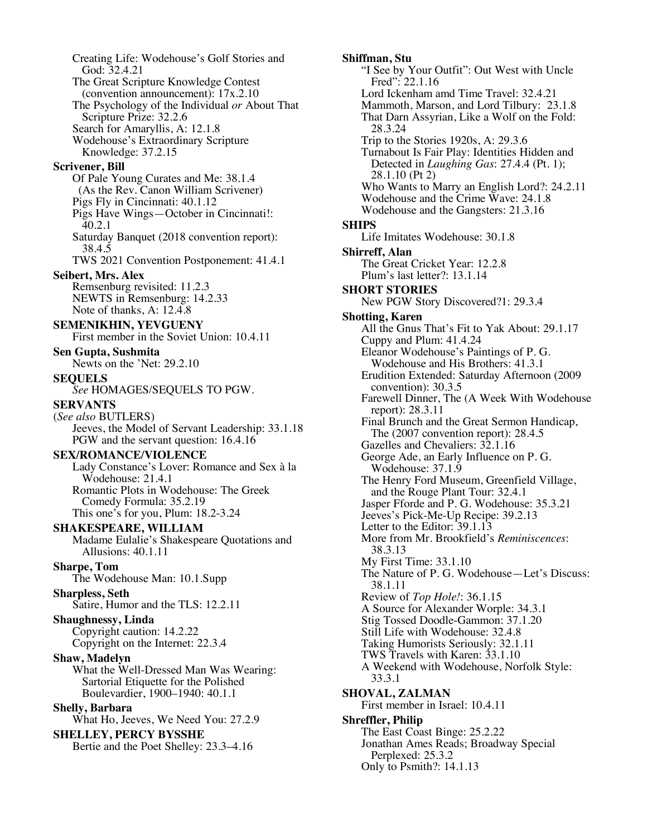Creating Life: Wodehouse's Golf Stories and God: 32.4.21 The Great Scripture Knowledge Contest (convention announcement): 17x.2.10 The Psychology of the Individual *or* About That Scripture Prize: 32.2.6 Search for Amaryllis, A: 12.1.8 Wodehouse's Extraordinary Scripture Knowledge: 37.2.15 **Scrivener, Bill** Of Pale Young Curates and Me: 38.1.4 (As the Rev. Canon William Scrivener) Pigs Fly in Cincinnati: 40.1.12 Pigs Have Wings—October in Cincinnati!: 40.2.1 Saturday Banquet (2018 convention report): 38.4.5 TWS 2021 Convention Postponement: 41.4.1 **Seibert, Mrs. Alex** Remsenburg revisited: 11.2.3 NEWTS in Remsenburg: 14.2.33 Note of thanks, A: 12.4.8 **SEMENIKHIN, YEVGUENY** First member in the Soviet Union: 10.4.11 **Sen Gupta, Sushmita** Newts on the 'Net: 29.2.10 **SEQUELS** *See* HOMAGES/SEQUELS TO PGW. **SERVANTS** (*See also* BUTLERS) Jeeves, the Model of Servant Leadership: 33.1.18 PGW and the servant question: 16.4.16 **SEX/ROMANCE/VIOLENCE** Lady Constance's Lover: Romance and Sex à la Wodehouse: 21.4.1 Romantic Plots in Wodehouse: The Greek Comedy Formula: 35.2.19 This one's for you, Plum: 18.2-3.24 **SHAKESPEARE, WILLIAM** Madame Eulalie's Shakespeare Quotations and Allusions: 40.1.11 **Sharpe, Tom** The Wodehouse Man: 10.1.Supp **Sharpless, Seth** Satire, Humor and the TLS: 12.2.11 **Shaughnessy, Linda** Copyright caution: 14.2.22 Copyright on the Internet: 22.3.4 **Shaw, Madelyn** What the Well-Dressed Man Was Wearing: Sartorial Etiquette for the Polished Boulevardier, 1900–1940: 40.1.1 **Shelly, Barbara** What Ho, Jeeves, We Need You: 27.2.9 **SHELLEY, PERCY BYSSHE** Bertie and the Poet Shelley: 23.3–4.16

**Shiffman, Stu** "I See by Your Outfit": Out West with Uncle Fred": 22.1.16 Lord Ickenham amd Time Travel: 32.4.21 Mammoth, Marson, and Lord Tilbury: 23.1.8 That Darn Assyrian, Like a Wolf on the Fold: 28.3.24 Trip to the Stories 1920s, A: 29.3.6 Turnabout Is Fair Play: Identities Hidden and Detected in *Laughing Gas*: 27.4.4 (Pt. 1); 28.1.10 (Pt 2) Who Wants to Marry an English Lord?: 24.2.11 Wodehouse and the Crime Wave: 24.1.8 Wodehouse and the Gangsters: 21.3.16 **SHIPS** Life Imitates Wodehouse: 30.1.8 **Shirreff, Alan** The Great Cricket Year: 12.2.8 Plum's last letter?: 13.1.14 **SHORT STORIES** New PGW Story Discovered?1: 29.3.4 **Shotting, Karen** All the Gnus That's Fit to Yak About: 29.1.17 Cuppy and Plum: 41.4.24 Eleanor Wodehouse's Paintings of P. G. Wodehouse and His Brothers: 41.3.1 Erudition Extended: Saturday Afternoon (2009 convention): 30.3.5 Farewell Dinner, The (A Week With Wodehouse report): 28.3.11 Final Brunch and the Great Sermon Handicap, The (2007 convention report): 28.4.5 Gazelles and Chevaliers:  $32.1.16$ George Ade, an Early Influence on P. G. Wodehouse: 37.1.9 The Henry Ford Museum, Greenfield Village, and the Rouge Plant Tour: 32.4.1 Jasper Fforde and P. G. Wodehouse: 35.3.21 Jeeves's Pick-Me-Up Recipe: 39.2.13 Letter to the Editor: 39.1.13 More from Mr. Brookfield's *Reminiscences*: 38.3.13 My First Time: 33.1.10 The Nature of P. G. Wodehouse—Let's Discuss: 38.1.11 Review of *Top Hole!*: 36.1.15 A Source for Alexander Worple: 34.3.1 Stig Tossed Doodle-Gammon: 37.1.20 Still Life with Wodehouse: 32.4.8 Taking Humorists Seriously: 32.1.11 TWS Travels with Karen: 33.1.10 A Weekend with Wodehouse, Norfolk Style: 33.3.1 **SHOVAL, ZALMAN** First member in Israel: 10.4.11 **Shreffler, Philip** The East Coast Binge: 25.2.22 Jonathan Ames Reads; Broadway Special Perplexed: 25.3.2 Only to Psmith?: 14.1.13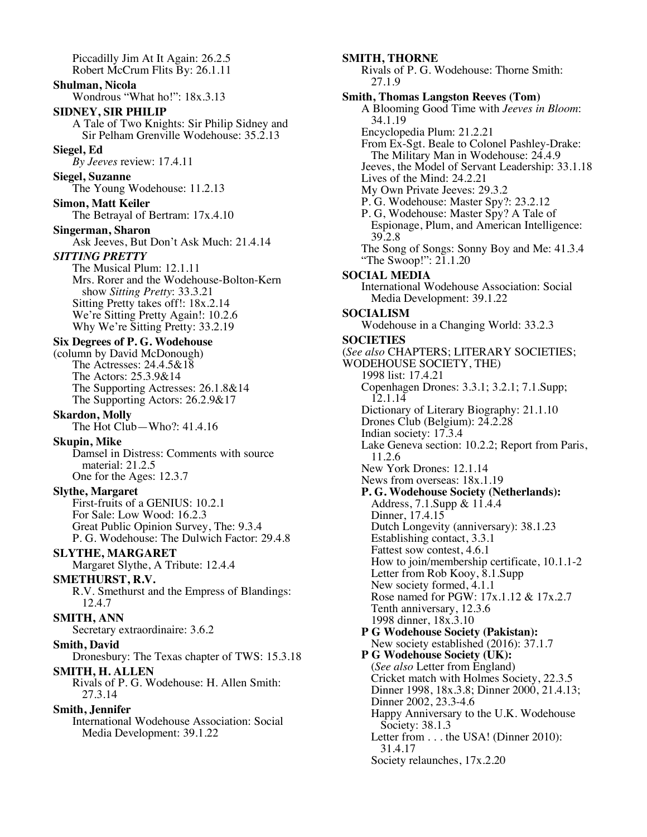Piccadilly Jim At It Again: 26.2.5 Robert McCrum Flits By: 26.1.11

### **Shulman, Nicola**

Wondrous "What ho!": 18x.3.13

#### **SIDNEY, SIR PHILIP**

A Tale of Two Knights: Sir Philip Sidney and Sir Pelham Grenville Wodehouse: 35.2.13

### **Siegel, Ed**

*By Jeeves* review: 17.4.11

#### **Siegel, Suzanne**

The Young Wodehouse: 11.2.13

**Simon, Matt Keiler** The Betrayal of Bertram: 17x.4.10

# **Singerman, Sharon**

Ask Jeeves, But Don't Ask Much: 21.4.14

#### *SITTING PRETTY*

The Musical Plum: 12.1.11 Mrs. Rorer and the Wodehouse-Bolton-Kern show *Sitting Pretty*: 33.3.21 Sitting Pretty takes off!: 18x.2.14 We're Sitting Pretty Again!: 10.2.6 Why We're Sitting Pretty: 33.2.19

# **Six Degrees of P. G. Wodehouse**

(column by David McDonough) The Actresses: 24.4.5&18 The Actors: 25.3.9&14 The Supporting Actresses: 26.1.8&14 The Supporting Actors: 26.2.9&17

#### **Skardon, Molly**

The Hot Club—Who?: 41.4.16

#### **Skupin, Mike**

Damsel in Distress: Comments with source material: 21.2.5 One for the Ages: 12.3.7

### **Slythe, Margaret**

First-fruits of a GENIUS: 10.2.1 For Sale: Low Wood: 16.2.3 Great Public Opinion Survey, The: 9.3.4 P. G. Wodehouse: The Dulwich Factor: 29.4.8

### **SLYTHE, MARGARET**

Margaret Slythe, A Tribute: 12.4.4

#### **SMETHURST, R.V.**

R.V. Smethurst and the Empress of Blandings: 12.4.7

### **SMITH, ANN**

Secretary extraordinaire: 3.6.2

#### **Smith, David**

Dronesbury: The Texas chapter of TWS: 15.3.18

# **SMITH, H. ALLEN**

Rivals of P. G. Wodehouse: H. Allen Smith: 27.3.14

#### **Smith, Jennifer**

International Wodehouse Association: Social Media Development: 39.1.22

#### **SMITH, THORNE**

Rivals of P. G. Wodehouse: Thorne Smith: 27.1.9 **Smith, Thomas Langston Reeves (Tom)** A Blooming Good Time with *Jeeves in Bloom*: 34.1.19 Encyclopedia Plum: 21.2.21 From Ex-Sgt. Beale to Colonel Pashley-Drake:

The Military Man in Wodehouse: 24.4.9 Jeeves, the Model of Servant Leadership: 33.1.18

- Lives of the Mind: 24.2.21
- My Own Private Jeeves: 29.3.2
- P. G. Wodehouse: Master Spy?: 23.2.12
- P. G, Wodehouse: Master Spy? A Tale of Espionage, Plum, and American Intelligence: 39.2.8

The Song of Songs: Sonny Boy and Me: 41.3.4 "The Swoop!": 21.1.20"

#### **SOCIAL MEDIA**

International Wodehouse Association: Social Media Development: 39.1.22

# **SOCIALISM**

Wodehouse in a Changing World: 33.2.3

# **SOCIETIES**

(*See also* CHAPTERS; LITERARY SOCIETIES; WODEHOUSE SOCIETY, THE) 1998 list: 17.4.21 Copenhagen Drones: 3.3.1; 3.2.1; 7.1.Supp; 12.1.14 Dictionary of Literary Biography: 21.1.10 Drones Club (Belgium): 24.2.28 Indian society: 17.3.4 Lake Geneva section: 10.2.2; Report from Paris, 11.2.6 New York Drones: 12.1.14 News from overseas: 18x.1.19 **P. G. Wodehouse Society (Netherlands):** Address, 7.1.Supp & 11.4.4 Dinner, 17.4.15 Dutch Longevity (anniversary): 38.1.23 Establishing contact, 3.3.1 Fattest sow contest, 4.6.1 How to join/membership certificate, 10.1.1-2 Letter from Rob Kooy, 8.1.Supp New society formed, 4.1.1 Rose named for PGW: 17x.1.12 & 17x.2.7 Tenth anniversary, 12.3.6 1998 dinner, 18x.3.10 **P G Wodehouse Society (Pakistan):** New society established (2016): 37.1.7 **P G Wodehouse Society (UK):** (*See also* Letter from England) Cricket match with Holmes Society, 22.3.5 Dinner 1998, 18x.3.8; Dinner 2000, 21.4.13; Dinner 2002, 23.3-4.6 Happy Anniversary to the U.K. Wodehouse Society: 38.1.3 Letter from . . . the USA! (Dinner 2010): 31.4.17 Society relaunches, 17x.2.20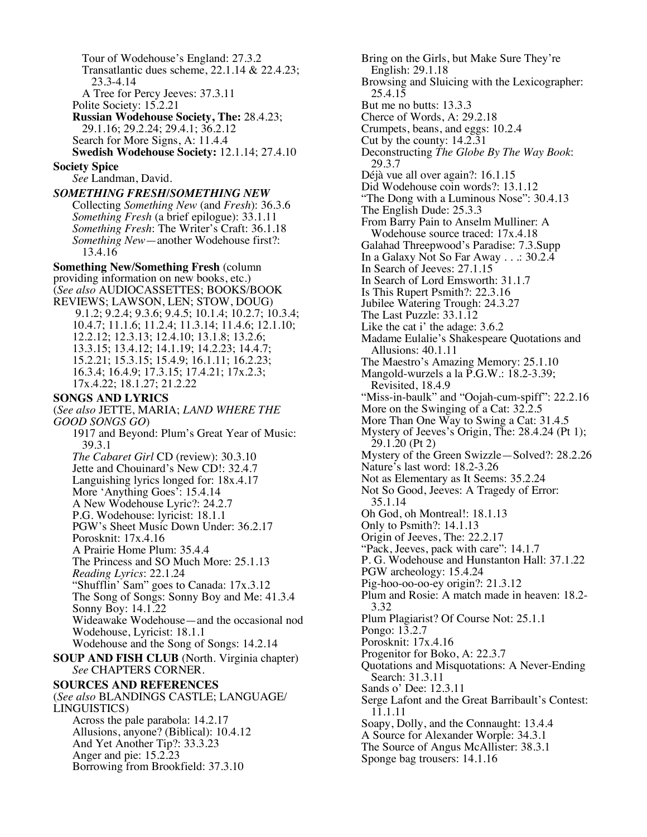Tour of Wodehouse's England: 27.3.2 Transatlantic dues scheme, 22.1.14 & 22.4.23; 23.3-4.14 A Tree for Percy Jeeves: 37.3.11 Polite Society: 15.2.21 **Russian Wodehouse Society, The:** 28.4.23; 29.1.16; 29.2.24; 29.4.1; 36.2.12 Search for More Signs, A: 11.4.4 **Swedish Wodehouse Society:** 12.1.14; 27.4.10 **Society Spice** *See* Landman, David. *SOMETHING FRESH/SOMETHING NEW* Collecting *Something New* (and *Fresh*): 36.3.6 *Something Fresh* (a brief epilogue): 33.1.11 *Something Fresh*: The Writer's Craft: 36.1.18 *Something New*—another Wodehouse first?: 13.4.16 **Something New/Something Fresh** (column providing information on new books, etc.) (*See also* AUDIOCASSETTES; BOOKS/BOOK REVIEWS; LAWSON, LEN; STOW, DOUG) 9.1.2; 9.2.4; 9.3.6; 9.4.5; 10.1.4; 10.2.7; 10.3.4; 10.4.7; 11.1.6; 11.2.4; 11.3.14; 11.4.6; 12.1.10; 12.2.12; 12.3.13; 12.4.10; 13.1.8; 13.2.6; 13.3.15; 13.4.12; 14.1.19; 14.2.23; 14.4.7; 15.2.21; 15.3.15; 15.4.9; 16.1.11; 16.2.23; 16.3.4; 16.4.9; 17.3.15; 17.4.21; 17x.2.3; 17x.4.22; 18.1.27; 21.2.22 **SONGS AND LYRICS** (*See also* JETTE, MARIA; *LAND WHERE THE GOOD SONGS GO*) 1917 and Beyond: Plum's Great Year of Music: 39.3.1 *The Cabaret Girl* CD (review): 30.3.10 Jette and Chouinard's New CD!: 32.4.7 Languishing lyrics longed for: 18x.4.17 More 'Anything Goes': 15.4.14 A New Wodehouse Lyric?: 24.2.7 P.G. Wodehouse: lyricist: 18.1.1 PGW's Sheet Music Down Under: 36.2.17 Porosknit: 17x.4.16 A Prairie Home Plum: 35.4.4 The Princess and SO Much More: 25.1.13 *Reading Lyrics*: 22.1.24 "Shufflin' Sam" goes to Canada: 17x.3.12 The Song of Songs: Sonny Boy and Me: 41.3.4 Sonny Boy: 14.1.22 Wideawake Wodehouse—and the occasional nod Wodehouse, Lyricist: 18.1.1 Wodehouse and the Song of Songs: 14.2.14 **SOUP AND FISH CLUB** (North. Virginia chapter) *See* CHAPTERS CORNER. **SOURCES AND REFERENCES** (*See also* BLANDINGS CASTLE; LANGUAGE/ LINGUISTICS) Across the pale parabola: 14.2.17 Allusions, anyone? (Biblical): 10.4.12 And Yet Another Tip?: 33.3.23 Anger and pie: 15.2.23 Borrowing from Brookfield: 37.3.10

Bring on the Girls, but Make Sure They're English: 29.1.18 Browsing and Sluicing with the Lexicographer: 25.4.15 But me no butts: 13.3.3 Cherce of Words, A: 29.2.18 Crumpets, beans, and eggs: 10.2.4 Cut by the county: 14.2.31 Deconstructing *The Globe By The Way Book*: 29.3.7 Déjà vue all over again?: 16.1.15 Did Wodehouse coin words?: 13.1.12 "The Dong with a Luminous Nose": 30.4.13 The English Dude: 25.3.3 From Barry Pain to Anselm Mulliner: A Wodehouse source traced: 17x.4.18 Galahad Threepwood's Paradise: 7.3.Supp In a Galaxy Not So Far Away . . .: 30.2.4 In Search of Jeeves: 27.1.15 In Search of Lord Emsworth: 31.1.7 Is This Rupert Psmith?: 22.3.16 Jubilee Watering Trough: 24.3.27 The Last Puzzle: 33.1.12 Like the cat i' the adage: 3.6.2 Madame Eulalie's Shakespeare Quotations and Allusions: 40.1.11 The Maestro's Amazing Memory: 25.1.10 Mangold-wurzels a la P.G.W.: 18.2-3.39; Revisited, 18.4.9 "Miss-in-baulk" and "Oojah-cum-spiff": 22.2.16 More on the Swinging of a Cat: 32.2.5 More Than One Way to Swing a Cat: 31.4.5 Mystery of Jeeves's Origin, The: 28.4.24 (Pt 1); 29.1.20 (Pt 2) Mystery of the Green Swizzle—Solved?: 28.2.26 Nature's last word: 18.2-3.26 Not as Elementary as It Seems: 35.2.24 Not So Good, Jeeves: A Tragedy of Error: 35.1.14 Oh God, oh Montreal!: 18.1.13 Only to Psmith?: 14.1.13 Origin of Jeeves, The: 22.2.17 "Pack, Jeeves, pack with care": 14.1.7 P. G. Wodehouse and Hunstanton Hall: 37.1.22 PGW archeology: 15.4.24 Pig-hoo-oo-oo-ey origin?: 21.3.12 Plum and Rosie: A match made in heaven: 18.2- 3.32 Plum Plagiarist? Of Course Not: 25.1.1 Pongo: 13.2.7 Porosknit: 17x.4.16 Progenitor for Boko, A: 22.3.7 Quotations and Misquotations: A Never-Ending Search: 31.3.11 Sands o' Dee: 12.3.11 Serge Lafont and the Great Barribault's Contest: 11.1.11 Soapy, Dolly, and the Connaught: 13.4.4 A Source for Alexander Worple: 34.3.1 The Source of Angus McAllister: 38.3.1 Sponge bag trousers: 14.1.16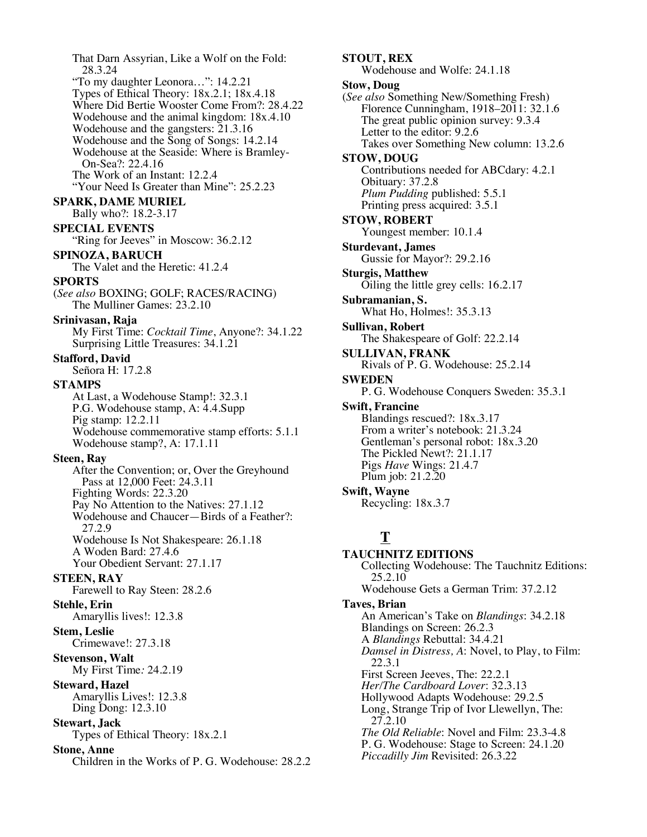That Darn Assyrian, Like a Wolf on the Fold: 28.3.24 "To my daughter Leonora…": 14.2.21 Types of Ethical Theory: 18x.2.1; 18x.4.18 Where Did Bertie Wooster Come From?: 28.4.22 Wodehouse and the animal kingdom: 18x.4.10 Wodehouse and the gangsters: 21.3.16 Wodehouse and the Song of Songs: 14.2.14 Wodehouse at the Seaside: Where is Bramley-On-Sea?: 22.4.16 The Work of an Instant: 12.2.4 "Your Need Is Greater than Mine": 25.2.23 **SPARK, DAME MURIEL** Bally who?: 18.2-3.17 **SPECIAL EVENTS** "Ring for Jeeves" in Moscow: 36.2.12" **SPINOZA, BARUCH** The Valet and the Heretic: 41.2.4 **SPORTS** (*See also* BOXING; GOLF; RACES/RACING) The Mulliner Games: 23.2.10 **Srinivasan, Raja** My First Time: *Cocktail Time*, Anyone?: 34.1.22 Surprising Little Treasures: 34.1.21 **Stafford, David** Señora H: 17.2.8 **STAMPS** At Last, a Wodehouse Stamp!: 32.3.1 P.G. Wodehouse stamp, A: 4.4.Supp Pig stamp: 12.2.11 Wodehouse commemorative stamp efforts: 5.1.1 Wodehouse stamp?, A: 17.1.11 **Steen, Ray** After the Convention; or, Over the Greyhound Pass at 12,000 Feet: 24.3.11 Fighting Words: 22.3.20 Pay No Attention to the Natives: 27.1.12 Wodehouse and Chaucer—Birds of a Feather?: 27.2.9 Wodehouse Is Not Shakespeare: 26.1.18 A Woden Bard: 27.4.6 Your Obedient Servant: 27.1.17 **STEEN, RAY** Farewell to Ray Steen: 28.2.6 **Stehle, Erin** Amaryllis lives!: 12.3.8 **Stem, Leslie** Crimewave!: 27.3.18 **Stevenson, Walt** My First Time*:* 24.2.19 **Steward, Hazel** Amaryllis Lives!: 12.3.8 Ding Dong: 12.3.10 **Stewart, Jack** Types of Ethical Theory: 18x.2.1 **Stone, Anne** Children in the Works of P. G. Wodehouse: 28.2.2

**STOUT, REX** Wodehouse and Wolfe: 24.1.18 **Stow, Doug** (*See also* Something New/Something Fresh) Florence Cunningham, 1918–2011: 32.1.6 The great public opinion survey: 9.3.4 Letter to the editor: 9.2.6 Takes over Something New column: 13.2.6 **STOW, DOUG** Contributions needed for ABCdary: 4.2.1 Obituary: 37.2.8 *Plum Pudding* published: 5.5.1 Printing press acquired: 3.5.1 **STOW, ROBERT** Youngest member: 10.1.4 **Sturdevant, James** Gussie for Mayor?: 29.2.16 **Sturgis, Matthew** Oiling the little grey cells: 16.2.17 **Subramanian, S.** What Ho, Holmes!: 35.3.13 **Sullivan, Robert** The Shakespeare of Golf: 22.2.14 **SULLIVAN, FRANK** Rivals of P. G. Wodehouse: 25.2.14 **SWEDEN** P. G. Wodehouse Conquers Sweden: 35.3.1 **Swift, Francine** Blandings rescued?: 18x.3.17 From a writer's notebook: 21.3.24 Gentleman's personal robot: 18x.3.20 The Pickled Newt?: 21.1.17 Pigs *Have* Wings: 21.4.7 Plum job: 21.2.20 **Swift, Wayne** Recycling: 18x.3.7

# **T**

**TAUCHNITZ EDITIONS** Collecting Wodehouse: The Tauchnitz Editions: 25.2.10 Wodehouse Gets a German Trim: 37.2.12 **Taves, Brian** An American's Take on *Blandings*: 34.2.18 Blandings on Screen: 26.2.3 A *Blandings* Rebuttal: 34.4.21 *Damsel in Distress, A*: Novel, to Play, to Film: 22.3.1 First Screen Jeeves, The: 22.2.1 *Her/The Cardboard Lover*: 32.3.13 Hollywood Adapts Wodehouse: 29.2.5 Long, Strange Trip of Ivor Llewellyn, The: 27.2.10 *The Old Reliable*: Novel and Film: 23.3-4.8 P. G. Wodehouse: Stage to Screen: 24.1.20 *Piccadilly Jim* Revisited: 26.3.22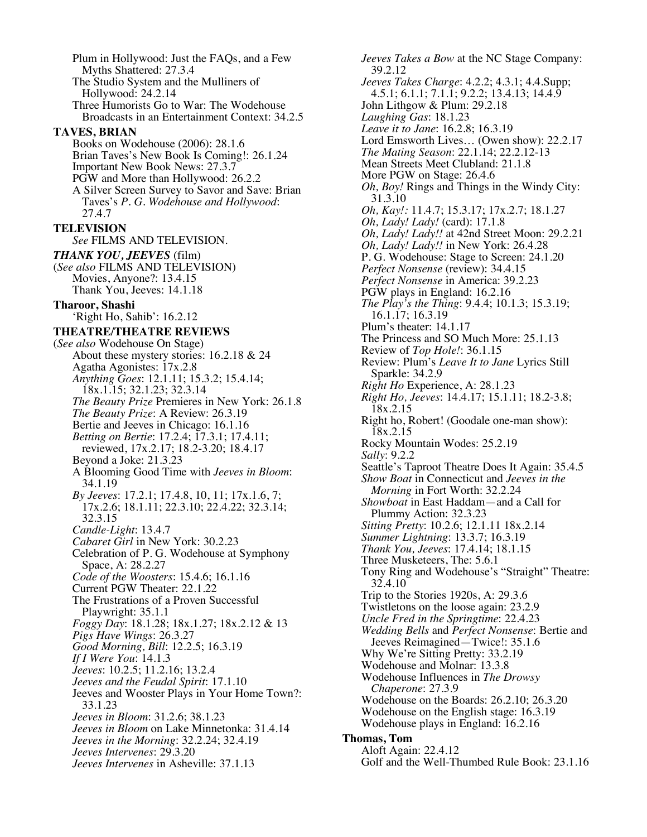Plum in Hollywood: Just the FAQs, and a Few Myths Shattered: 27.3.4 The Studio System and the Mulliners of Hollywood: 24.2.14 Three Humorists Go to War: The Wodehouse Broadcasts in an Entertainment Context: 34.2.5 **TAVES, BRIAN** Books on Wodehouse (2006): 28.1.6 Brian Taves's New Book Is Coming!: 26.1.24 Important New Book News: 27.3.7 PGW and More than Hollywood: 26.2.2 A Silver Screen Survey to Savor and Save: Brian Taves's *P. G. Wodehouse and Hollywood*: 27.4.7 **TELEVISION** *See* FILMS AND TELEVISION. *THANK YOU, JEEVES* (film) (*See also* FILMS AND TELEVISION) Movies, Anyone?: 13.4.15 Thank You, Jeeves: 14.1.18 **Tharoor, Shashi** 'Right Ho, Sahib': 16.2.12 **THEATRE/THEATRE REVIEWS** (*See also* Wodehouse On Stage) About these mystery stories: 16.2.18 & 24 Agatha Agonistes: 17x.2.8 *Anything Goes*: 12.1.11; 15.3.2; 15.4.14; 18x.1.15; 32.1.23; 32.3.14 *The Beauty Prize* Premieres in New York: 26.1.8 *The Beauty Prize*: A Review: 26.3.19 Bertie and Jeeves in Chicago: 16.1.16 *Betting on Bertie*: 17.2.4; 17.3.1; 17.4.11; reviewed, 17x.2.17; 18.2-3.20; 18.4.17 Beyond a Joke: 21.3.23 A Blooming Good Time with *Jeeves in Bloom*: 34.1.19 *By Jeeves*: 17.2.1; 17.4.8, 10, 11; 17x.1.6, 7; 17x.2.6; 18.1.11; 22.3.10; 22.4.22; 32.3.14; 32.3.15 *Candle-Light*: 13.4.7 *Cabaret Girl* in New York: 30.2.23 Celebration of P. G. Wodehouse at Symphony Space, A: 28.2.27 *Code of the Woosters*: 15.4.6; 16.1.16 Current PGW Theater: 22.1.22 The Frustrations of a Proven Successful Playwright: 35.1.1 *Foggy Day*: 18.1.28; 18x.1.27; 18x.2.12 & 13 *Pigs Have Wings*: 26.3.27 *Good Morning, Bill*: 12.2.5; 16.3.19 *If I Were You*: 14.1.3 *Jeeves*: 10.2.5; 11.2.16; 13.2.4 *Jeeves and the Feudal Spirit*: 17.1.10 Jeeves and Wooster Plays in Your Home Town?: 33.1.23 *Jeeves in Bloom*: 31.2.6; 38.1.23 *Jeeves in Bloom* on Lake Minnetonka: 31.4.14 *Jeeves in the Morning*: 32.2.24; 32.4.19 *Jeeves Intervenes*: 29.3.20 *Jeeves Intervenes* in Asheville: 37.1.13

*Jeeves Takes a Bow* at the NC Stage Company: 39.2.12 *Jeeves Takes Charge*: 4.2.2; 4.3.1; 4.4.Supp; 4.5.1; 6.1.1; 7.1.1; 9.2.2; 13.4.13; 14.4.9 John Lithgow & Plum: 29.2.18 *Laughing Gas*: 18.1.23 *Leave it to Jane*: 16.2.8; 16.3.19 Lord Emsworth Lives… (Owen show): 22.2.17 *The Mating Season*: 22.1.14; 22.2.12-13 Mean Streets Meet Clubland: 21.1.8 More PGW on Stage: 26.4.6 *Oh, Boy!* Rings and Things in the Windy City: 31.3.10 *Oh, Kay!:* 11.4.7; 15.3.17; 17x.2.7; 18.1.27 *Oh, Lady! Lady!* (card): 17.1.8 *Oh, Lady! Lady!!* at 42nd Street Moon: 29.2.21 *Oh, Lady! Lady!!* in New York: 26.4.28 P. G. Wodehouse: Stage to Screen: 24.1.20 *Perfect Nonsense* (review): 34.4.15 *Perfect Nonsense* in America: 39.2.23 PGW plays in England: 16.2.16 *The Play's the Thing*: 9.4.4; 10.1.3; 15.3.19; 16.1.17; 16.3.19 Plum's theater: 14.1.17 The Princess and SO Much More: 25.1.13 Review of *Top Hole!*: 36.1.15 Review: Plum's *Leave It to Jane* Lyrics Still Sparkle: 34.2.9 *Right Ho* Experience, A: 28.1.23 *Right Ho, Jeeves*: 14.4.17; 15.1.11; 18.2-3.8; 18x.2.15 Right ho, Robert! (Goodale one-man show): 18x.2.15 Rocky Mountain Wodes: 25.2.19 *Sally*: 9.2.2 Seattle's Taproot Theatre Does It Again: 35.4.5 *Show Boat* in Connecticut and *Jeeves in the Morning* in Fort Worth: 32.2.24 *Showboat* in East Haddam—and a Call for Plummy Action: 32.3.23 *Sitting Pretty*: 10.2.6; 12.1.11 18x.2.14 *Summer Lightning*: 13.3.7; 16.3.19 *Thank You, Jeeves*: 17.4.14; 18.1.15 Three Musketeers, The: 5.6.1 Tony Ring and Wodehouse's "Straight" Theatre: 32.4.10 Trip to the Stories 1920s, A: 29.3.6 Twistletons on the loose again: 23.2.9 *Uncle Fred in the Springtime*: 22.4.23 *Wedding Bells* and *Perfect Nonsense*: Bertie and Jeeves Reimagined—Twice!: 35.1.6 Why We're Sitting Pretty: 33.2.19 Wodehouse and Molnar: 13.3.8 Wodehouse Influences in *The Drowsy Chaperone*: 27.3.9 Wodehouse on the Boards: 26.2.10; 26.3.20 Wodehouse on the English stage: 16.3.19 Wodehouse plays in England: 16.2.16 **Thomas, Tom** Aloft Again: 22.4.12

Golf and the Well-Thumbed Rule Book: 23.1.16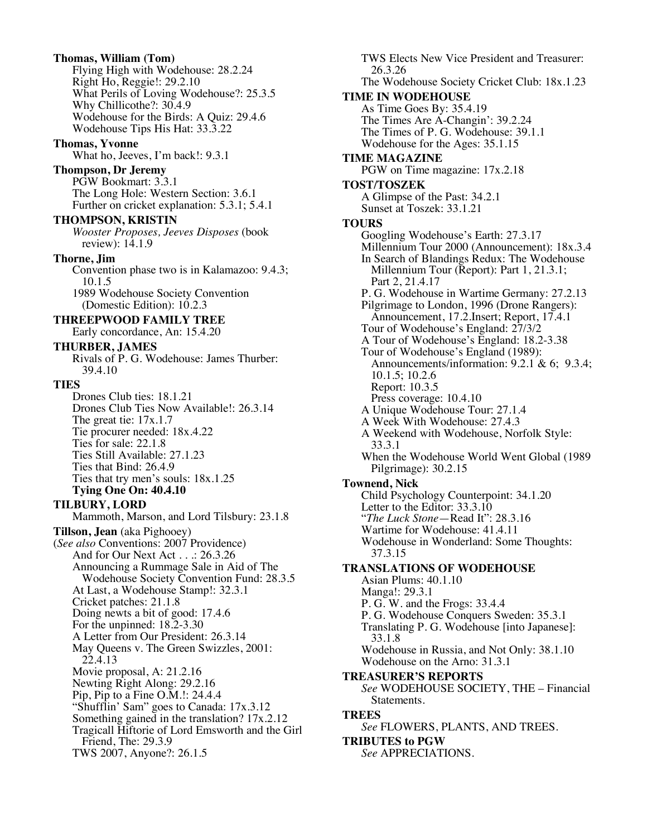**Thomas, William (Tom)** Flying High with Wodehouse: 28.2.24 Right Ho, Reggie!: 29.2.10 What Perils of Loving Wodehouse?: 25.3.5 Why Chillicothe?: 30.4.9 Wodehouse for the Birds: A Quiz: 29.4.6 Wodehouse Tips His Hat: 33.3.22

# **Thomas, Yvonne**

What ho, Jeeves, I'm back!: 9.3.1

# **Thompson, Dr Jeremy**

PGW Bookmart: 3.3.1 The Long Hole: Western Section: 3.6.1 Further on cricket explanation: 5.3.1; 5.4.1

#### **THOMPSON, KRISTIN**

*Wooster Proposes, Jeeves Disposes* (book review): 14.1.9

#### **Thorne, Jim**

Convention phase two is in Kalamazoo: 9.4.3; 10.1.5 1989 Wodehouse Society Convention

(Domestic Edition): 10.2.3

#### **THREEPWOOD FAMILY TREE** Early concordance, An: 15.4.20

**THURBER, JAMES**

Rivals of P. G. Wodehouse: James Thurber: 39.4.10

#### **TIES**

Drones Club ties: 18.1.21 Drones Club Ties Now Available!: 26.3.14 The great tie: 17x.1.7 Tie procurer needed: 18x.4.22 Ties for sale: 22.1.8 Ties Still Available: 27.1.23 Ties that Bind: 26.4.9 Ties that try men's souls: 18x.1.25 **Tying One On: 40.4.10**

# **TILBURY, LORD**

Mammoth, Marson, and Lord Tilsbury: 23.1.8 **Tillson, Jean** (aka Pighooey) (*See also* Conventions: 2007 Providence) And for Our Next Act . . .: 26.3.26 Announcing a Rummage Sale in Aid of The Wodehouse Society Convention Fund: 28.3.5 At Last, a Wodehouse Stamp!: 32.3.1 Cricket patches: 21.1.8 Doing newts a bit of good: 17.4.6 For the unpinned: 18.2-3.30 A Letter from Our President: 26.3.14 May Queens v. The Green Swizzles, 2001: 22.4.13 Movie proposal, A: 21.2.16 Newting Right Along: 29.2.16 Pip, Pip to a Fine O.M.!: 24.4.4 "Shufflin' Sam" goes to Canada: 17x.3.12 Something gained in the translation? 17x.2.12 Tragicall Hiftorie of Lord Emsworth and the Girl Friend, The: 29.3.9 TWS 2007, Anyone?: 26.1.5

TWS Elects New Vice President and Treasurer: 26.3.26 The Wodehouse Society Cricket Club: 18x.1.23 **TIME IN WODEHOUSE** As Time Goes By: 35.4.19 The Times Are A-Changin': 39.2.24 The Times of P. G. Wodehouse: 39.1.1 Wodehouse for the Ages: 35.1.15 **TIME MAGAZINE** PGW on Time magazine: 17x.2.18 **TOST/TOSZEK** A Glimpse of the Past: 34.2.1 Sunset at Toszek: 33.1.21 **TOURS** Googling Wodehouse's Earth: 27.3.17 Millennium Tour 2000 (Announcement): 18x.3.4 In Search of Blandings Redux: The Wodehouse Millennium Tour (Report): Part 1, 21.3.1; Part 2, 21.4.17 P. G. Wodehouse in Wartime Germany: 27.2.13 Pilgrimage to London, 1996 (Drone Rangers): Announcement, 17.2.Insert; Report, 17.4.1 Tour of Wodehouse's England: 27/3/2 A Tour of Wodehouse's England: 18.2-3.38 Tour of Wodehouse's England (1989): Announcements/information: 9.2.1 & 6; 9.3.4; 10.1.5; 10.2.6 Report: 10.3.5 Press coverage: 10.4.10 A Unique Wodehouse Tour: 27.1.4 A Week With Wodehouse: 27.4.3 A Weekend with Wodehouse, Norfolk Style: 33.3.1 When the Wodehouse World Went Global (1989 Pilgrimage): 30.2.15 **Townend, Nick** Child Psychology Counterpoint: 34.1.20 Letter to the Editor: 33.3.10 "*The Luck Stone*—Read It": 28.3.16 Wartime for Wodehouse: 41.4.11 Wodehouse in Wonderland: Some Thoughts: 37.3.15 **TRANSLATIONS OF WODEHOUSE** Asian Plums: 40.1.10 Manga!: 29.3.1 P. G. W. and the Frogs: 33.4.4 P. G. Wodehouse Conquers Sweden: 35.3.1 Translating P. G. Wodehouse [into Japanese]: 33.1.8 Wodehouse in Russia, and Not Only: 38.1.10 Wodehouse on the Arno: 31.3.1 **TREASURER'S REPORTS** *See* WODEHOUSE SOCIETY, THE – Financial Statements. **TREES** *See* FLOWERS, PLANTS, AND TREES. **TRIBUTES to PGW** *See* APPRECIATIONS.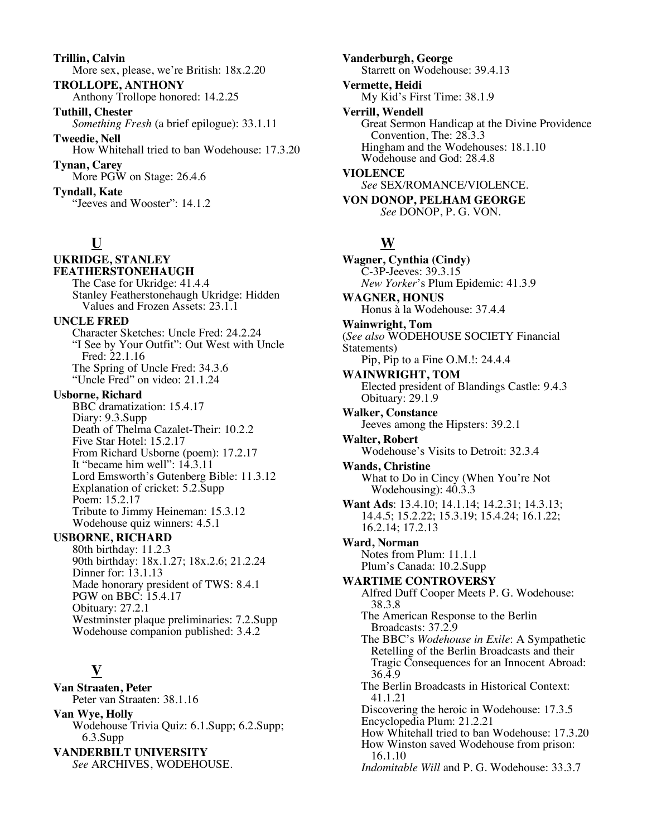**Trillin, Calvin** More sex, please, we're British: 18x.2.20

**TROLLOPE, ANTHONY** Anthony Trollope honored: 14.2.25

**Tuthill, Chester** *Something Fresh* (a brief epilogue): 33.1.11 **Tweedie, Nell**

How Whitehall tried to ban Wodehouse: 17.3.20 **Tynan, Carey**

More PGW on Stage: 26.4.6

**Tyndall, Kate** "Jeeves and Wooster": 14.1.2

# **U**

### **UKRIDGE, STANLEY FEATHERSTONEHAUGH**

The Case for Ukridge: 41.4.4 Stanley Featherstonehaugh Ukridge: Hidden Values and Frozen Assets: 23.1.1 **UNCLE FRED** Character Sketches: Uncle Fred: 24.2.24 "I See by Your Outfit": Out West with Uncle Fred: 22.1.16 The Spring of Uncle Fred: 34.3.6 "Uncle Fred" on video: 21.1.24 **Usborne, Richard**

BBC dramatization: 15.4.17 Diary: 9.3.Supp Death of Thelma Cazalet-Their: 10.2.2 Five Star Hotel: 15.2.17 From Richard Usborne (poem): 17.2.17 It "became him well":  $14.3.11$ Lord Emsworth's Gutenberg Bible: 11.3.12 Explanation of cricket: 5.2.Supp Poem: 15.2.17 Tribute to Jimmy Heineman: 15.3.12 Wodehouse quiz winners: 4.5.1

# **USBORNE, RICHARD**

80th birthday: 11.2.3 90th birthday: 18x.1.27; 18x.2.6; 21.2.24 Dinner for: 13.1.13 Made honorary president of TWS: 8.4.1 PGW on BBC: 15.4.17 Obituary: 27.2.1 Westminster plaque preliminaries: 7.2.Supp Wodehouse companion published: 3.4.2

# **V**

**Van Straaten, Peter** Peter van Straaten: 38.1.16

**Van Wye, Holly** Wodehouse Trivia Quiz: 6.1.Supp; 6.2.Supp; 6.3.Supp **VANDERBILT UNIVERSITY** *See* ARCHIVES, WODEHOUSE.

**Vanderburgh, George** Starrett on Wodehouse: 39.4.13 **Vermette, Heidi** My Kid's First Time: 38.1.9 **Verrill, Wendell** Great Sermon Handicap at the Divine Providence Convention, The: 28.3.3 Hingham and the Wodehouses: 18.1.10 Wodehouse and God: 28.4.8 **VIOLENCE** *See* SEX/ROMANCE/VIOLENCE. **VON DONOP, PELHAM GEORGE** *See* DONOP, P. G. VON.

# **W**

**Wagner, Cynthia (Cindy)** C-3P-Jeeves: 39.3.15 *New Yorker*'s Plum Epidemic: 41.3.9 **WAGNER, HONUS** Honus à la Wodehouse: 37.4.4 **Wainwright, Tom** (*See also* WODEHOUSE SOCIETY Financial Statements) Pip, Pip to a Fine O.M.!: 24.4.4 **WAINWRIGHT, TOM** Elected president of Blandings Castle: 9.4.3 Obituary: 29.1.9 **Walker, Constance** Jeeves among the Hipsters: 39.2.1 **Walter, Robert** Wodehouse's Visits to Detroit: 32.3.4 **Wands, Christine** What to Do in Cincy (When You're Not Wodehousing): 40.3.3 **Want Ads**: 13.4.10; 14.1.14; 14.2.31; 14.3.13; 14.4.5; 15.2.22; 15.3.19; 15.4.24; 16.1.22; 16.2.14; 17.2.13 **Ward, Norman** Notes from Plum: 11.1.1 Plum's Canada: 10.2.Supp **WARTIME CONTROVERSY** Alfred Duff Cooper Meets P. G. Wodehouse: 38.3.8 The American Response to the Berlin Broadcasts: 37.2.9 The BBC's *Wodehouse in Exile*: A Sympathetic Retelling of the Berlin Broadcasts and their Tragic Consequences for an Innocent Abroad: 36.4.9 The Berlin Broadcasts in Historical Context: 41.1.21 Discovering the heroic in Wodehouse: 17.3.5 Encyclopedia Plum: 21.2.21 How Whitehall tried to ban Wodehouse: 17.3.20 How Winston saved Wodehouse from prison: 16.1.10 *Indomitable Will* and P. G. Wodehouse: 33.3.7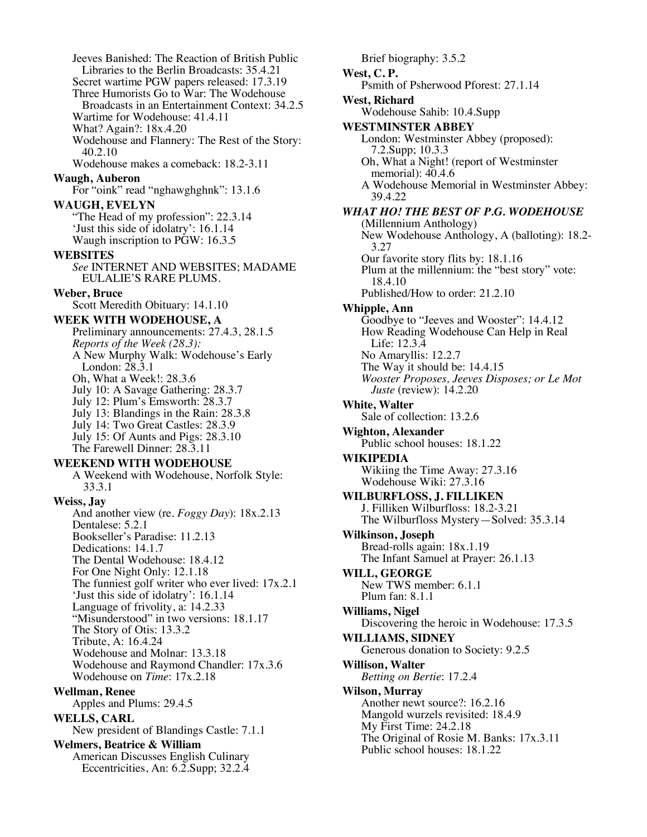Jeeves Banished: The Reaction of British Public Libraries to the Berlin Broadcasts: 35.4.21 Secret wartime PGW papers released: 17.3.19 Three Humorists Go to War: The Wodehouse Broadcasts in an Entertainment Context: 34.2.5 Wartime for Wodehouse: 41.4.11 What? Again?: 18x.4.20 Wodehouse and Flannery: The Rest of the Story: 40.2.10 Wodehouse makes a comeback: 18.2-3.11 **Waugh, Auberon** For "oink" read "nghawghghnk": 13.1.6 **WAUGH, EVELYN** "The Head of my profession": 22.3.14 'Just this side of idolatry': 16.1.14 Waugh inscription to PGW: 16.3.5 **WEBSITES** *See* INTERNET AND WEBSITES; MADAME EULALIE'S RARE PLUMS. **Weber, Bruce** Scott Meredith Obituary: 14.1.10 **WEEK WITH WODEHOUSE, A** Preliminary announcements: 27.4.3, 28.1.5 *Reports of the Week (28.3):* A New Murphy Walk: Wodehouse's Early London: 28.3.1 Oh, What a Week!: 28.3.6 July 10: A Savage Gathering: 28.3.7 July 12: Plum's Emsworth: 28.3.7 July 13: Blandings in the Rain: 28.3.8 July 14: Two Great Castles: 28.3.9 July 15: Of Aunts and Pigs: 28.3.10 The Farewell Dinner: 28.3.11 **WEEKEND WITH WODEHOUSE** A Weekend with Wodehouse, Norfolk Style: 33.3.1 **Weiss, Jay** And another view (re. *Foggy Day*): 18x.2.13 Dentalese: 5.2.1 Bookseller's Paradise: 11.2.13 Dedications: 14.1.7 The Dental Wodehouse: 18.4.12 For One Night Only: 12.1.18 The funniest golf writer who ever lived: 17x.2.1 'Just this side of idolatry': 16.1.14 Language of frivolity, a: 14.2.33 "Misunderstood" in two versions: 18.1.17 The Story of Otis: 13.3.2 Tribute, A: 16.4.24 Wodehouse and Molnar: 13.3.18 Wodehouse and Raymond Chandler: 17x.3.6 Wodehouse on *Time*: 17x.2.18 **Wellman, Renee** Apples and Plums: 29.4.5 **WELLS, CARL** New president of Blandings Castle: 7.1.1 **Welmers, Beatrice & William** American Discusses English Culinary Eccentricities, An: 6.2.Supp; 32.2.4

Brief biography: 3.5.2 **West, C. P.** Psmith of Psherwood Pforest: 27.1.14 **West, Richard** Wodehouse Sahib: 10.4.Supp **WESTMINSTER ABBEY** London: Westminster Abbey (proposed): 7.2.Supp; 10.3.3 Oh, What a Night! (report of Westminster memorial): 40.4.6 A Wodehouse Memorial in Westminster Abbey: 39.4.22 *WHAT HO! THE BEST OF P.G. WODEHOUSE* (Millennium Anthology) New Wodehouse Anthology, A (balloting): 18.2- 3.27 Our favorite story flits by: 18.1.16 Plum at the millennium: the "best story" vote: 18.4.10 Published/How to order: 21.2.10 **Whipple, Ann** Goodbye to "Jeeves and Wooster": 14.4.12 How Reading Wodehouse Can Help in Real Life: 12.3.4 No Amaryllis: 12.2.7 The Way it should be: 14.4.15 *Wooster Proposes, Jeeves Disposes; or Le Mot Juste* (review): 14.2.20 **White, Walter** Sale of collection: 13.2.6 **Wighton, Alexander** Public school houses: 18.1.22 **WIKIPEDIA** Wikiing the Time Away: 27.3.16 Wodehouse Wiki: 27.3.16 **WILBURFLOSS, J. FILLIKEN** J. Filliken Wilburfloss: 18.2-3.21 The Wilburfloss Mystery—Solved: 35.3.14 **Wilkinson, Joseph** Bread-rolls again: 18x.1.19 The Infant Samuel at Prayer: 26.1.13 **WILL, GEORGE** New TWS member: 6.1.1 Plum fan: 8.1.1 **Williams, Nigel** Discovering the heroic in Wodehouse: 17.3.5 **WILLIAMS, SIDNEY** Generous donation to Society: 9.2.5 **Willison, Walter** *Betting on Bertie*: 17.2.4 **Wilson, Murray** Another newt source?: 16.2.16 Mangold wurzels revisited: 18.4.9 My First Time: 24.2.18 The Original of Rosie M. Banks: 17x.3.11 Public school houses: 18.1.22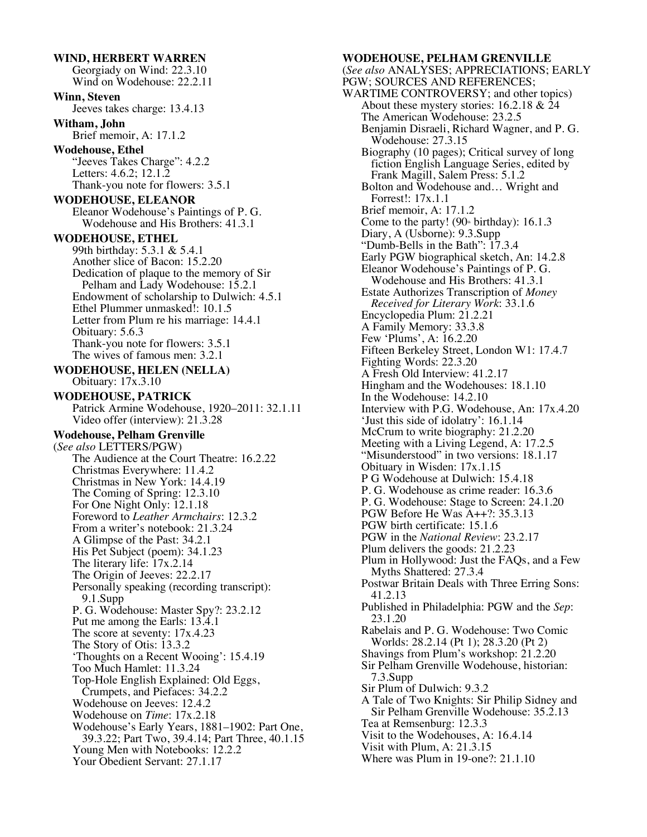**WIND, HERBERT WARREN** Georgiady on Wind: 22.3.10 Wind on Wodehouse: 22.2.11 **Winn, Steven** Jeeves takes charge: 13.4.13 **Witham, John** Brief memoir, A: 17.1.2 **Wodehouse, Ethel** "Jeeves Takes Charge": 4.2.2 Letters: 4.6.2; 12.1.2 Thank-you note for flowers: 3.5.1 **WODEHOUSE, ELEANOR** Eleanor Wodehouse's Paintings of P. G. Wodehouse and His Brothers: 41.3.1 **WODEHOUSE, ETHEL** 99th birthday: 5.3.1 & 5.4.1 Another slice of Bacon: 15.2.20 Dedication of plaque to the memory of Sir Pelham and Lady Wodehouse: 15.2.1 Endowment of scholarship to Dulwich: 4.5.1 Ethel Plummer unmasked!: 10.1.5 Letter from Plum re his marriage: 14.4.1 Obituary: 5.6.3 Thank-you note for flowers: 3.5.1 The wives of famous men: 3.2.1 **WODEHOUSE, HELEN (NELLA)** Obituary: 17x.3.10 **WODEHOUSE, PATRICK** Patrick Armine Wodehouse, 1920–2011: 32.1.11 Video offer (interview): 21.3.28 **Wodehouse, Pelham Grenville** (*See also* LETTERS/PGW) The Audience at the Court Theatre: 16.2.22 Christmas Everywhere: 11.4.2 Christmas in New York: 14.4.19 The Coming of Spring: 12.3.10 For One Night Only: 12.1.18 Foreword to *Leather Armchairs*: 12.3.2 From a writer's notebook: 21.3.24 A Glimpse of the Past: 34.2.1 His Pet Subject (poem): 34.1.23 The literary life: 17x.2.14 The Origin of Jeeves: 22.2.17 Personally speaking (recording transcript): 9.1.Supp P. G. Wodehouse: Master Spy?: 23.2.12 Put me among the Earls: 13.4.1 The score at seventy: 17x.4.23 The Story of Otis: 13.3.2 'Thoughts on a Recent Wooing': 15.4.19 Too Much Hamlet: 11.3.24 Top-Hole English Explained: Old Eggs, Crumpets, and Piefaces: 34.2.2 Wodehouse on Jeeves: 12.4.2 Wodehouse on *Time*: 17x.2.18 Wodehouse's Early Years, 1881–1902: Part One, 39.3.22; Part Two, 39.4.14; Part Three, 40.1.15 Young Men with Notebooks: 12.2.2 Your Obedient Servant: 27.1.17

#### **WODEHOUSE, PELHAM GRENVILLE** (*See also* ANALYSES; APPRECIATIONS; EARLY PGW; SOURCES AND REFERENCES; WARTIME CONTROVERSY; and other topics) About these mystery stories:  $16.2.18 \& 24$ The American Wodehouse: 23.2.5 Benjamin Disraeli, Richard Wagner, and P. G. Wodehouse: 27.3.15 Biography (10 pages); Critical survey of long fiction English Language Series, edited by Frank Magill, Salem Press: 5.1.2 Bolton and Wodehouse and… Wright and Forrest!: 17x.1.1 Brief memoir, A: 17.1.2 Come to the party! (90<sup>th</sup> birthday):  $16.1.3$ Diary, A (Usborne): 9.3.Supp "Dumb-Bells in the Bath": 17.3.4 Early PGW biographical sketch, An: 14.2.8 Eleanor Wodehouse's Paintings of P. G. Wodehouse and His Brothers: 41.3.1 Estate Authorizes Transcription of *Money Received for Literary Work*: 33.1.6 Encyclopedia Plum: 21.2.21 A Family Memory: 33.3.8 Few 'Plums', A: 16.2.20 Fifteen Berkeley Street, London W1: 17.4.7 Fighting Words: 22.3.20 A Fresh Old Interview: 41.2.17 Hingham and the Wodehouses: 18.1.10 In the Wodehouse: 14.2.10 Interview with P.G. Wodehouse, An: 17x.4.20 'Just this side of idolatry': 16.1.14 McCrum to write biography: 21.2.20 Meeting with a Living Legend, A: 17.2.5 "Misunderstood" in two versions: 18.1.17 Obituary in Wisden: 17x.1.15 P G Wodehouse at Dulwich: 15.4.18 P. G. Wodehouse as crime reader: 16.3.6 P. G. Wodehouse: Stage to Screen: 24.1.20 PGW Before He Was A++?: 35.3.13 PGW birth certificate: 15.1.6 PGW in the *National Review*: 23.2.17 Plum delivers the goods: 21.2.23 Plum in Hollywood: Just the FAQs, and a Few Myths Shattered: 27.3.4 Postwar Britain Deals with Three Erring Sons: 41.2.13 Published in Philadelphia: PGW and the *Sep*: 23.1.20 Rabelais and P. G. Wodehouse: Two Comic Worlds: 28.2.14 (Pt 1); 28.3.20 (Pt 2) Shavings from Plum's workshop: 21.2.20 Sir Pelham Grenville Wodehouse, historian: 7.3.Supp Sir Plum of Dulwich: 9.3.2 A Tale of Two Knights: Sir Philip Sidney and Sir Pelham Grenville Wodehouse: 35.2.13 Tea at Remsenburg: 12.3.3 Visit to the Wodehouses, A: 16.4.14 Visit with Plum, A: 21.3.15 Where was Plum in 19-one?: 21.1.10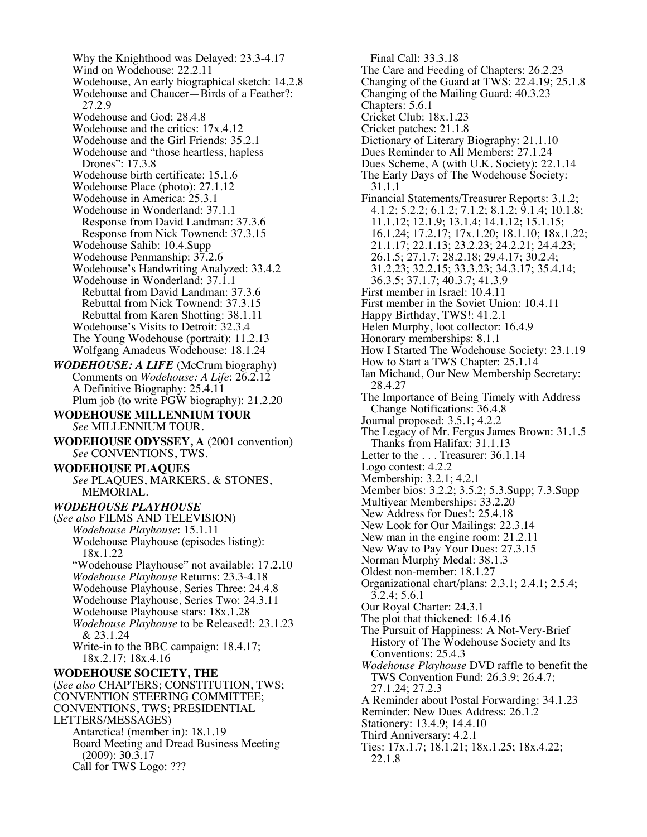Why the Knighthood was Delayed: 23.3-4.17 Wind on Wodehouse: 22.2.11 Wodehouse, An early biographical sketch: 14.2.8 Wodehouse and Chaucer—Birds of a Feather?: 27.2.9 Wodehouse and God: 28.4.8 Wodehouse and the critics: 17x.4.12 Wodehouse and the Girl Friends: 35.2.1 Wodehouse and "those heartless, hapless Drones": 17.3.8 Wodehouse birth certificate: 15.1.6 Wodehouse Place (photo): 27.1.12 Wodehouse in America: 25.3.1 Wodehouse in Wonderland: 37.1.1 Response from David Landman: 37.3.6 Response from Nick Townend: 37.3.15 Wodehouse Sahib: 10.4.Supp Wodehouse Penmanship: 37.2.6 Wodehouse's Handwriting Analyzed: 33.4.2 Wodehouse in Wonderland: 37.1.1 Rebuttal from David Landman: 37.3.6 Rebuttal from Nick Townend: 37.3.15 Rebuttal from Karen Shotting: 38.1.11 Wodehouse's Visits to Detroit: 32.3.4 The Young Wodehouse (portrait): 11.2.13 Wolfgang Amadeus Wodehouse: 18.1.24 *WODEHOUSE: A LIFE* (McCrum biography) Comments on *Wodehouse: A Life*: 26.2.12 A Definitive Biography: 25.4.11 Plum job (to write PGW biography): 21.2.20 **WODEHOUSE MILLENNIUM TOUR** *See* MILLENNIUM TOUR. **WODEHOUSE ODYSSEY, A** (2001 convention) *See* CONVENTIONS, TWS. **WODEHOUSE PLAQUES** *See* PLAQUES, MARKERS, & STONES, MEMORIAL. *WODEHOUSE PLAYHOUSE* (*See also* FILMS AND TELEVISION) *Wodehouse Playhouse*: 15.1.11 Wodehouse Playhouse (episodes listing): 18x.1.22 "Wodehouse Playhouse" not available: 17.2.10 *Wodehouse Playhouse* Returns: 23.3-4.18 Wodehouse Playhouse, Series Three: 24.4.8 Wodehouse Playhouse, Series Two: 24.3.11 Wodehouse Playhouse stars: 18x.1.28 *Wodehouse Playhouse* to be Released!: 23.1.23 & 23.1.24 Write-in to the BBC campaign: 18.4.17; 18x.2.17; 18x.4.16 **WODEHOUSE SOCIETY, THE** (*See also* CHAPTERS; CONSTITUTION, TWS; CONVENTION STEERING COMMITTEE; CONVENTIONS, TWS; PRESIDENTIAL LETTERS/MESSAGES) Antarctica! (member in): 18.1.19 Board Meeting and Dread Business Meeting (2009): 30.3.17 Call for TWS Logo: ???

 Final Call: 33.3.18 The Care and Feeding of Chapters: 26.2.23 Changing of the Guard at TWS: 22.4.19; 25.1.8 Changing of the Mailing Guard: 40.3.23 Chapters: 5.6.1 Cricket Club: 18x.1.23 Cricket patches: 21.1.8 Dictionary of Literary Biography: 21.1.10 Dues Reminder to All Members: 27.1.24 Dues Scheme, A (with U.K. Society): 22.1.14 The Early Days of The Wodehouse Society: 31.1.1 Financial Statements/Treasurer Reports: 3.1.2; 4.1.2; 5.2.2; 6.1.2; 7.1.2; 8.1.2; 9.1.4; 10.1.8; 11.1.12; 12.1.9; 13.1.4; 14.1.12; 15.1.15; 16.1.24; 17.2.17; 17x.1.20; 18.1.10; 18x.1.22; 21.1.17; 22.1.13; 23.2.23; 24.2.21; 24.4.23; 26.1.5; 27.1.7; 28.2.18; 29.4.17; 30.2.4; 31.2.23; 32.2.15; 33.3.23; 34.3.17; 35.4.14; 36.3.5; 37.1.7; 40.3.7; 41.3.9 First member in Israel: 10.4.11 First member in the Soviet Union: 10.4.11 Happy Birthday, TWS!: 41.2.1 Helen Murphy, loot collector: 16.4.9 Honorary memberships: 8.1.1 How I Started The Wodehouse Society: 23.1.19 How to Start a TWS Chapter: 25.1.14 Ian Michaud, Our New Membership Secretary: 28.4.27 The Importance of Being Timely with Address Change Notifications: 36.4.8 Journal proposed: 3.5.1; 4.2.2 The Legacy of Mr. Fergus James Brown: 31.1.5 Thanks from Halifax: 31.1.13 Letter to the . . . Treasurer: 36.1.14 Logo contest: 4.2.2 Membership: 3.2.1; 4.2.1 Member bios: 3.2.2; 3.5.2; 5.3.Supp; 7.3.Supp Multiyear Memberships: 33.2.20 New Address for Dues!: 25.4.18 New Look for Our Mailings: 22.3.14 New man in the engine room: 21.2.11 New Way to Pay Your Dues: 27.3.15 Norman Murphy Medal: 38.1.3 Oldest non-member: 18.1.27 Organizational chart/plans: 2.3.1; 2.4.1; 2.5.4; 3.2.4; 5.6.1 Our Royal Charter: 24.3.1 The plot that thickened: 16.4.16 The Pursuit of Happiness: A Not-Very-Brief History of The Wodehouse Society and Its Conventions: 25.4.3 *Wodehouse Playhouse* DVD raffle to benefit the TWS Convention Fund: 26.3.9; 26.4.7; 27.1.24; 27.2.3 A Reminder about Postal Forwarding: 34.1.23 Reminder: New Dues Address: 26.1.2 Stationery: 13.4.9; 14.4.10 Third Anniversary: 4.2.1 Ties: 17x.1.7; 18.1.21; 18x.1.25; 18x.4.22; 22.1.8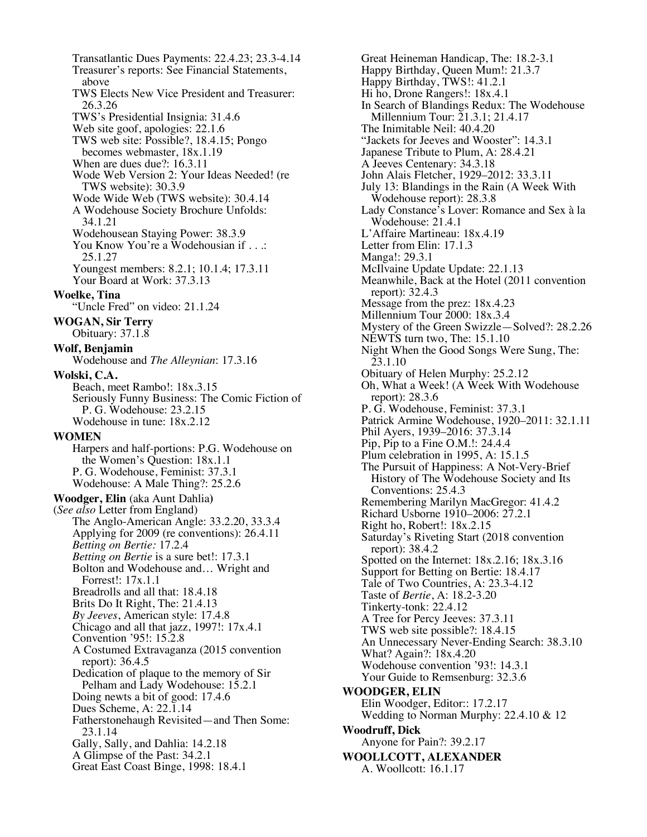Transatlantic Dues Payments: 22.4.23; 23.3-4.14 Treasurer's reports: See Financial Statements, above TWS Elects New Vice President and Treasurer: 26.3.26 TWS's Presidential Insignia: 31.4.6 Web site goof, apologies: 22.1.6 TWS web site: Possible?, 18.4.15; Pongo becomes webmaster, 18x.1.19 When are dues due?: 16.3.11 Wode Web Version 2: Your Ideas Needed! (re TWS website): 30.3.9 Wode Wide Web (TWS website): 30.4.14 A Wodehouse Society Brochure Unfolds: 34.1.21 Wodehousean Staying Power: 38.3.9 You Know You're a Wodehousian if . . .: 25.1.27 Youngest members: 8.2.1; 10.1.4; 17.3.11 Your Board at Work: 37.3.13 **Woelke, Tina** "Uncle Fred" on video: 21.1.24 **WOGAN, Sir Terry** Obituary: 37.1.8 **Wolf, Benjamin** Wodehouse and *The Alleynian*: 17.3.16 **Wolski, C.A.** Beach, meet Rambo!: 18x.3.15 Seriously Funny Business: The Comic Fiction of P. G. Wodehouse: 23.2.15 Wodehouse in tune: 18x.2.12 **WOMEN** Harpers and half-portions: P.G. Wodehouse on the Women's Question: 18x.1.1 P. G. Wodehouse, Feminist: 37.3.1 Wodehouse: A Male Thing?: 25.2.6 **Woodger, Elin** (aka Aunt Dahlia**)** (*See also* Letter from England) The Anglo-American Angle: 33.2.20, 33.3.4 Applying for 2009 (re conventions): 26.4.11 *Betting on Bertie:* 17.2.4 *Betting on Bertie* is a sure bet!: 17.3.1 Bolton and Wodehouse and… Wright and Forrest!: 17x.1.1 Breadrolls and all that: 18.4.18 Brits Do It Right, The: 21.4.13 *By Jeeves*, American style: 17.4.8 Chicago and all that jazz, 1997!: 17x.4.1 Convention '95!: 15.2.8 A Costumed Extravaganza (2015 convention report): 36.4.5 Dedication of plaque to the memory of Sir Pelham and Lady Wodehouse: 15.2.1 Doing newts a bit of good: 17.4.6 Dues Scheme, A: 22.1.14 Fatherstonehaugh Revisited—and Then Some: 23.1.14 Gally, Sally, and Dahlia: 14.2.18 A Glimpse of the Past: 34.2.1 Great East Coast Binge, 1998: 18.4.1

Great Heineman Handicap, The: 18.2-3.1 Happy Birthday, Queen Mum!: 21.3.7 Happy Birthday, TWS!: 41.2.1 Hi ho, Drone Rangers!: 18x.4.1 In Search of Blandings Redux: The Wodehouse Millennium Tour: 21.3.1; 21.4.17 The Inimitable Neil: 40.4.20 "Jackets for Jeeves and Wooster": 14.3.1 Japanese Tribute to Plum, A: 28.4.21 A Jeeves Centenary: 34.3.18 John Alais Fletcher, 1929–2012: 33.3.11 July 13: Blandings in the Rain (A Week With Wodehouse report): 28.3.8 Lady Constance's Lover: Romance and Sex à la Wodehouse: 21.4.1 L'Affaire Martineau: 18x.4.19 Letter from Elin: 17.1.3 Manga!: 29.3.1 McIlvaine Update Update: 22.1.13 Meanwhile, Back at the Hotel (2011 convention report): 32.4.3 Message from the prez: 18x.4.23 Millennium Tour 2000: 18x.3.4 Mystery of the Green Swizzle—Solved?: 28.2.26 NEWTS turn two, The: 15.1.10 Night When the Good Songs Were Sung, The: 23.1.10 Obituary of Helen Murphy: 25.2.12 Oh, What a Week! (A Week With Wodehouse report): 28.3.6 P. G. Wodehouse, Feminist: 37.3.1 Patrick Armine Wodehouse, 1920–2011: 32.1.11 Phil Ayers, 1939–2016: 37.3.14 Pip, Pip to a Fine O.M.!: 24.4.4 Plum celebration in 1995, A: 15.1.5 The Pursuit of Happiness: A Not-Very-Brief History of The Wodehouse Society and Its Conventions: 25.4.3 Remembering Marilyn MacGregor: 41.4.2 Richard Usborne 1910–2006: 27.2.1 Right ho, Robert!: 18x.2.15 Saturday's Riveting Start (2018 convention report): 38.4.2 Spotted on the Internet: 18x.2.16; 18x.3.16 Support for Betting on Bertie: 18.4.17 Tale of Two Countries, A: 23.3-4.12 Taste of *Bertie*, A: 18.2-3.20 Tinkerty-tonk: 22.4.12 A Tree for Percy Jeeves: 37.3.11 TWS web site possible?: 18.4.15 An Unnecessary Never-Ending Search: 38.3.10 What? Again?: 18x.4.20 Wodehouse convention '93!: 14.3.1 Your Guide to Remsenburg: 32.3.6 **WOODGER, ELIN** Elin Woodger, Editor:: 17.2.17 Wedding to Norman Murphy: 22.4.10 & 12 **Woodruff, Dick** Anyone for Pain?: 39.2.17 **WOOLLCOTT, ALEXANDER** A. Woollcott: 16.1.17